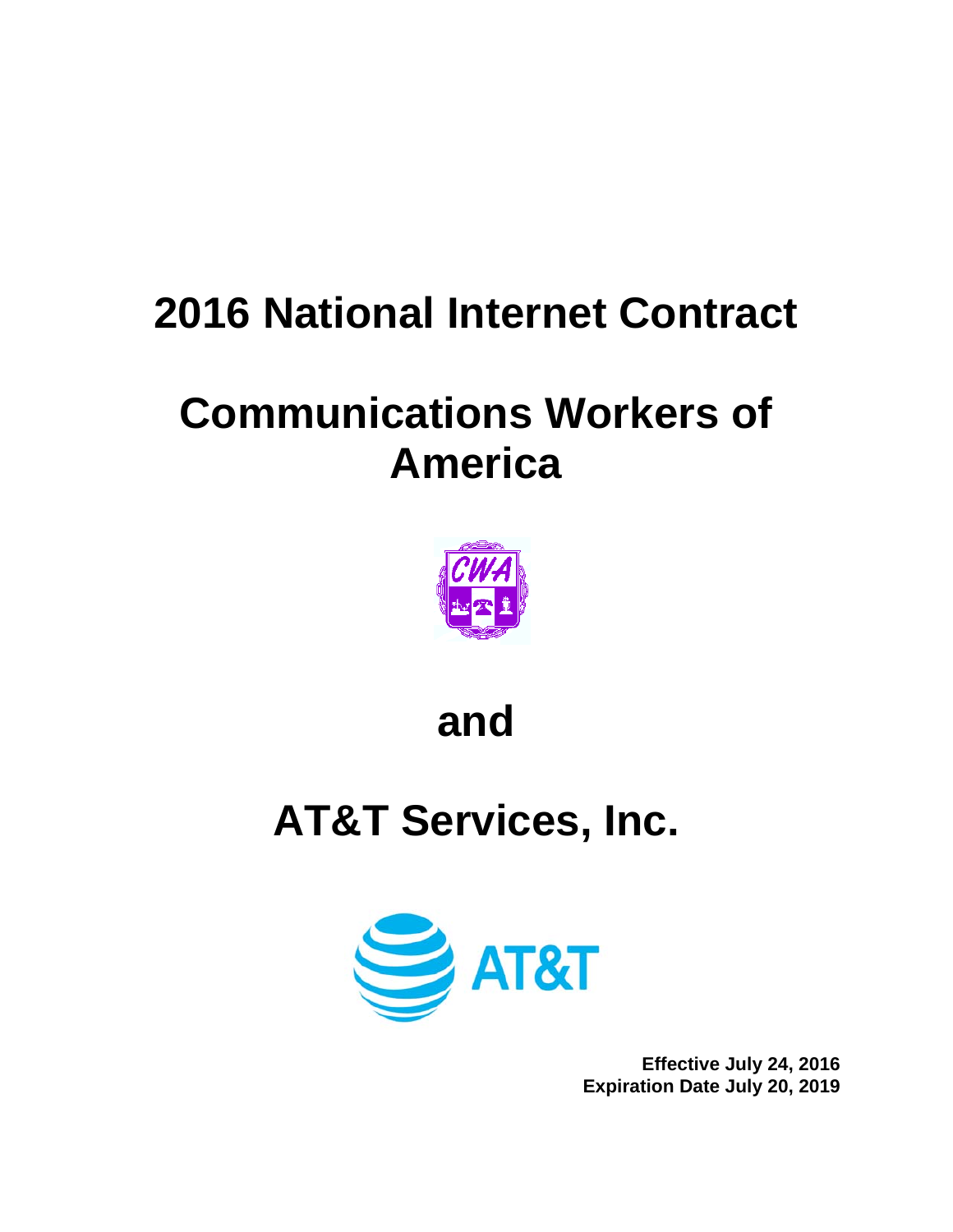# **2016 National Internet Contract**

# **Communications Workers of America**



# **and**

# **AT&T Services, Inc.**



**Effective July 24, 2016 Expiration Date July 20, 2019**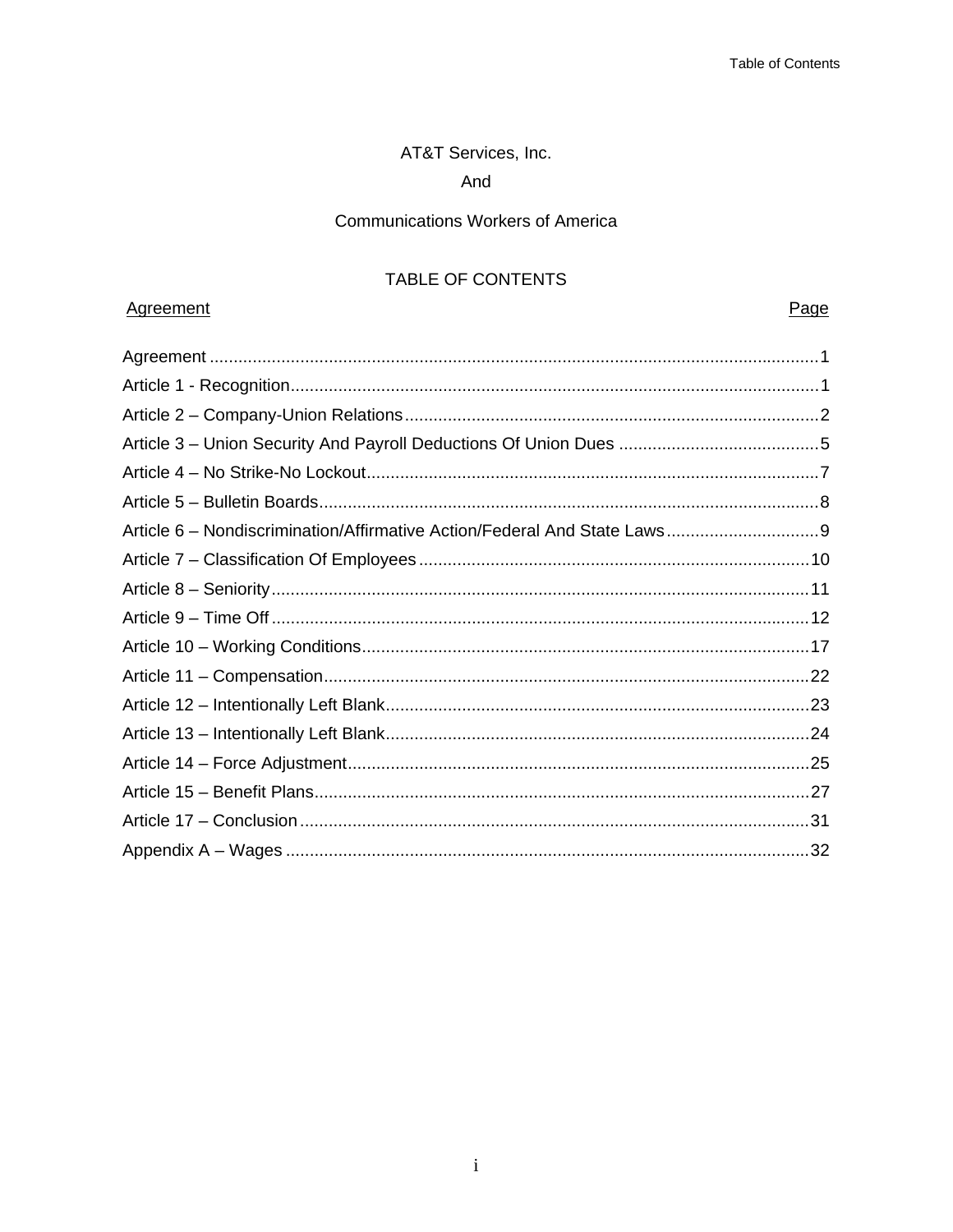# AT&T Services, Inc.

# And

# **Communications Workers of America**

# TABLE OF CONTENTS

# Agreement

# Page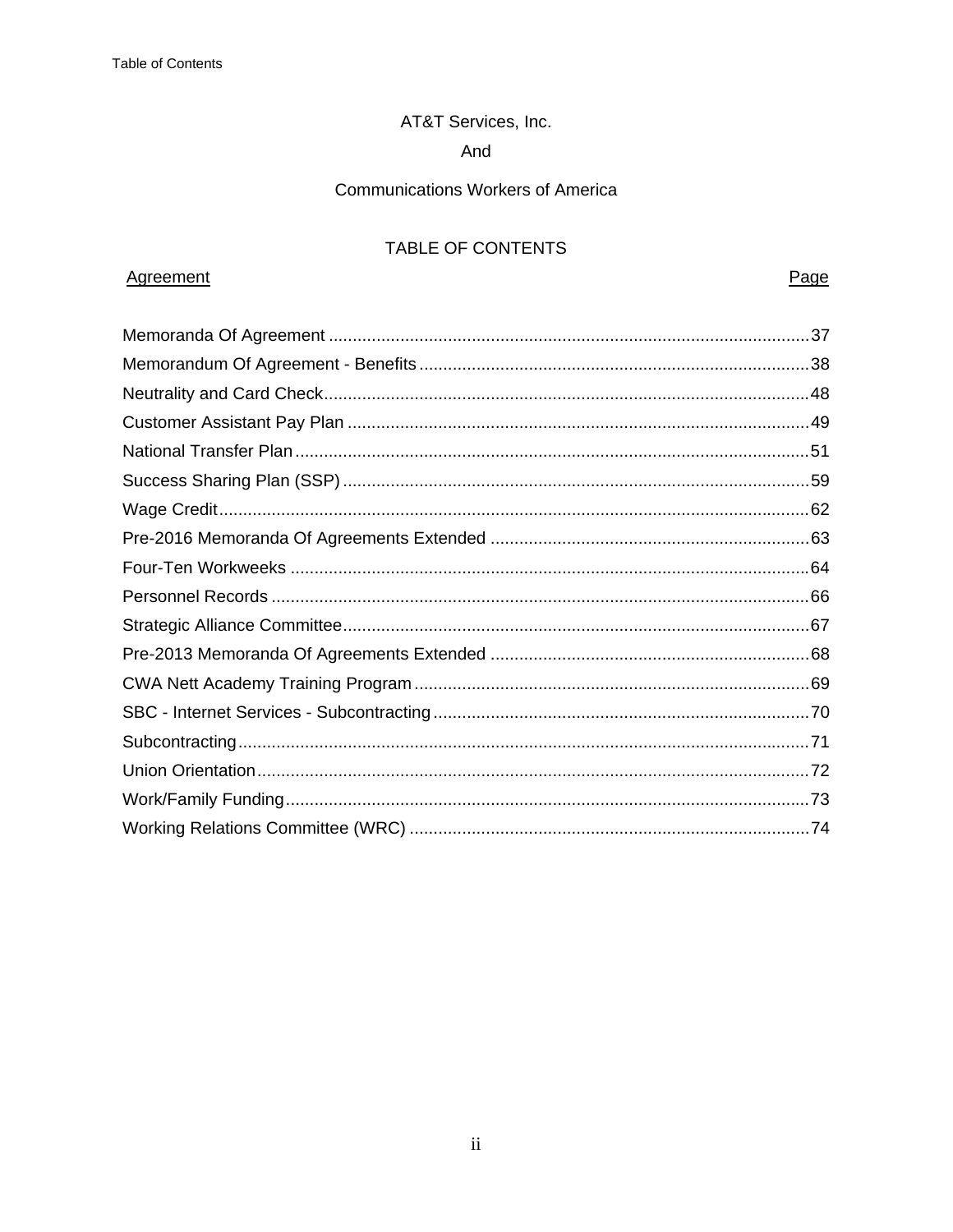# AT&T Services, Inc.

# And

# **Communications Workers of America**

# TABLE OF CONTENTS

# Agreement

Page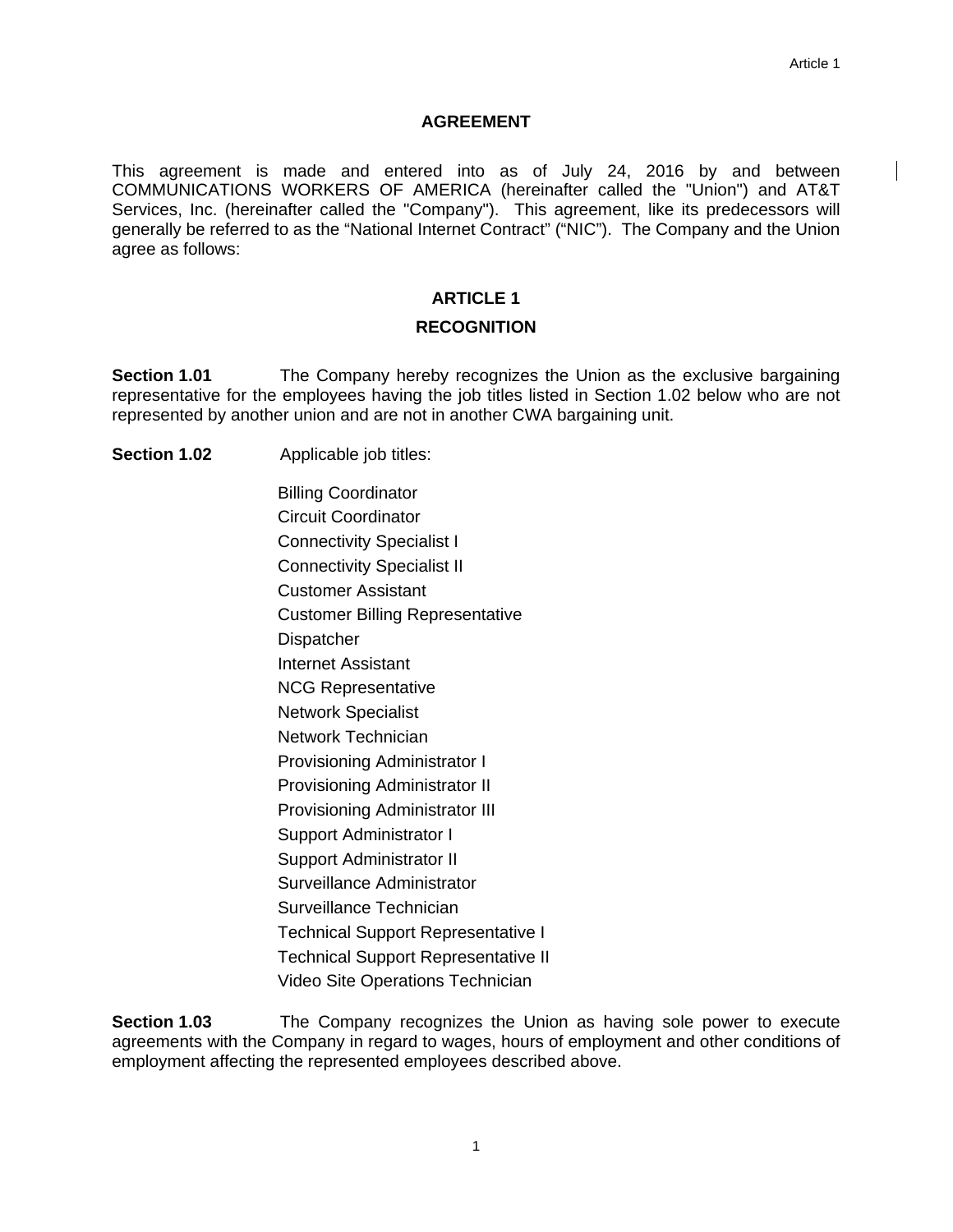#### **AGREEMENT**

This agreement is made and entered into as of July 24, 2016 by and between COMMUNICATIONS WORKERS OF AMERICA (hereinafter called the "Union") and AT&T Services, Inc. (hereinafter called the "Company"). This agreement, like its predecessors will generally be referred to as the "National Internet Contract" ("NIC"). The Company and the Union agree as follows:

# **ARTICLE 1**

#### **RECOGNITION**

**Section 1.01** The Company hereby recognizes the Union as the exclusive bargaining representative for the employees having the job titles listed in Section 1.02 below who are not represented by another union and are not in another CWA bargaining unit.

**Section 1.02** Applicable job titles:

Billing Coordinator Circuit Coordinator Connectivity Specialist I Connectivity Specialist II Customer Assistant Customer Billing Representative **Dispatcher** Internet Assistant NCG Representative Network Specialist Network Technician Provisioning Administrator I Provisioning Administrator II Provisioning Administrator III Support Administrator I Support Administrator II Surveillance Administrator Surveillance Technician Technical Support Representative I Technical Support Representative II Video Site Operations Technician

**Section 1.03** The Company recognizes the Union as having sole power to execute agreements with the Company in regard to wages, hours of employment and other conditions of employment affecting the represented employees described above.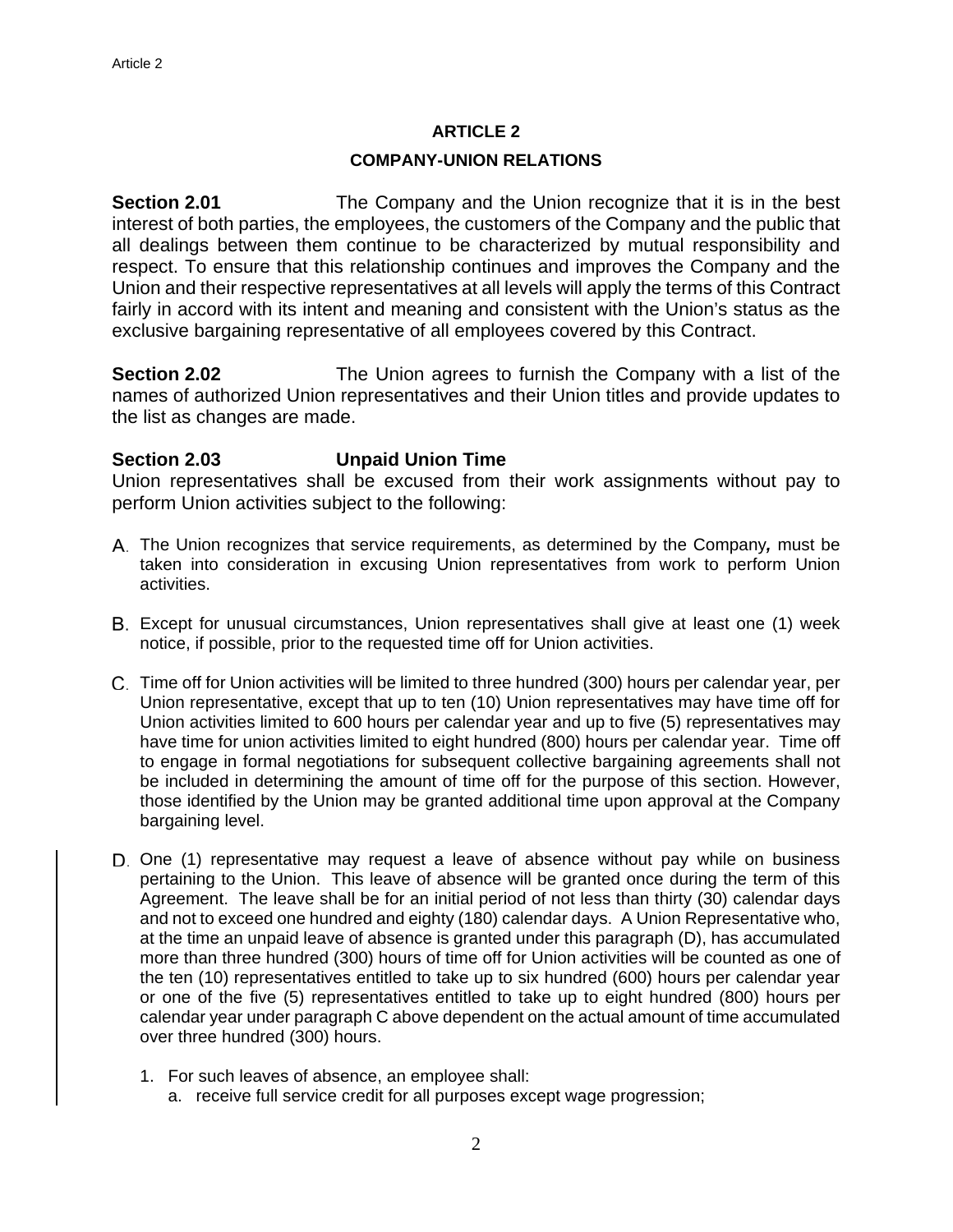#### **COMPANY-UNION RELATIONS**

**Section 2.01** The Company and the Union recognize that it is in the best interest of both parties, the employees, the customers of the Company and the public that all dealings between them continue to be characterized by mutual responsibility and respect. To ensure that this relationship continues and improves the Company and the Union and their respective representatives at all levels will apply the terms of this Contract fairly in accord with its intent and meaning and consistent with the Union's status as the exclusive bargaining representative of all employees covered by this Contract.

**Section 2.02** The Union agrees to furnish the Company with a list of the names of authorized Union representatives and their Union titles and provide updates to the list as changes are made.

# **Section 2.03 Unpaid Union Time**

Union representatives shall be excused from their work assignments without pay to perform Union activities subject to the following:

- The Union recognizes that service requirements, as determined by the Company*,* must be taken into consideration in excusing Union representatives from work to perform Union activities.
- Except for unusual circumstances, Union representatives shall give at least one (1) week notice, if possible, prior to the requested time off for Union activities.
- Time off for Union activities will be limited to three hundred (300) hours per calendar year, per Union representative, except that up to ten (10) Union representatives may have time off for Union activities limited to 600 hours per calendar year and up to five (5) representatives may have time for union activities limited to eight hundred (800) hours per calendar year. Time off to engage in formal negotiations for subsequent collective bargaining agreements shall not be included in determining the amount of time off for the purpose of this section. However, those identified by the Union may be granted additional time upon approval at the Company bargaining level.
- D. One (1) representative may request a leave of absence without pay while on business pertaining to the Union. This leave of absence will be granted once during the term of this Agreement. The leave shall be for an initial period of not less than thirty (30) calendar days and not to exceed one hundred and eighty (180) calendar days. A Union Representative who, at the time an unpaid leave of absence is granted under this paragraph (D), has accumulated more than three hundred (300) hours of time off for Union activities will be counted as one of the ten (10) representatives entitled to take up to six hundred (600) hours per calendar year or one of the five (5) representatives entitled to take up to eight hundred (800) hours per calendar year under paragraph C above dependent on the actual amount of time accumulated over three hundred (300) hours.
	- 1. For such leaves of absence, an employee shall:
		- a. receive full service credit for all purposes except wage progression;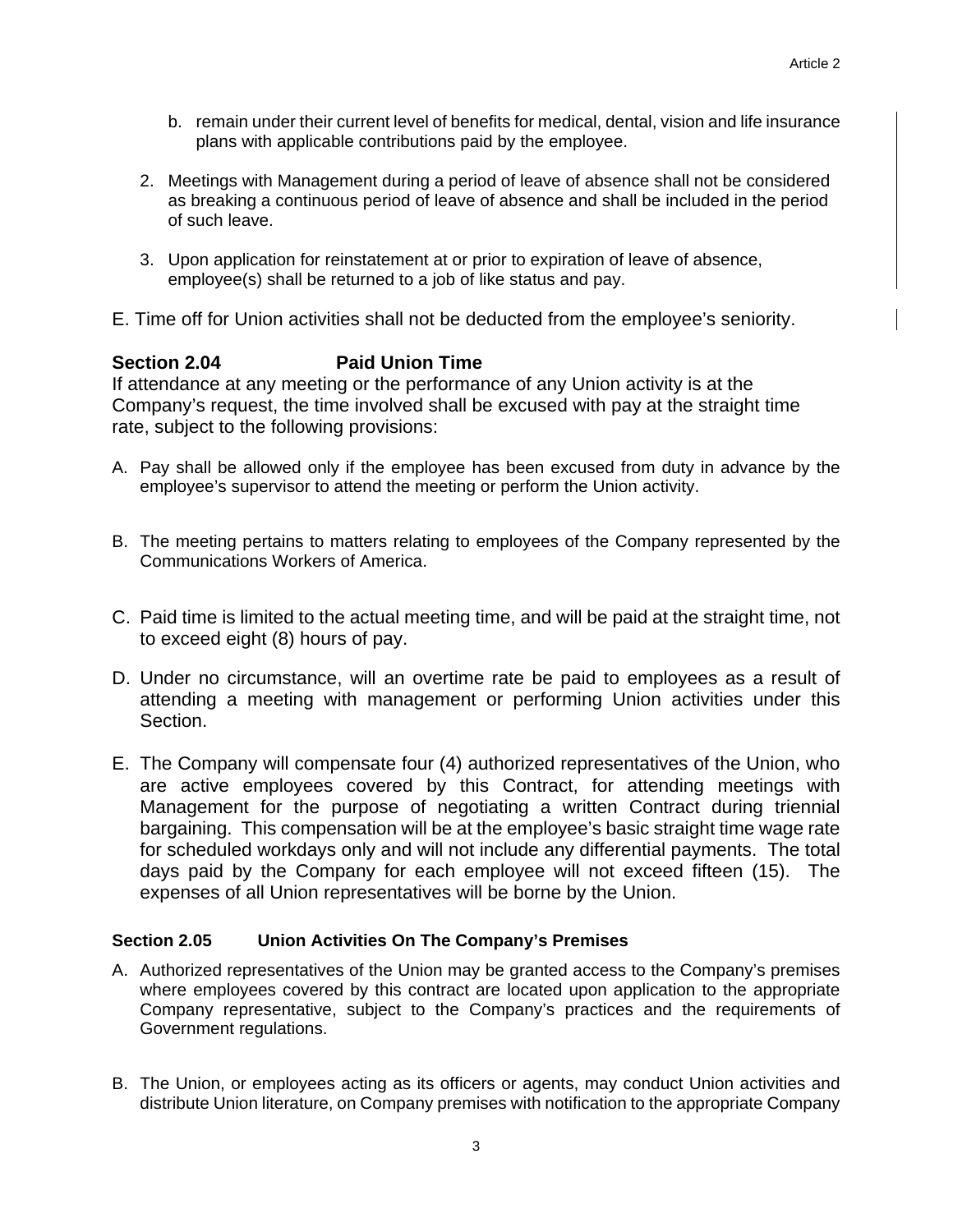- b. remain under their current level of benefits for medical, dental, vision and life insurance plans with applicable contributions paid by the employee.
- 2. Meetings with Management during a period of leave of absence shall not be considered as breaking a continuous period of leave of absence and shall be included in the period of such leave.
- 3. Upon application for reinstatement at or prior to expiration of leave of absence, employee(s) shall be returned to a job of like status and pay.
- E. Time off for Union activities shall not be deducted from the employee's seniority.

# **Section 2.04 Paid Union Time**

If attendance at any meeting or the performance of any Union activity is at the Company's request, the time involved shall be excused with pay at the straight time rate, subject to the following provisions:

- A. Pay shall be allowed only if the employee has been excused from duty in advance by the employee's supervisor to attend the meeting or perform the Union activity.
- B. The meeting pertains to matters relating to employees of the Company represented by the Communications Workers of America.
- C. Paid time is limited to the actual meeting time, and will be paid at the straight time, not to exceed eight (8) hours of pay.
- D. Under no circumstance, will an overtime rate be paid to employees as a result of attending a meeting with management or performing Union activities under this Section.
- E. The Company will compensate four (4) authorized representatives of the Union, who are active employees covered by this Contract, for attending meetings with Management for the purpose of negotiating a written Contract during triennial bargaining. This compensation will be at the employee's basic straight time wage rate for scheduled workdays only and will not include any differential payments. The total days paid by the Company for each employee will not exceed fifteen (15). The expenses of all Union representatives will be borne by the Union.

# **Section 2.05 Union Activities On The Company's Premises**

- A. Authorized representatives of the Union may be granted access to the Company's premises where employees covered by this contract are located upon application to the appropriate Company representative, subject to the Company's practices and the requirements of Government regulations.
- B. The Union, or employees acting as its officers or agents, may conduct Union activities and distribute Union literature, on Company premises with notification to the appropriate Company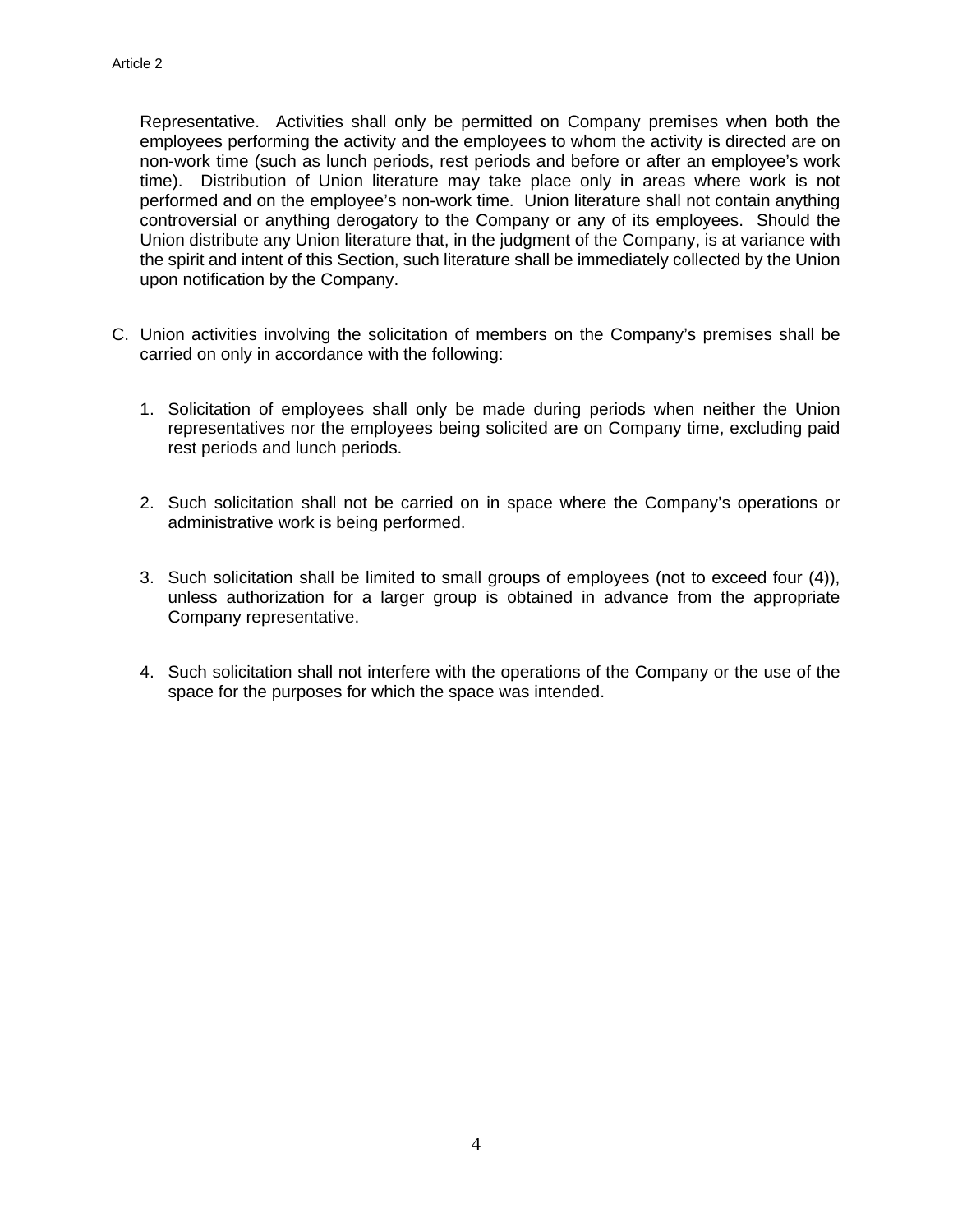Representative. Activities shall only be permitted on Company premises when both the employees performing the activity and the employees to whom the activity is directed are on non-work time (such as lunch periods, rest periods and before or after an employee's work time). Distribution of Union literature may take place only in areas where work is not performed and on the employee's non-work time. Union literature shall not contain anything controversial or anything derogatory to the Company or any of its employees. Should the Union distribute any Union literature that, in the judgment of the Company, is at variance with the spirit and intent of this Section, such literature shall be immediately collected by the Union upon notification by the Company.

- C. Union activities involving the solicitation of members on the Company's premises shall be carried on only in accordance with the following:
	- 1. Solicitation of employees shall only be made during periods when neither the Union representatives nor the employees being solicited are on Company time, excluding paid rest periods and lunch periods.
	- 2. Such solicitation shall not be carried on in space where the Company's operations or administrative work is being performed.
	- 3. Such solicitation shall be limited to small groups of employees (not to exceed four (4)), unless authorization for a larger group is obtained in advance from the appropriate Company representative.
	- 4. Such solicitation shall not interfere with the operations of the Company or the use of the space for the purposes for which the space was intended.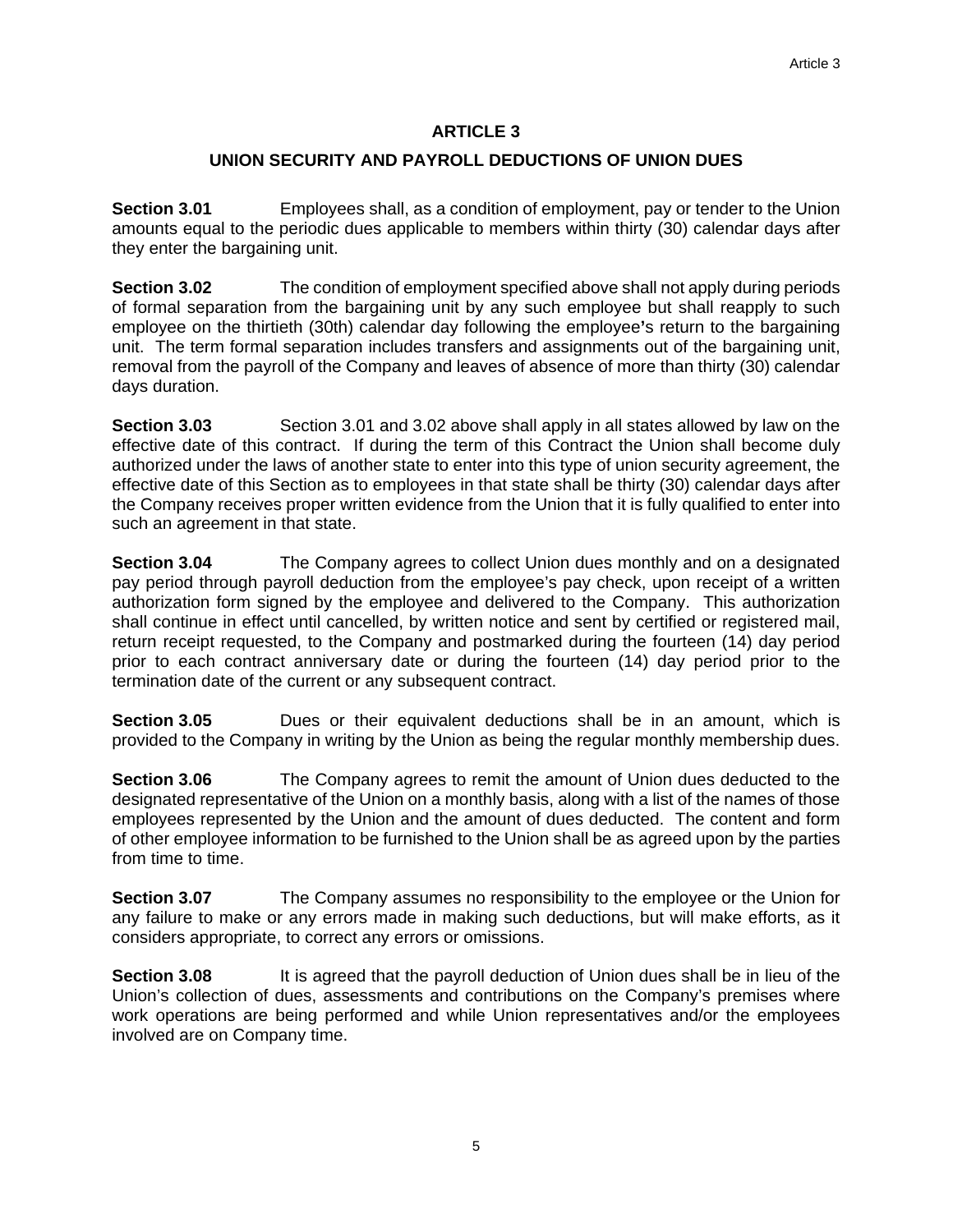# **UNION SECURITY AND PAYROLL DEDUCTIONS OF UNION DUES**

**Section 3.01** Employees shall, as a condition of employment, pay or tender to the Union amounts equal to the periodic dues applicable to members within thirty (30) calendar days after they enter the bargaining unit.

**Section 3.02** The condition of employment specified above shall not apply during periods of formal separation from the bargaining unit by any such employee but shall reapply to such employee on the thirtieth (30th) calendar day following the employee**'**s return to the bargaining unit. The term formal separation includes transfers and assignments out of the bargaining unit, removal from the payroll of the Company and leaves of absence of more than thirty (30) calendar days duration.

**Section 3.03** Section 3.01 and 3.02 above shall apply in all states allowed by law on the effective date of this contract. If during the term of this Contract the Union shall become duly authorized under the laws of another state to enter into this type of union security agreement, the effective date of this Section as to employees in that state shall be thirty (30) calendar days after the Company receives proper written evidence from the Union that it is fully qualified to enter into such an agreement in that state.

**Section 3.04** The Company agrees to collect Union dues monthly and on a designated pay period through payroll deduction from the employee's pay check, upon receipt of a written authorization form signed by the employee and delivered to the Company. This authorization shall continue in effect until cancelled, by written notice and sent by certified or registered mail, return receipt requested, to the Company and postmarked during the fourteen (14) day period prior to each contract anniversary date or during the fourteen (14) day period prior to the termination date of the current or any subsequent contract.

**Section 3.05 Dues or their equivalent deductions shall be in an amount, which is** provided to the Company in writing by the Union as being the regular monthly membership dues.

**Section 3.06** The Company agrees to remit the amount of Union dues deducted to the designated representative of the Union on a monthly basis, along with a list of the names of those employees represented by the Union and the amount of dues deducted. The content and form of other employee information to be furnished to the Union shall be as agreed upon by the parties from time to time.

**Section 3.07** The Company assumes no responsibility to the employee or the Union for any failure to make or any errors made in making such deductions, but will make efforts, as it considers appropriate, to correct any errors or omissions.

**Section 3.08** It is agreed that the payroll deduction of Union dues shall be in lieu of the Union's collection of dues, assessments and contributions on the Company's premises where work operations are being performed and while Union representatives and/or the employees involved are on Company time.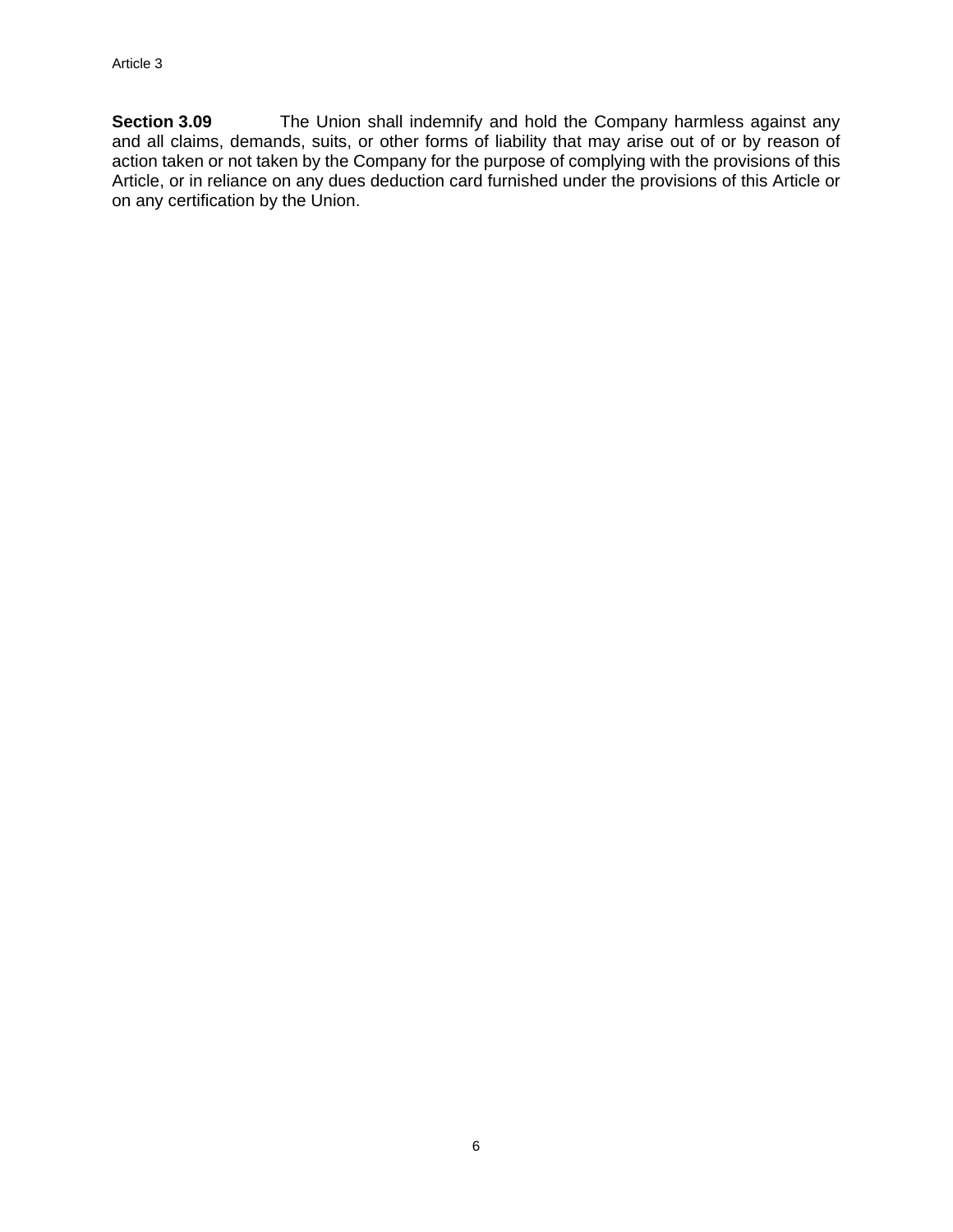**Section 3.09** The Union shall indemnify and hold the Company harmless against any and all claims, demands, suits, or other forms of liability that may arise out of or by reason of action taken or not taken by the Company for the purpose of complying with the provisions of this Article, or in reliance on any dues deduction card furnished under the provisions of this Article or on any certification by the Union.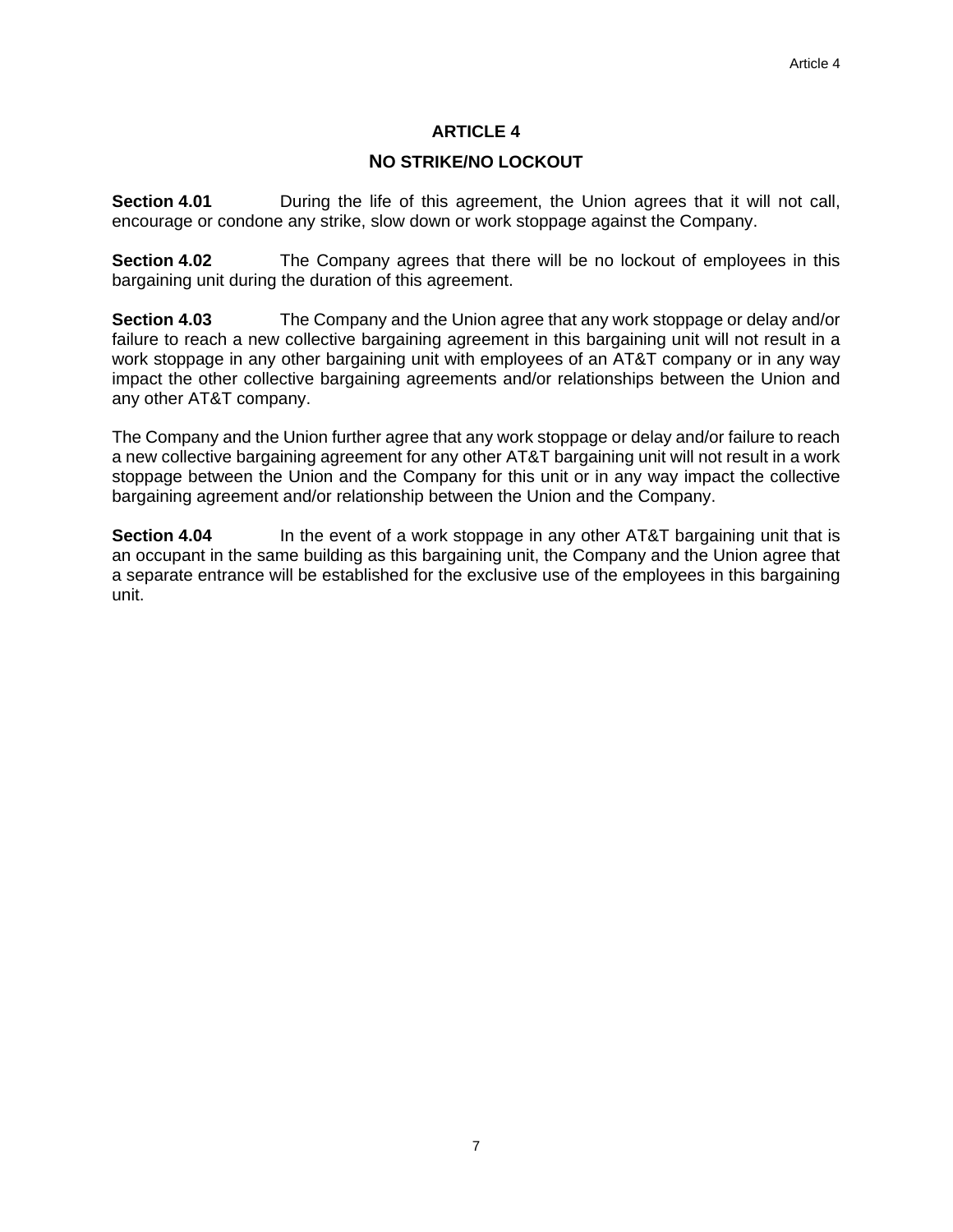# **NO STRIKE/NO LOCKOUT**

**Section 4.01 During the life of this agreement, the Union agrees that it will not call,** encourage or condone any strike, slow down or work stoppage against the Company.

**Section 4.02** The Company agrees that there will be no lockout of employees in this bargaining unit during the duration of this agreement.

**Section 4.03** The Company and the Union agree that any work stoppage or delay and/or failure to reach a new collective bargaining agreement in this bargaining unit will not result in a work stoppage in any other bargaining unit with employees of an AT&T company or in any way impact the other collective bargaining agreements and/or relationships between the Union and any other AT&T company.

The Company and the Union further agree that any work stoppage or delay and/or failure to reach a new collective bargaining agreement for any other AT&T bargaining unit will not result in a work stoppage between the Union and the Company for this unit or in any way impact the collective bargaining agreement and/or relationship between the Union and the Company.

**Section 4.04** In the event of a work stoppage in any other AT&T bargaining unit that is an occupant in the same building as this bargaining unit, the Company and the Union agree that a separate entrance will be established for the exclusive use of the employees in this bargaining unit.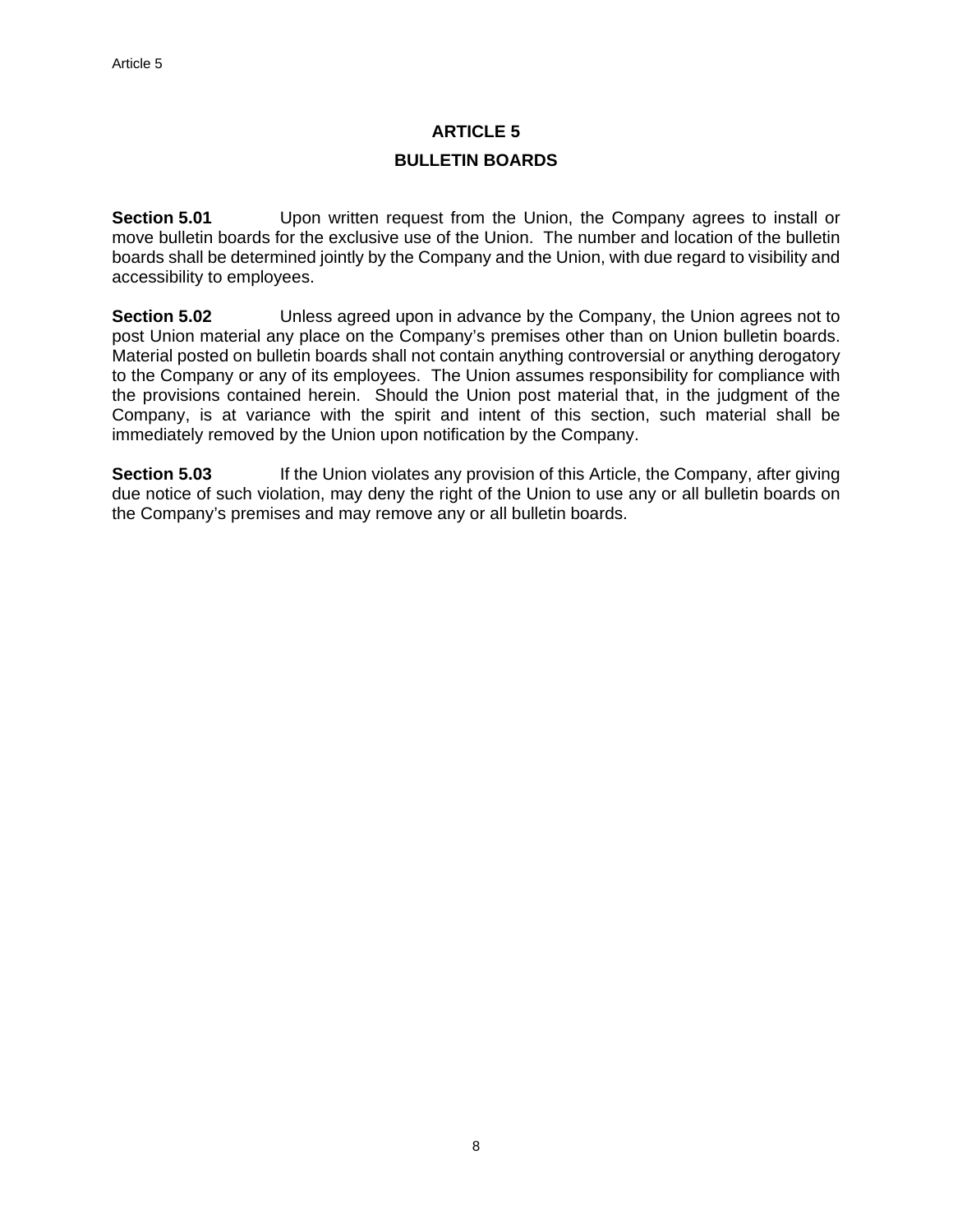# **ARTICLE 5 BULLETIN BOARDS**

**Section 5.01** Upon written request from the Union, the Company agrees to install or move bulletin boards for the exclusive use of the Union. The number and location of the bulletin boards shall be determined jointly by the Company and the Union, with due regard to visibility and accessibility to employees.

**Section 5.02** Unless agreed upon in advance by the Company, the Union agrees not to post Union material any place on the Company's premises other than on Union bulletin boards. Material posted on bulletin boards shall not contain anything controversial or anything derogatory to the Company or any of its employees. The Union assumes responsibility for compliance with the provisions contained herein. Should the Union post material that, in the judgment of the Company, is at variance with the spirit and intent of this section, such material shall be immediately removed by the Union upon notification by the Company.

**Section 5.03** If the Union violates any provision of this Article, the Company, after giving due notice of such violation, may deny the right of the Union to use any or all bulletin boards on the Company's premises and may remove any or all bulletin boards.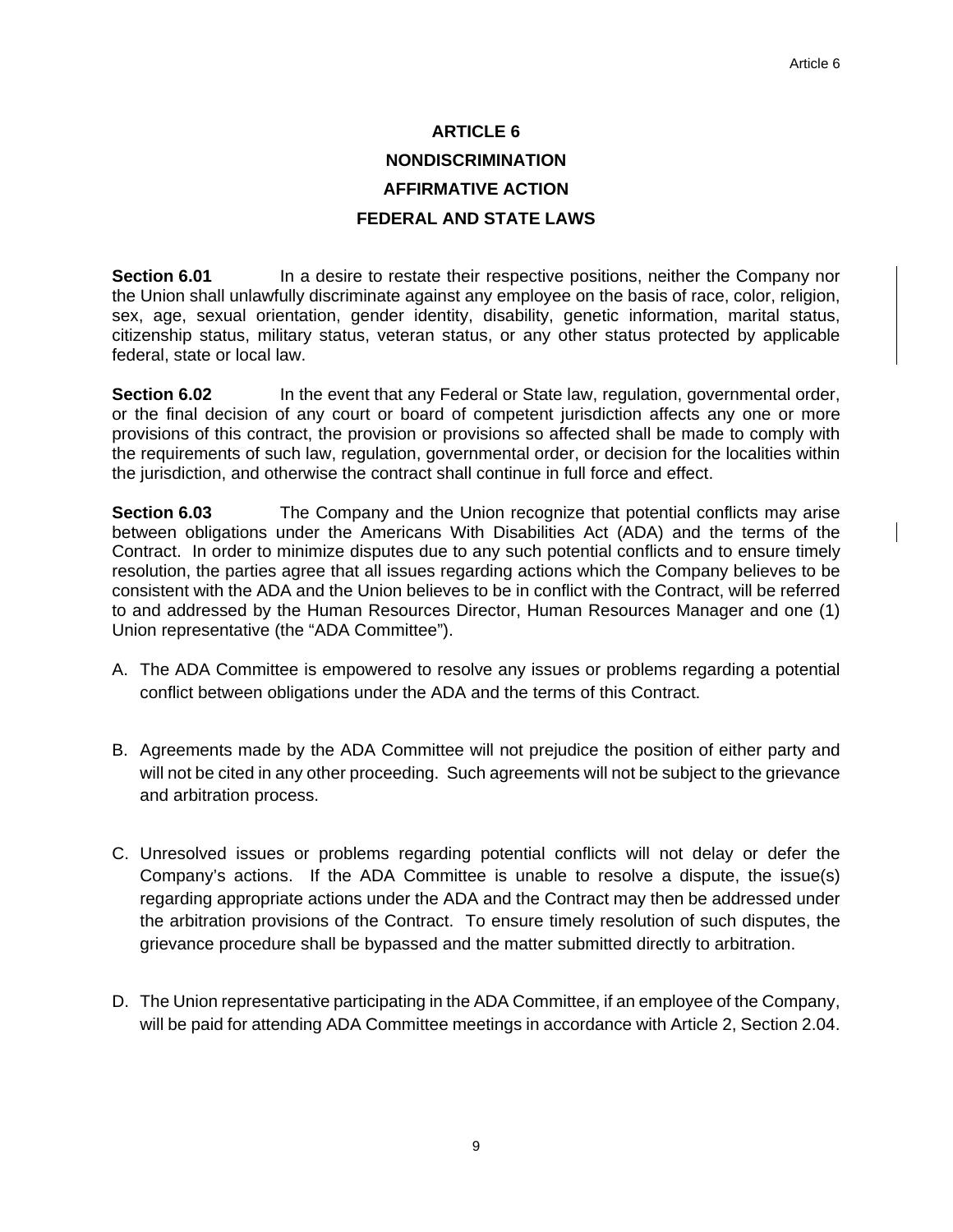# **ARTICLE 6 NONDISCRIMINATION AFFIRMATIVE ACTION FEDERAL AND STATE LAWS**

**Section 6.01 In a desire to restate their respective positions, neither the Company nor** the Union shall unlawfully discriminate against any employee on the basis of race, color, religion, sex, age, sexual orientation, gender identity, disability, genetic information, marital status, citizenship status, military status, veteran status, or any other status protected by applicable federal, state or local law.

**Section 6.02** In the event that any Federal or State law, regulation, governmental order, or the final decision of any court or board of competent jurisdiction affects any one or more provisions of this contract, the provision or provisions so affected shall be made to comply with the requirements of such law, regulation, governmental order, or decision for the localities within the jurisdiction, and otherwise the contract shall continue in full force and effect.

**Section 6.03** The Company and the Union recognize that potential conflicts may arise between obligations under the Americans With Disabilities Act (ADA) and the terms of the Contract. In order to minimize disputes due to any such potential conflicts and to ensure timely resolution, the parties agree that all issues regarding actions which the Company believes to be consistent with the ADA and the Union believes to be in conflict with the Contract, will be referred to and addressed by the Human Resources Director, Human Resources Manager and one (1) Union representative (the "ADA Committee").

- A. The ADA Committee is empowered to resolve any issues or problems regarding a potential conflict between obligations under the ADA and the terms of this Contract.
- B. Agreements made by the ADA Committee will not prejudice the position of either party and will not be cited in any other proceeding. Such agreements will not be subject to the grievance and arbitration process.
- C. Unresolved issues or problems regarding potential conflicts will not delay or defer the Company's actions. If the ADA Committee is unable to resolve a dispute, the issue(s) regarding appropriate actions under the ADA and the Contract may then be addressed under the arbitration provisions of the Contract. To ensure timely resolution of such disputes, the grievance procedure shall be bypassed and the matter submitted directly to arbitration.
- D. The Union representative participating in the ADA Committee, if an employee of the Company, will be paid for attending ADA Committee meetings in accordance with Article 2, Section 2.04.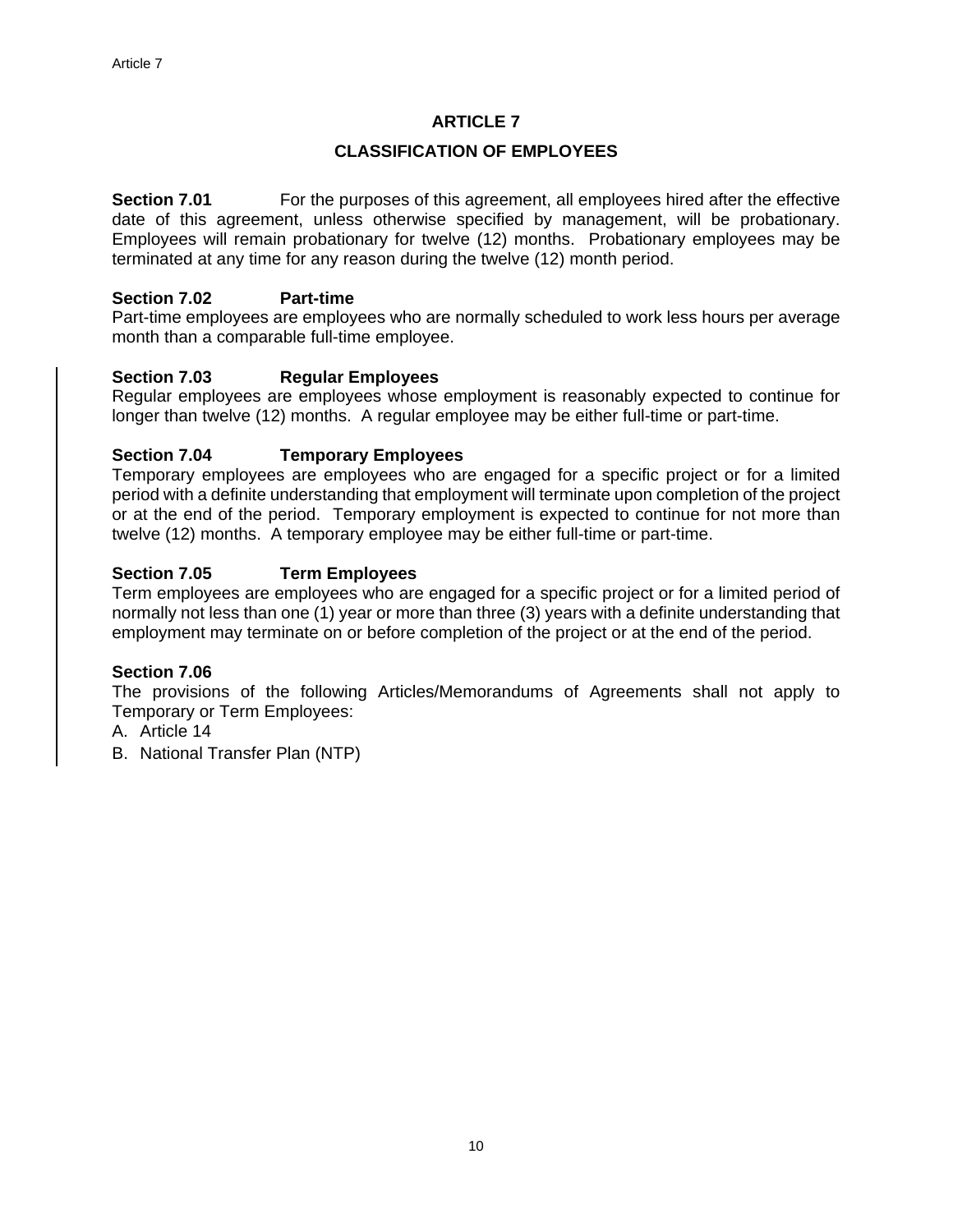#### **CLASSIFICATION OF EMPLOYEES**

**Section 7.01** For the purposes of this agreement, all employees hired after the effective date of this agreement, unless otherwise specified by management, will be probationary. Employees will remain probationary for twelve (12) months. Probationary employees may be terminated at any time for any reason during the twelve (12) month period.

#### **Section 7.02 Part-time**

Part-time employees are employees who are normally scheduled to work less hours per average month than a comparable full-time employee.

#### **Section 7.03 Regular Employees**

Regular employees are employees whose employment is reasonably expected to continue for longer than twelve (12) months. A regular employee may be either full-time or part-time.

#### **Section 7.04 Temporary Employees**

Temporary employees are employees who are engaged for a specific project or for a limited period with a definite understanding that employment will terminate upon completion of the project or at the end of the period. Temporary employment is expected to continue for not more than twelve (12) months. A temporary employee may be either full-time or part-time.

# **Section 7.05 Term Employees**

Term employees are employees who are engaged for a specific project or for a limited period of normally not less than one (1) year or more than three (3) years with a definite understanding that employment may terminate on or before completion of the project or at the end of the period.

#### **Section 7.06**

The provisions of the following Articles/Memorandums of Agreements shall not apply to Temporary or Term Employees:

- A. Article 14
- B. National Transfer Plan (NTP)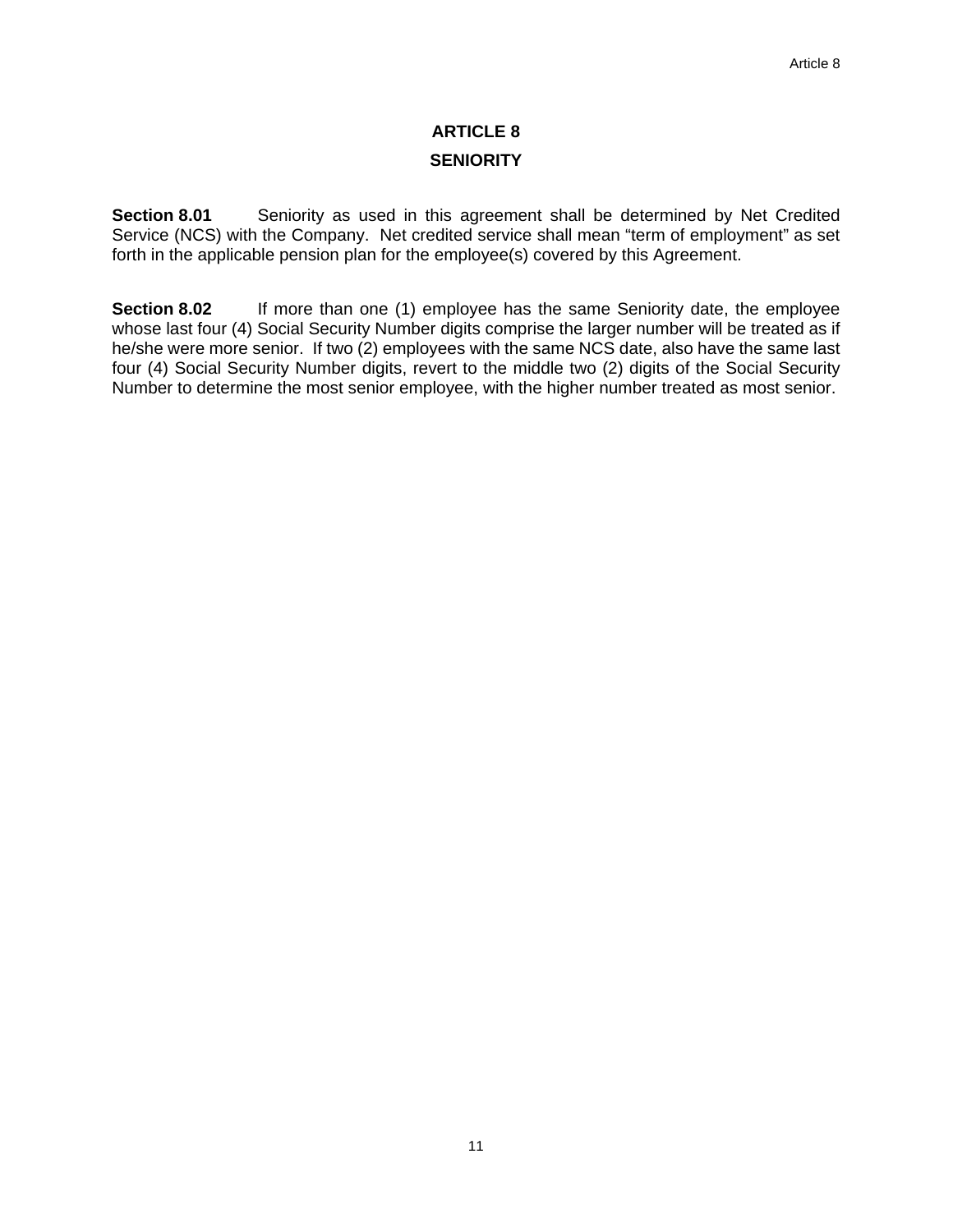# **ARTICLE 8 SENIORITY**

**Section 8.01** Seniority as used in this agreement shall be determined by Net Credited Service (NCS) with the Company. Net credited service shall mean "term of employment" as set forth in the applicable pension plan for the employee(s) covered by this Agreement.

**Section 8.02** If more than one (1) employee has the same Seniority date, the employee whose last four (4) Social Security Number digits comprise the larger number will be treated as if he/she were more senior. If two (2) employees with the same NCS date, also have the same last four (4) Social Security Number digits, revert to the middle two (2) digits of the Social Security Number to determine the most senior employee, with the higher number treated as most senior.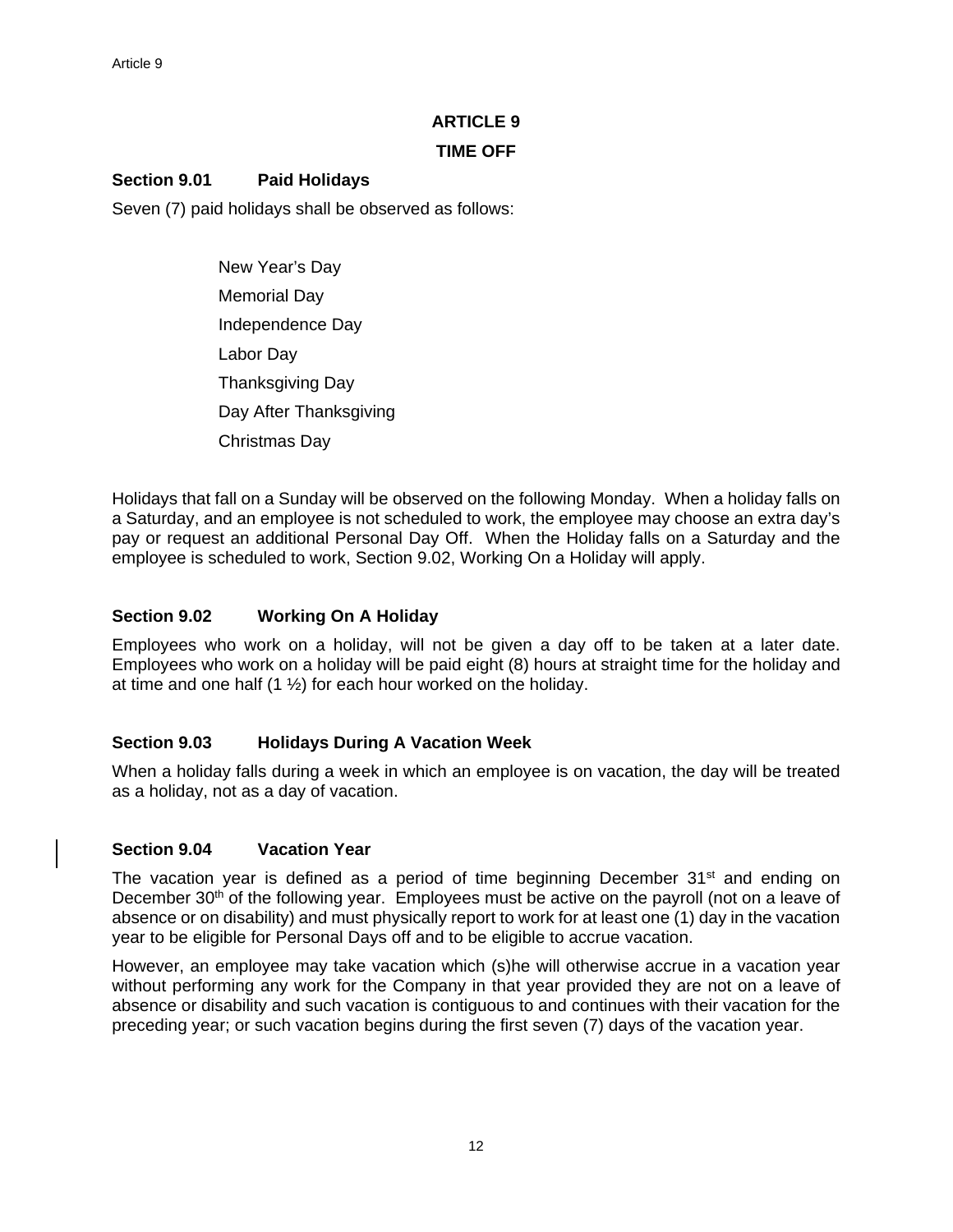#### **TIME OFF**

# **Section 9.01 Paid Holidays**

Seven (7) paid holidays shall be observed as follows:

 New Year's Day Memorial Day Independence Day Labor Day Thanksgiving Day Day After Thanksgiving Christmas Day

Holidays that fall on a Sunday will be observed on the following Monday. When a holiday falls on a Saturday, and an employee is not scheduled to work, the employee may choose an extra day's pay or request an additional Personal Day Off. When the Holiday falls on a Saturday and the employee is scheduled to work, Section 9.02, Working On a Holiday will apply.

# **Section 9.02 Working On A Holiday**

Employees who work on a holiday, will not be given a day off to be taken at a later date. Employees who work on a holiday will be paid eight (8) hours at straight time for the holiday and at time and one half (1 ½) for each hour worked on the holiday.

# **Section 9.03 Holidays During A Vacation Week**

When a holiday falls during a week in which an employee is on vacation, the day will be treated as a holiday, not as a day of vacation.

# **Section 9.04 Vacation Year**

The vacation year is defined as a period of time beginning December  $31<sup>st</sup>$  and ending on December 30<sup>th</sup> of the following year. Employees must be active on the payroll (not on a leave of absence or on disability) and must physically report to work for at least one (1) day in the vacation year to be eligible for Personal Days off and to be eligible to accrue vacation.

However, an employee may take vacation which (s)he will otherwise accrue in a vacation year without performing any work for the Company in that year provided they are not on a leave of absence or disability and such vacation is contiguous to and continues with their vacation for the preceding year; or such vacation begins during the first seven (7) days of the vacation year.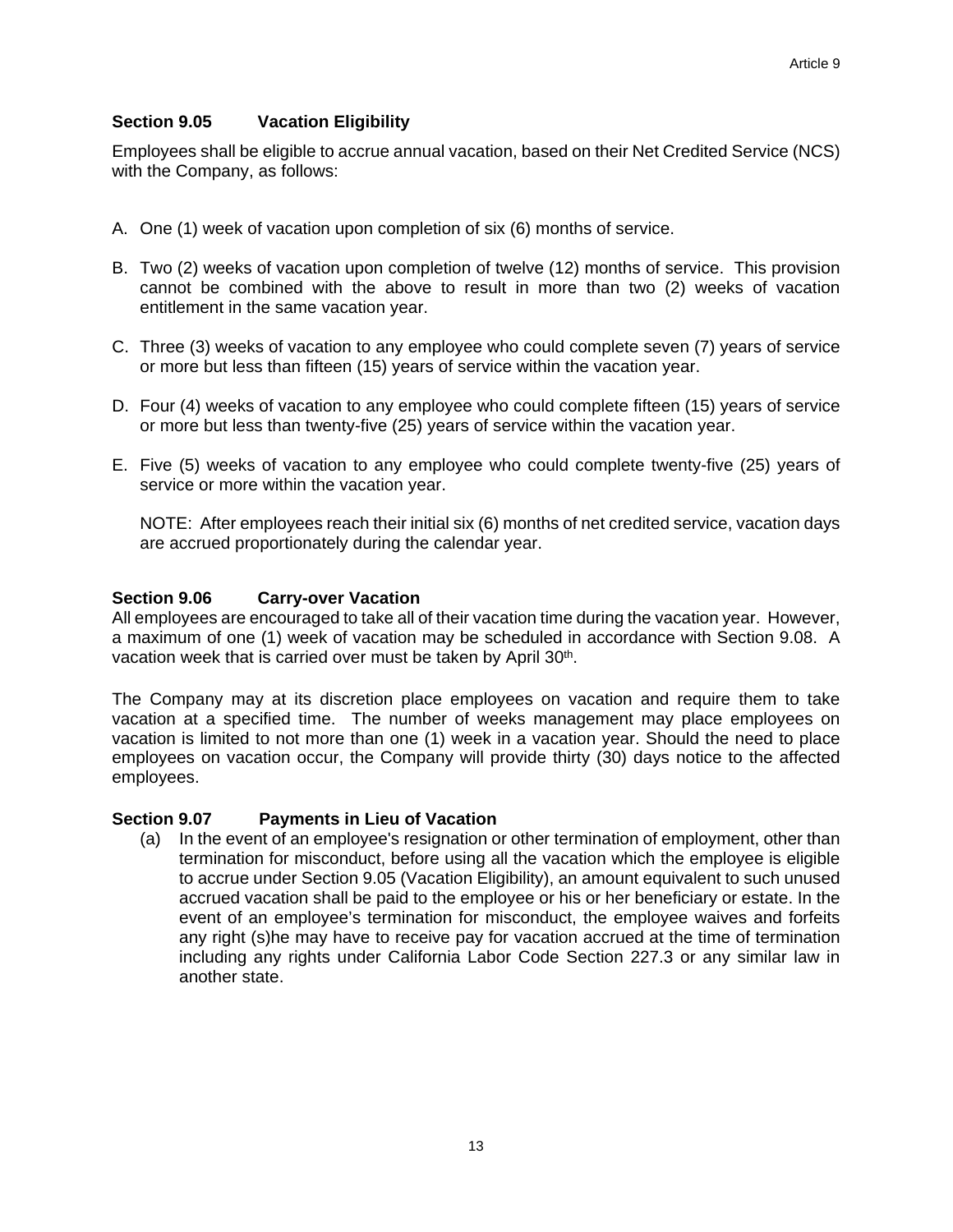# **Section 9.05 Vacation Eligibility**

Employees shall be eligible to accrue annual vacation, based on their Net Credited Service (NCS) with the Company, as follows:

- A. One (1) week of vacation upon completion of six (6) months of service.
- B. Two (2) weeks of vacation upon completion of twelve (12) months of service. This provision cannot be combined with the above to result in more than two (2) weeks of vacation entitlement in the same vacation year.
- C. Three (3) weeks of vacation to any employee who could complete seven (7) years of service or more but less than fifteen (15) years of service within the vacation year.
- D. Four (4) weeks of vacation to any employee who could complete fifteen (15) years of service or more but less than twenty-five (25) years of service within the vacation year.
- E. Five (5) weeks of vacation to any employee who could complete twenty-five (25) years of service or more within the vacation year.

NOTE: After employees reach their initial six (6) months of net credited service, vacation days are accrued proportionately during the calendar year.

#### **Section 9.06 Carry-over Vacation**

All employees are encouraged to take all of their vacation time during the vacation year. However, a maximum of one (1) week of vacation may be scheduled in accordance with Section 9.08. A vacation week that is carried over must be taken by April 30<sup>th</sup>.

The Company may at its discretion place employees on vacation and require them to take vacation at a specified time. The number of weeks management may place employees on vacation is limited to not more than one (1) week in a vacation year. Should the need to place employees on vacation occur, the Company will provide thirty (30) days notice to the affected employees.

#### **Section 9.07 Payments in Lieu of Vacation**

(a) In the event of an employee's resignation or other termination of employment, other than termination for misconduct, before using all the vacation which the employee is eligible to accrue under Section 9.05 (Vacation Eligibility), an amount equivalent to such unused accrued vacation shall be paid to the employee or his or her beneficiary or estate. In the event of an employee's termination for misconduct, the employee waives and forfeits any right (s)he may have to receive pay for vacation accrued at the time of termination including any rights under California Labor Code Section 227.3 or any similar law in another state.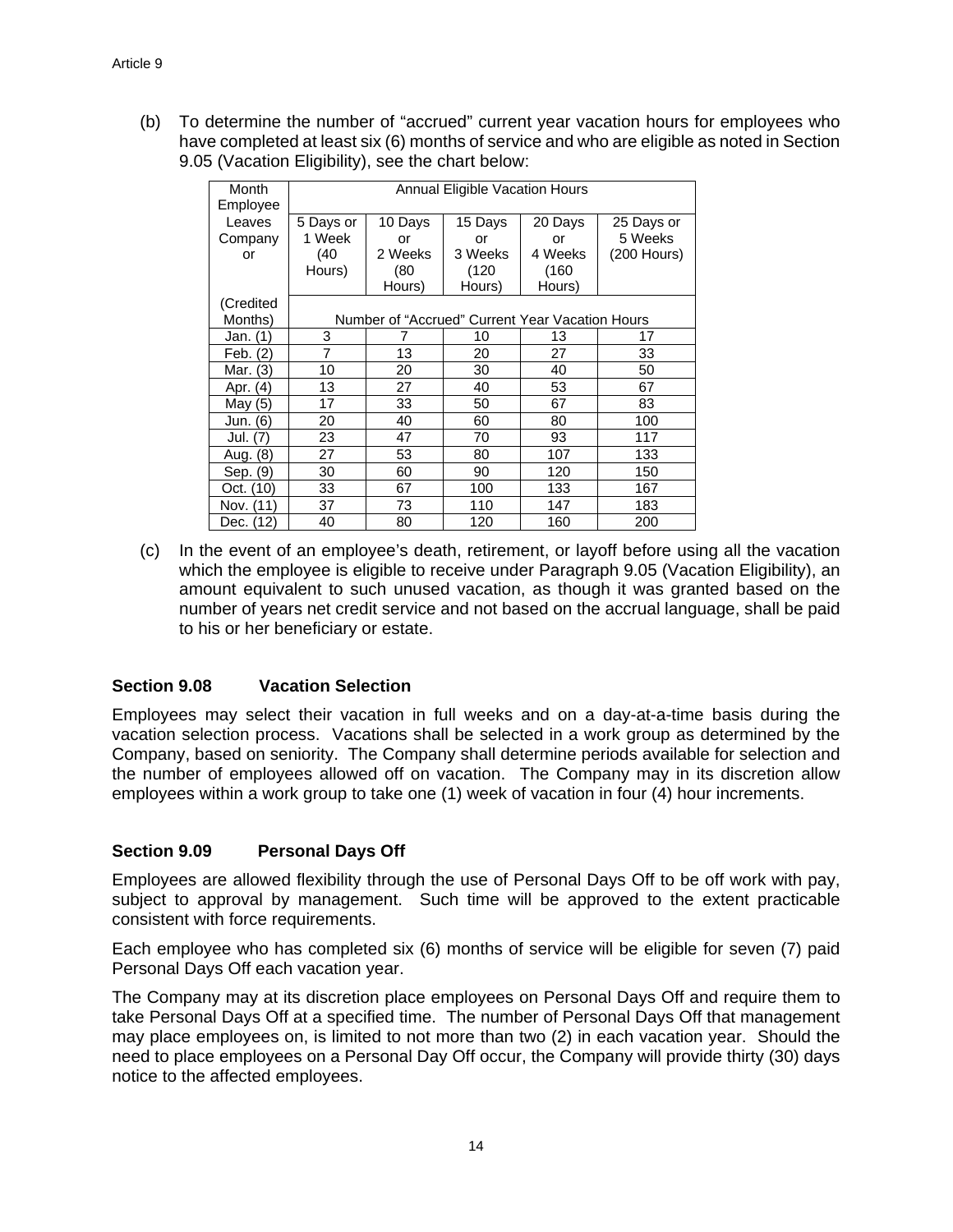(b) To determine the number of "accrued" current year vacation hours for employees who have completed at least six (6) months of service and who are eligible as noted in Section 9.05 (Vacation Eligibility), see the chart below:

| Month<br>Employee | <b>Annual Eligible Vacation Hours</b> |         |                                                 |         |             |
|-------------------|---------------------------------------|---------|-------------------------------------------------|---------|-------------|
| Leaves            | 5 Days or                             | 10 Days | 15 Days                                         | 20 Days | 25 Days or  |
| Company           | 1 Week                                | or      | or                                              | or      | 5 Weeks     |
| or                | (40                                   | 2 Weeks | 3 Weeks                                         | 4 Weeks | (200 Hours) |
|                   | Hours)                                | (80     | (120                                            | (160)   |             |
|                   |                                       | Hours)  | Hours)                                          | Hours)  |             |
| (Credited         |                                       |         |                                                 |         |             |
| Months)           |                                       |         | Number of "Accrued" Current Year Vacation Hours |         |             |
| Jan. (1)          | 3                                     |         | 10                                              | 13      | 17          |
| Feb. (2)          | 7                                     | 13      | 20                                              | 27      | 33          |
| Mar. (3)          | 10                                    | 20      | 30                                              | 40      | 50          |
| Apr. (4)          | 13                                    | 27      | 40                                              | 53      | 67          |
| May (5)           | 17                                    | 33      | 50                                              | 67      | 83          |
| Jun. (6)          | 20                                    | 40      | 60                                              | 80      | 100         |
| Jul. (7)          | 23                                    | 47      | 70                                              | 93      | 117         |
| Aug. (8)          | 27                                    | 53      | 80                                              | 107     | 133         |
| Sep. (9)          | 30                                    | 60      | 90                                              | 120     | 150         |
| Oct. (10)         | 33                                    | 67      | 100                                             | 133     | 167         |
| Nov. (11)         | 37                                    | 73      | 110                                             | 147     | 183         |
| Dec. (12)         | 40                                    | 80      | 120                                             | 160     | 200         |

(c) In the event of an employee's death, retirement, or layoff before using all the vacation which the employee is eligible to receive under Paragraph 9.05 (Vacation Eligibility), an amount equivalent to such unused vacation, as though it was granted based on the number of years net credit service and not based on the accrual language, shall be paid to his or her beneficiary or estate.

# **Section 9.08 Vacation Selection**

Employees may select their vacation in full weeks and on a day-at-a-time basis during the vacation selection process. Vacations shall be selected in a work group as determined by the Company, based on seniority. The Company shall determine periods available for selection and the number of employees allowed off on vacation. The Company may in its discretion allow employees within a work group to take one (1) week of vacation in four (4) hour increments.

# **Section 9.09 Personal Days Off**

Employees are allowed flexibility through the use of Personal Days Off to be off work with pay, subject to approval by management. Such time will be approved to the extent practicable consistent with force requirements.

Each employee who has completed six (6) months of service will be eligible for seven (7) paid Personal Days Off each vacation year.

The Company may at its discretion place employees on Personal Days Off and require them to take Personal Days Off at a specified time. The number of Personal Days Off that management may place employees on, is limited to not more than two (2) in each vacation year. Should the need to place employees on a Personal Day Off occur, the Company will provide thirty (30) days notice to the affected employees.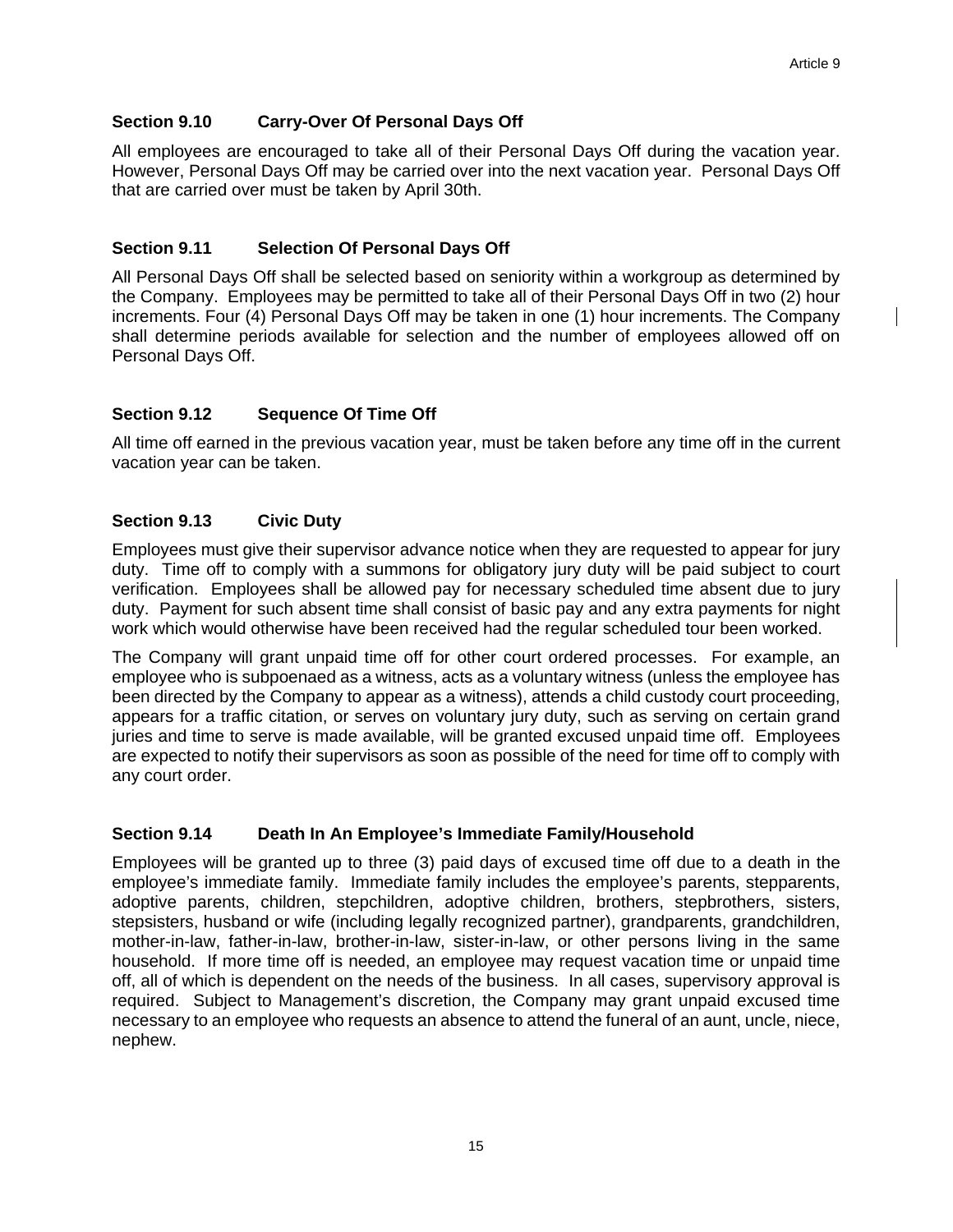# **Section 9.10 Carry-Over Of Personal Days Off**

All employees are encouraged to take all of their Personal Days Off during the vacation year. However, Personal Days Off may be carried over into the next vacation year. Personal Days Off that are carried over must be taken by April 30th.

# **Section 9.11 Selection Of Personal Days Off**

All Personal Days Off shall be selected based on seniority within a workgroup as determined by the Company. Employees may be permitted to take all of their Personal Days Off in two (2) hour increments. Four (4) Personal Days Off may be taken in one (1) hour increments. The Company shall determine periods available for selection and the number of employees allowed off on Personal Days Off.

# **Section 9.12 Sequence Of Time Off**

All time off earned in the previous vacation year, must be taken before any time off in the current vacation year can be taken.

# **Section 9.13 Civic Duty**

Employees must give their supervisor advance notice when they are requested to appear for jury duty. Time off to comply with a summons for obligatory jury duty will be paid subject to court verification. Employees shall be allowed pay for necessary scheduled time absent due to jury duty. Payment for such absent time shall consist of basic pay and any extra payments for night work which would otherwise have been received had the regular scheduled tour been worked.

The Company will grant unpaid time off for other court ordered processes. For example, an employee who is subpoenaed as a witness, acts as a voluntary witness (unless the employee has been directed by the Company to appear as a witness), attends a child custody court proceeding, appears for a traffic citation, or serves on voluntary jury duty, such as serving on certain grand juries and time to serve is made available, will be granted excused unpaid time off. Employees are expected to notify their supervisors as soon as possible of the need for time off to comply with any court order.

# **Section 9.14 Death In An Employee's Immediate Family/Household**

Employees will be granted up to three (3) paid days of excused time off due to a death in the employee's immediate family. Immediate family includes the employee's parents, stepparents, adoptive parents, children, stepchildren, adoptive children, brothers, stepbrothers, sisters, stepsisters, husband or wife (including legally recognized partner), grandparents, grandchildren, mother-in-law, father-in-law, brother-in-law, sister-in-law, or other persons living in the same household. If more time off is needed, an employee may request vacation time or unpaid time off, all of which is dependent on the needs of the business. In all cases, supervisory approval is required. Subject to Management's discretion, the Company may grant unpaid excused time necessary to an employee who requests an absence to attend the funeral of an aunt, uncle, niece, nephew.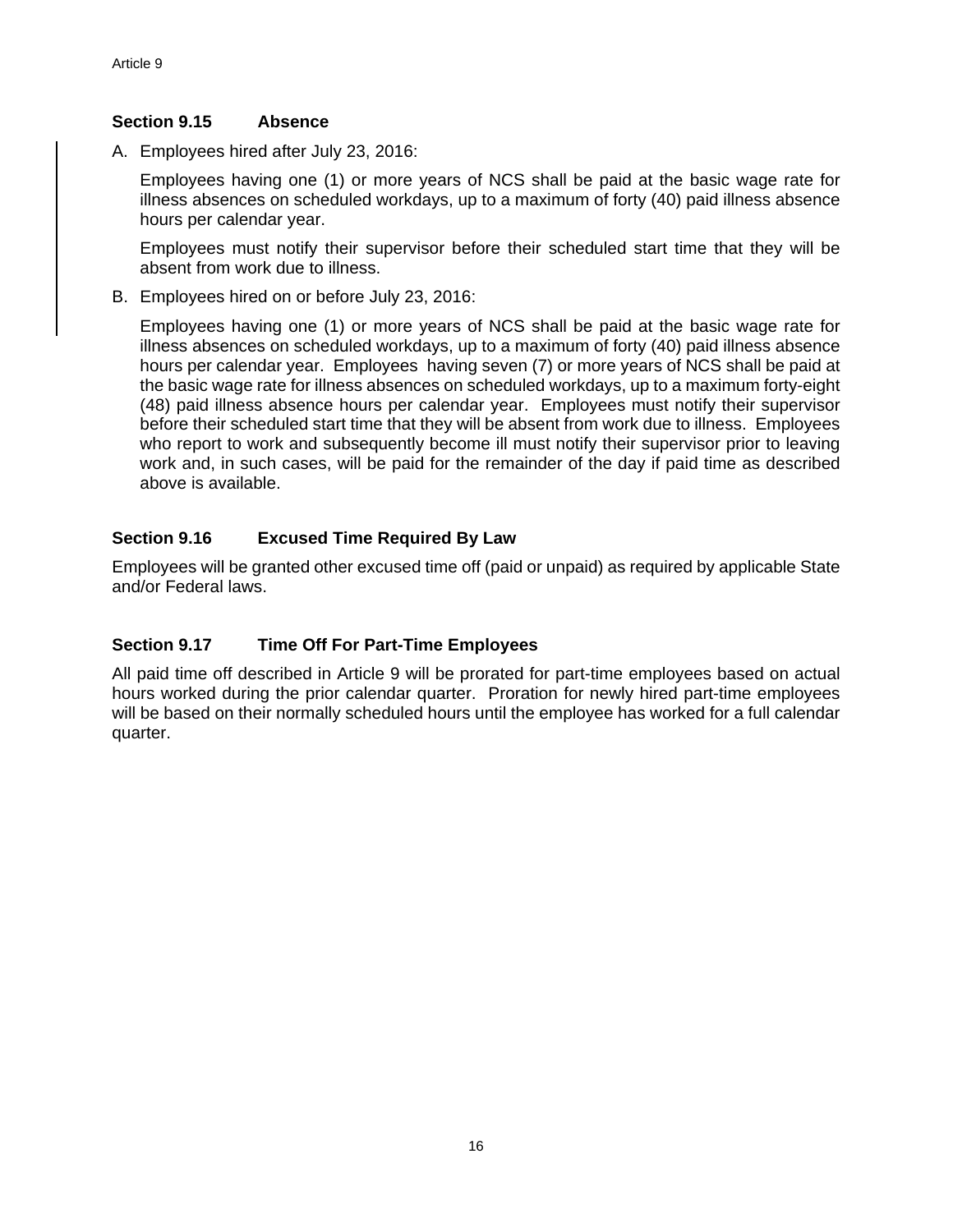# **Section 9.15 Absence**

A. Employees hired after July 23, 2016:

Employees having one (1) or more years of NCS shall be paid at the basic wage rate for illness absences on scheduled workdays, up to a maximum of forty (40) paid illness absence hours per calendar year.

Employees must notify their supervisor before their scheduled start time that they will be absent from work due to illness.

B. Employees hired on or before July 23, 2016:

Employees having one (1) or more years of NCS shall be paid at the basic wage rate for illness absences on scheduled workdays, up to a maximum of forty (40) paid illness absence hours per calendar year. Employees having seven (7) or more years of NCS shall be paid at the basic wage rate for illness absences on scheduled workdays, up to a maximum forty-eight (48) paid illness absence hours per calendar year. Employees must notify their supervisor before their scheduled start time that they will be absent from work due to illness. Employees who report to work and subsequently become ill must notify their supervisor prior to leaving work and, in such cases, will be paid for the remainder of the day if paid time as described above is available.

# **Section 9.16 Excused Time Required By Law**

Employees will be granted other excused time off (paid or unpaid) as required by applicable State and/or Federal laws.

# **Section 9.17 Time Off For Part-Time Employees**

All paid time off described in Article 9 will be prorated for part-time employees based on actual hours worked during the prior calendar quarter. Proration for newly hired part-time employees will be based on their normally scheduled hours until the employee has worked for a full calendar quarter.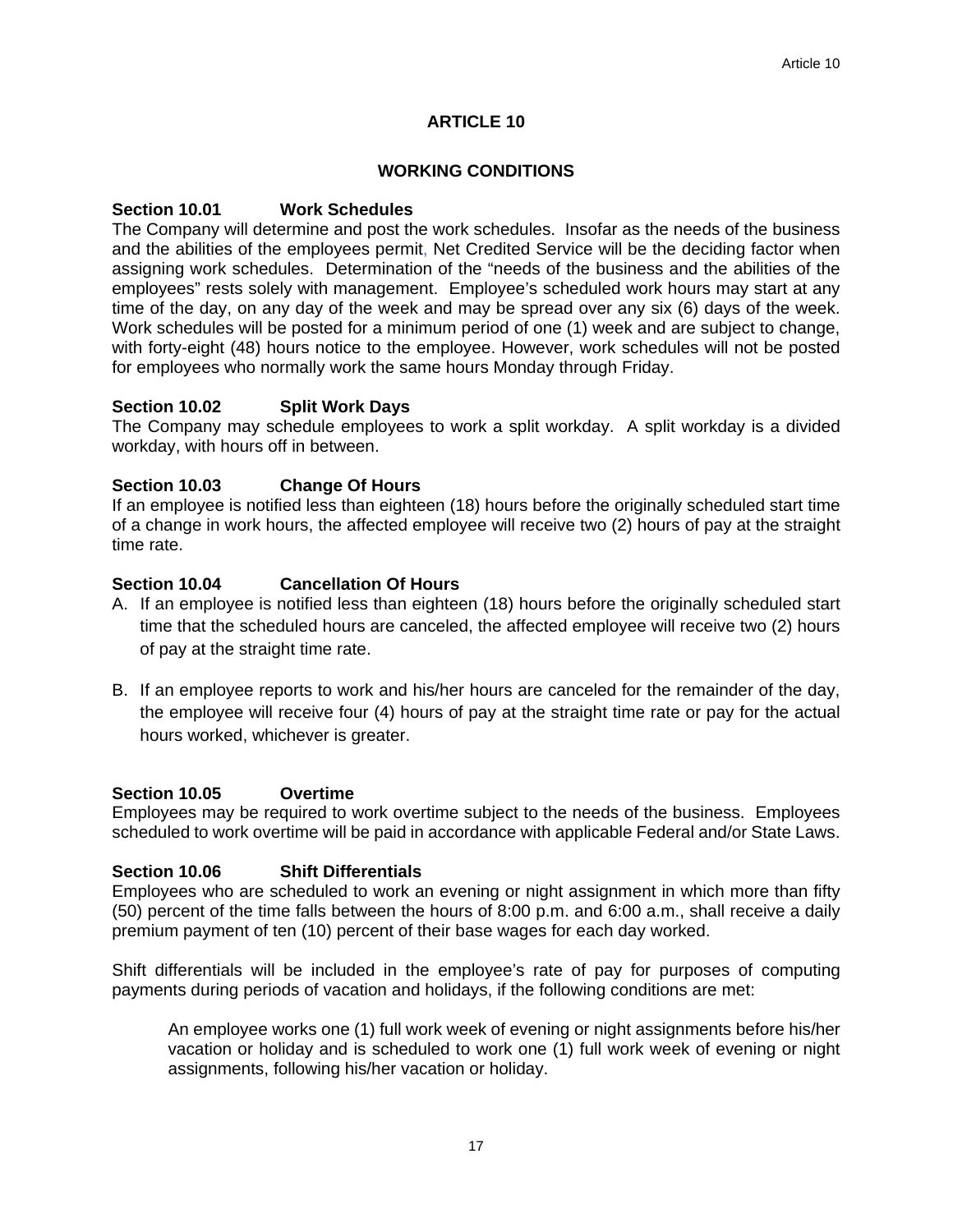#### **WORKING CONDITIONS**

#### **Section 10.01 Work Schedules**

The Company will determine and post the work schedules. Insofar as the needs of the business and the abilities of the employees permit, Net Credited Service will be the deciding factor when assigning work schedules. Determination of the "needs of the business and the abilities of the employees" rests solely with management. Employee's scheduled work hours may start at any time of the day, on any day of the week and may be spread over any six (6) days of the week. Work schedules will be posted for a minimum period of one (1) week and are subject to change, with forty-eight (48) hours notice to the employee. However, work schedules will not be posted for employees who normally work the same hours Monday through Friday.

#### **Section 10.02 Split Work Days**

The Company may schedule employees to work a split workday. A split workday is a divided workday, with hours off in between.

#### **Section 10.03 Change Of Hours**

If an employee is notified less than eighteen (18) hours before the originally scheduled start time of a change in work hours, the affected employee will receive two (2) hours of pay at the straight time rate.

#### **Section 10.04 Cancellation Of Hours**

- A. If an employee is notified less than eighteen (18) hours before the originally scheduled start time that the scheduled hours are canceled, the affected employee will receive two (2) hours of pay at the straight time rate.
- B. If an employee reports to work and his/her hours are canceled for the remainder of the day, the employee will receive four (4) hours of pay at the straight time rate or pay for the actual hours worked, whichever is greater.

#### **Section 10.05 Overtime**

Employees may be required to work overtime subject to the needs of the business. Employees scheduled to work overtime will be paid in accordance with applicable Federal and/or State Laws.

#### **Section 10.06 Shift Differentials**

Employees who are scheduled to work an evening or night assignment in which more than fifty (50) percent of the time falls between the hours of 8:00 p.m. and 6:00 a.m., shall receive a daily premium payment of ten (10) percent of their base wages for each day worked.

Shift differentials will be included in the employee's rate of pay for purposes of computing payments during periods of vacation and holidays, if the following conditions are met:

An employee works one (1) full work week of evening or night assignments before his/her vacation or holiday and is scheduled to work one (1) full work week of evening or night assignments, following his/her vacation or holiday.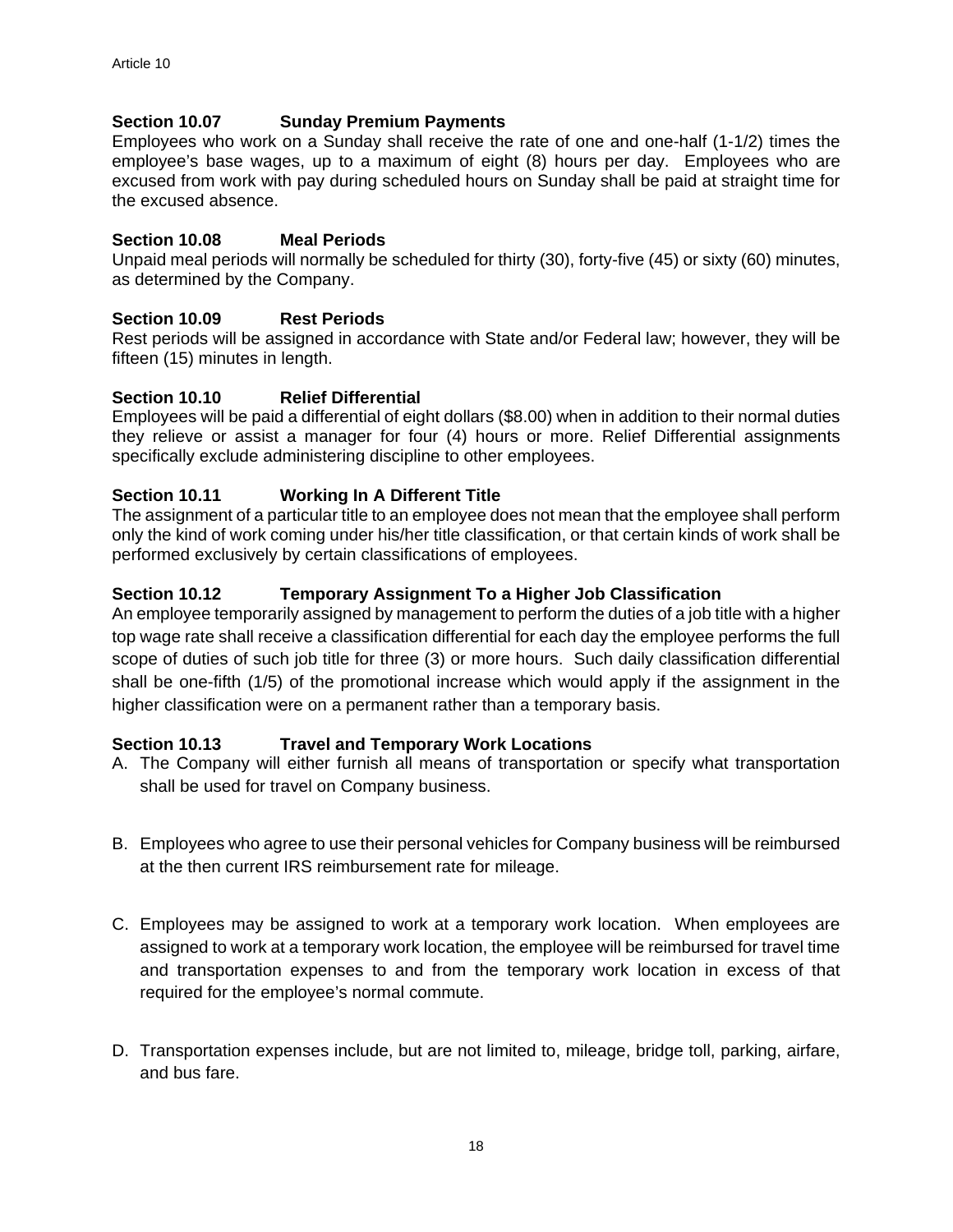# **Section 10.07 Sunday Premium Payments**

Employees who work on a Sunday shall receive the rate of one and one-half (1-1/2) times the employee's base wages, up to a maximum of eight (8) hours per day. Employees who are excused from work with pay during scheduled hours on Sunday shall be paid at straight time for the excused absence.

# **Section 10.08 Meal Periods**

Unpaid meal periods will normally be scheduled for thirty (30), forty-five (45) or sixty (60) minutes, as determined by the Company.

# **Section 10.09 Rest Periods**

Rest periods will be assigned in accordance with State and/or Federal law; however, they will be fifteen (15) minutes in length.

#### **Section 10.10 Relief Differential**

Employees will be paid a differential of eight dollars (\$8.00) when in addition to their normal duties they relieve or assist a manager for four (4) hours or more. Relief Differential assignments specifically exclude administering discipline to other employees.

# **Section 10.11 Working In A Different Title**

The assignment of a particular title to an employee does not mean that the employee shall perform only the kind of work coming under his/her title classification, or that certain kinds of work shall be performed exclusively by certain classifications of employees.

#### **Section 10.12 Temporary Assignment To a Higher Job Classification**

An employee temporarily assigned by management to perform the duties of a job title with a higher top wage rate shall receive a classification differential for each day the employee performs the full scope of duties of such job title for three (3) or more hours. Such daily classification differential shall be one-fifth (1/5) of the promotional increase which would apply if the assignment in the higher classification were on a permanent rather than a temporary basis.

# **Section 10.13 Travel and Temporary Work Locations**

- A. The Company will either furnish all means of transportation or specify what transportation shall be used for travel on Company business.
- B. Employees who agree to use their personal vehicles for Company business will be reimbursed at the then current IRS reimbursement rate for mileage.
- C. Employees may be assigned to work at a temporary work location. When employees are assigned to work at a temporary work location, the employee will be reimbursed for travel time and transportation expenses to and from the temporary work location in excess of that required for the employee's normal commute.
- D. Transportation expenses include, but are not limited to, mileage, bridge toll, parking, airfare, and bus fare.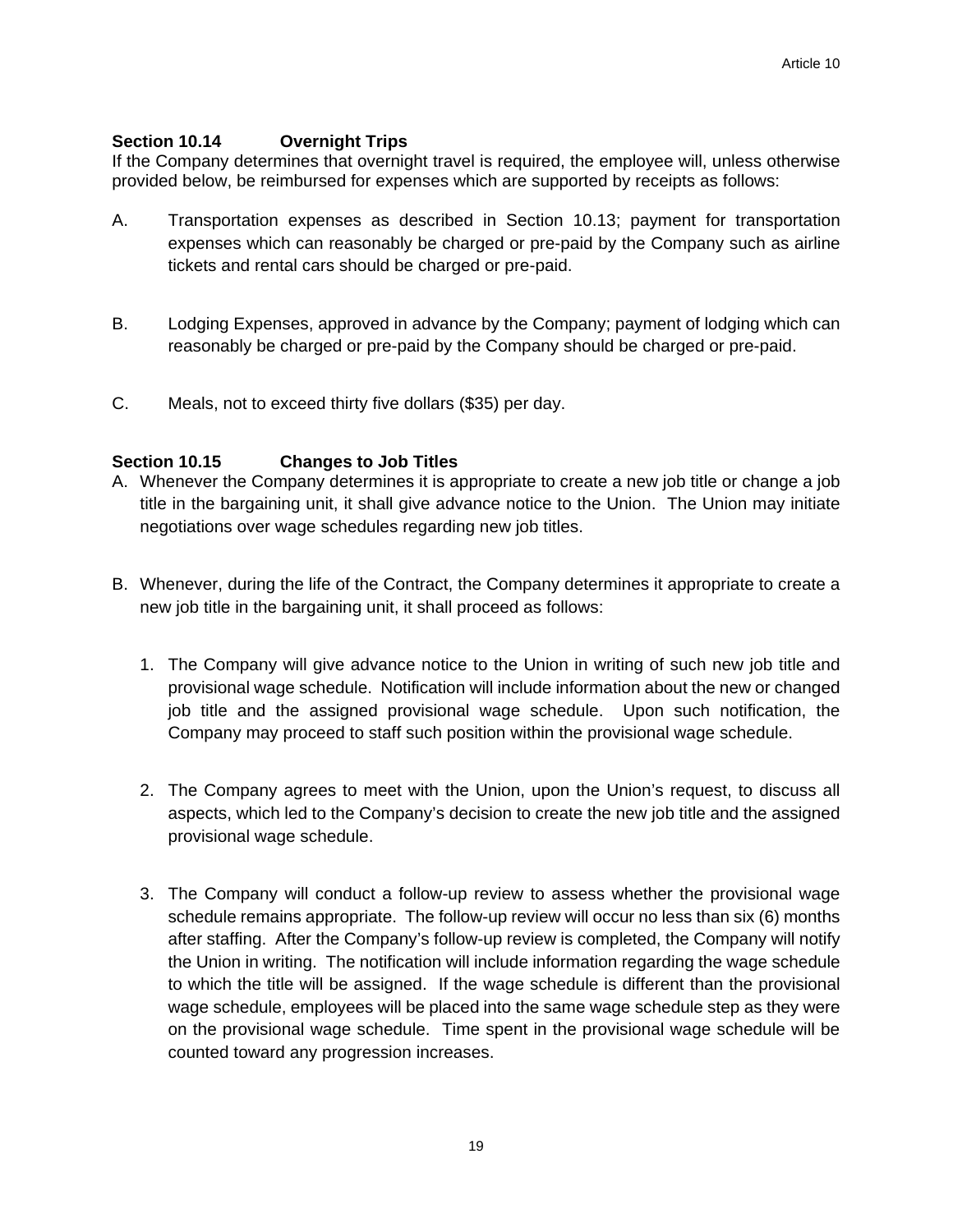# **Section 10.14 Overnight Trips**

If the Company determines that overnight travel is required, the employee will, unless otherwise provided below, be reimbursed for expenses which are supported by receipts as follows:

- A. Transportation expenses as described in Section 10.13; payment for transportation expenses which can reasonably be charged or pre-paid by the Company such as airline tickets and rental cars should be charged or pre-paid.
- B. Lodging Expenses, approved in advance by the Company; payment of lodging which can reasonably be charged or pre-paid by the Company should be charged or pre-paid.
- C. Meals, not to exceed thirty five dollars (\$35) per day.

# **Section 10.15 Changes to Job Titles**

- A. Whenever the Company determines it is appropriate to create a new job title or change a job title in the bargaining unit, it shall give advance notice to the Union. The Union may initiate negotiations over wage schedules regarding new job titles.
- B. Whenever, during the life of the Contract, the Company determines it appropriate to create a new job title in the bargaining unit, it shall proceed as follows:
	- 1. The Company will give advance notice to the Union in writing of such new job title and provisional wage schedule. Notification will include information about the new or changed job title and the assigned provisional wage schedule. Upon such notification, the Company may proceed to staff such position within the provisional wage schedule.
	- 2. The Company agrees to meet with the Union, upon the Union's request, to discuss all aspects, which led to the Company's decision to create the new job title and the assigned provisional wage schedule.
	- 3. The Company will conduct a follow-up review to assess whether the provisional wage schedule remains appropriate. The follow-up review will occur no less than six (6) months after staffing. After the Company's follow-up review is completed, the Company will notify the Union in writing. The notification will include information regarding the wage schedule to which the title will be assigned. If the wage schedule is different than the provisional wage schedule, employees will be placed into the same wage schedule step as they were on the provisional wage schedule. Time spent in the provisional wage schedule will be counted toward any progression increases.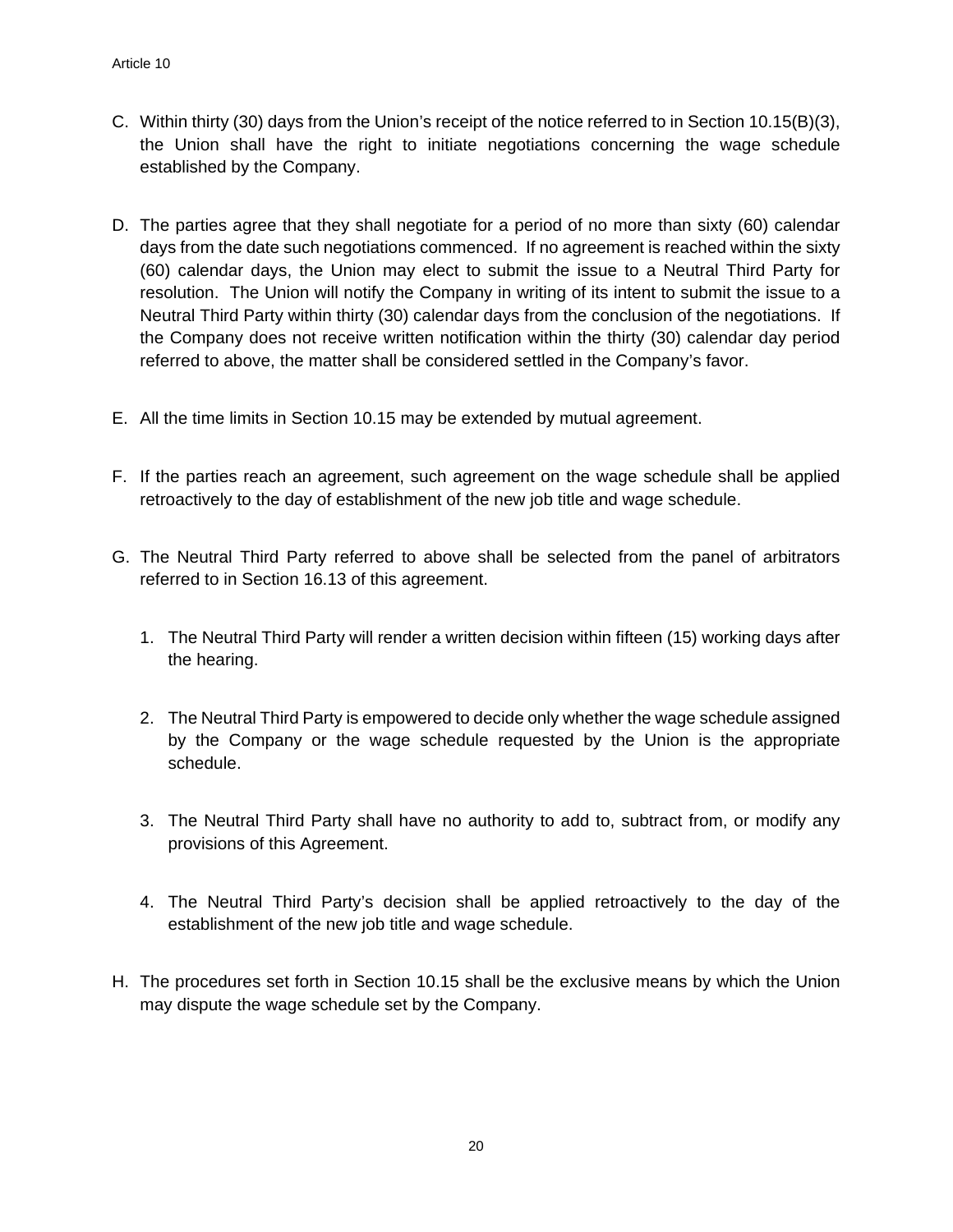- C. Within thirty (30) days from the Union's receipt of the notice referred to in Section 10.15(B)(3), the Union shall have the right to initiate negotiations concerning the wage schedule established by the Company.
- D. The parties agree that they shall negotiate for a period of no more than sixty (60) calendar days from the date such negotiations commenced. If no agreement is reached within the sixty (60) calendar days, the Union may elect to submit the issue to a Neutral Third Party for resolution. The Union will notify the Company in writing of its intent to submit the issue to a Neutral Third Party within thirty (30) calendar days from the conclusion of the negotiations. If the Company does not receive written notification within the thirty (30) calendar day period referred to above, the matter shall be considered settled in the Company's favor.
- E. All the time limits in Section 10.15 may be extended by mutual agreement.
- F. If the parties reach an agreement, such agreement on the wage schedule shall be applied retroactively to the day of establishment of the new job title and wage schedule.
- G. The Neutral Third Party referred to above shall be selected from the panel of arbitrators referred to in Section 16.13 of this agreement.
	- 1. The Neutral Third Party will render a written decision within fifteen (15) working days after the hearing.
	- 2. The Neutral Third Party is empowered to decide only whether the wage schedule assigned by the Company or the wage schedule requested by the Union is the appropriate schedule.
	- 3. The Neutral Third Party shall have no authority to add to, subtract from, or modify any provisions of this Agreement.
	- 4. The Neutral Third Party's decision shall be applied retroactively to the day of the establishment of the new job title and wage schedule.
- H. The procedures set forth in Section 10.15 shall be the exclusive means by which the Union may dispute the wage schedule set by the Company.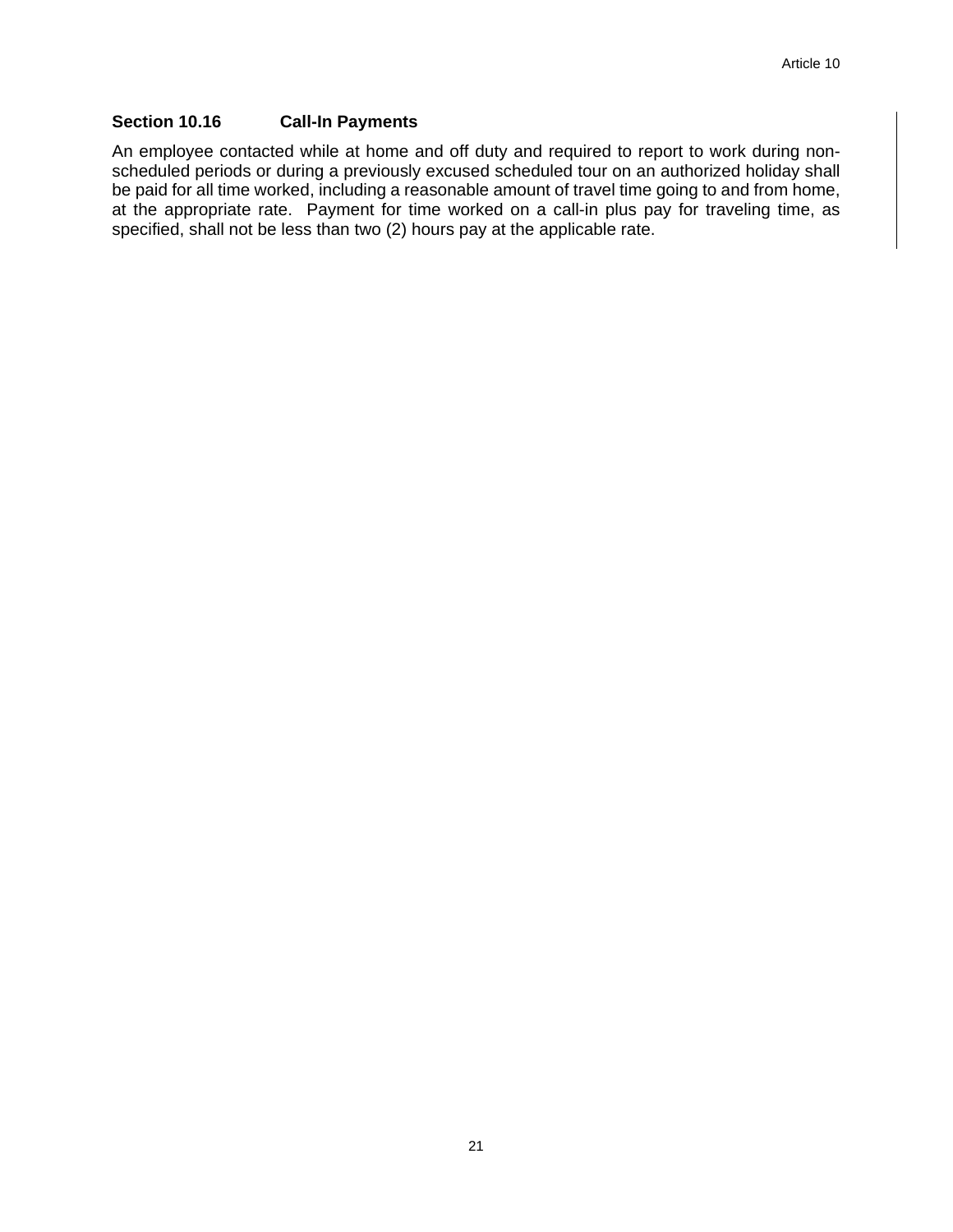# **Section 10.16 Call-In Payments**

An employee contacted while at home and off duty and required to report to work during nonscheduled periods or during a previously excused scheduled tour on an authorized holiday shall be paid for all time worked, including a reasonable amount of travel time going to and from home, at the appropriate rate. Payment for time worked on a call-in plus pay for traveling time, as specified, shall not be less than two (2) hours pay at the applicable rate.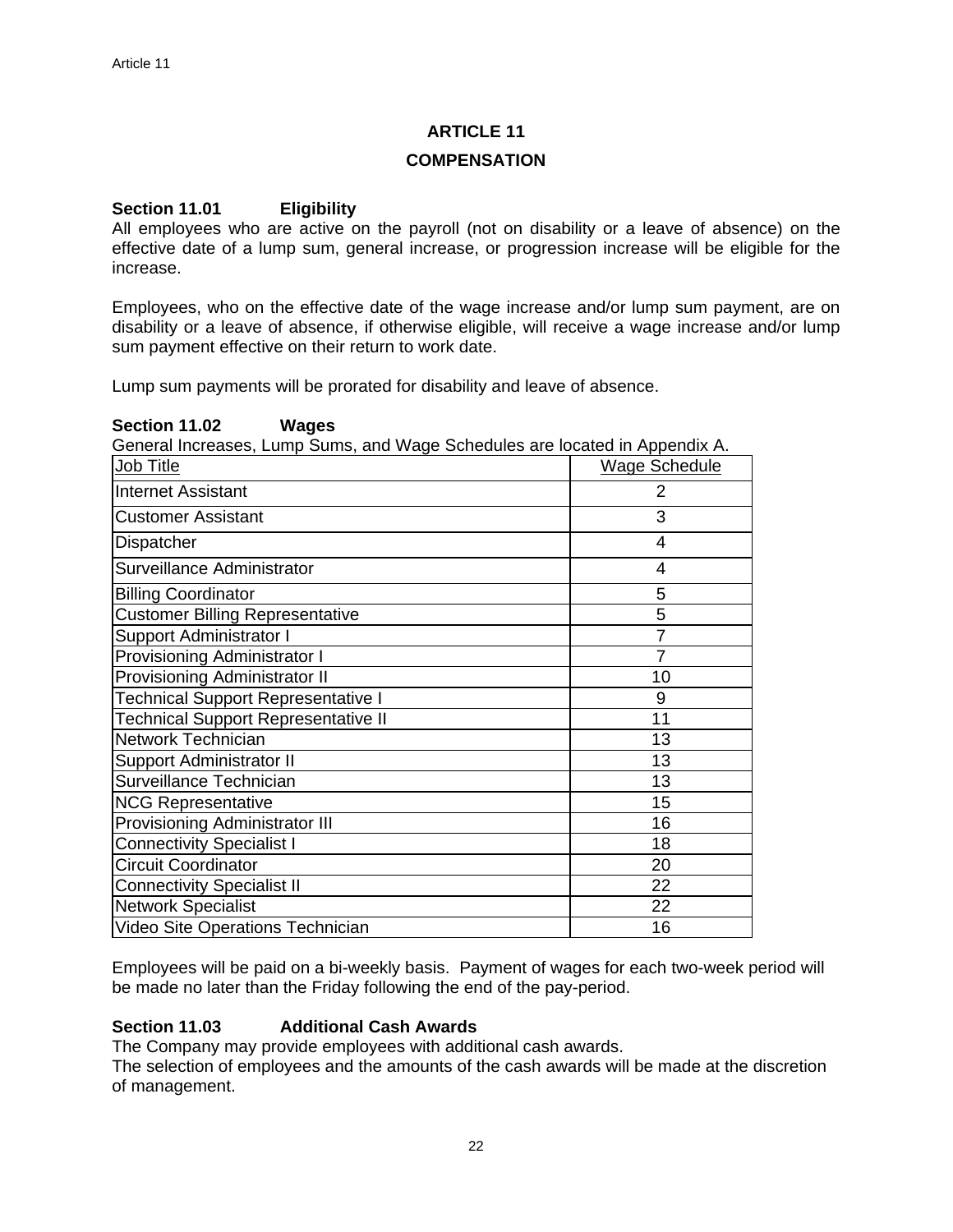#### **COMPENSATION**

# **Section 11.01 Eligibility**

All employees who are active on the payroll (not on disability or a leave of absence) on the effective date of a lump sum, general increase, or progression increase will be eligible for the increase.

Employees, who on the effective date of the wage increase and/or lump sum payment, are on disability or a leave of absence, if otherwise eligible, will receive a wage increase and/or lump sum payment effective on their return to work date.

Lump sum payments will be prorated for disability and leave of absence.

#### **Section 11.02 Wages**

General Increases, Lump Sums, and Wage Schedules are located in Appendix A.

| Job Title                                  | Wage Schedule  |
|--------------------------------------------|----------------|
| <b>Internet Assistant</b>                  | 2              |
| <b>Customer Assistant</b>                  | 3              |
| Dispatcher                                 | 4              |
| Surveillance Administrator                 | $\overline{4}$ |
| <b>Billing Coordinator</b>                 | 5              |
| <b>Customer Billing Representative</b>     | 5              |
| <b>Support Administrator I</b>             | $\overline{7}$ |
| Provisioning Administrator I               | 7              |
| Provisioning Administrator II              | 10             |
| <b>Technical Support Representative I</b>  | 9              |
| <b>Technical Support Representative II</b> | 11             |
| <b>Network Technician</b>                  | 13             |
| <b>Support Administrator II</b>            | 13             |
| Surveillance Technician                    | 13             |
| <b>NCG Representative</b>                  | 15             |
| <b>Provisioning Administrator III</b>      | 16             |
| <b>Connectivity Specialist I</b>           | 18             |
| <b>Circuit Coordinator</b>                 | 20             |
| <b>Connectivity Specialist II</b>          | 22             |
| <b>Network Specialist</b>                  | 22             |
| Video Site Operations Technician           | 16             |

Employees will be paid on a bi-weekly basis. Payment of wages for each two-week period will be made no later than the Friday following the end of the pay-period.

# **Section 11.03 Additional Cash Awards**

The Company may provide employees with additional cash awards.

The selection of employees and the amounts of the cash awards will be made at the discretion of management.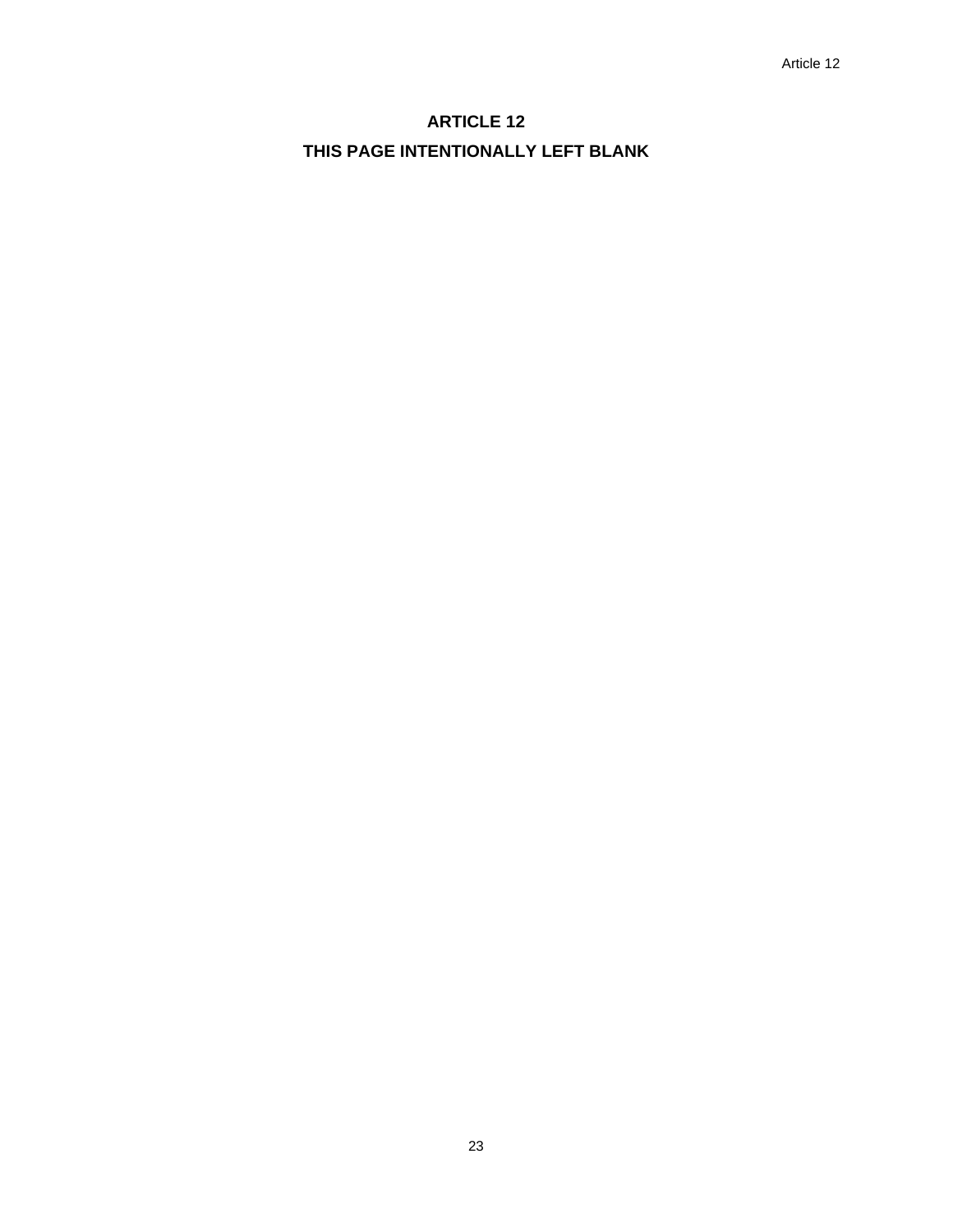# **ARTICLE 12 THIS PAGE INTENTIONALLY LEFT BLANK**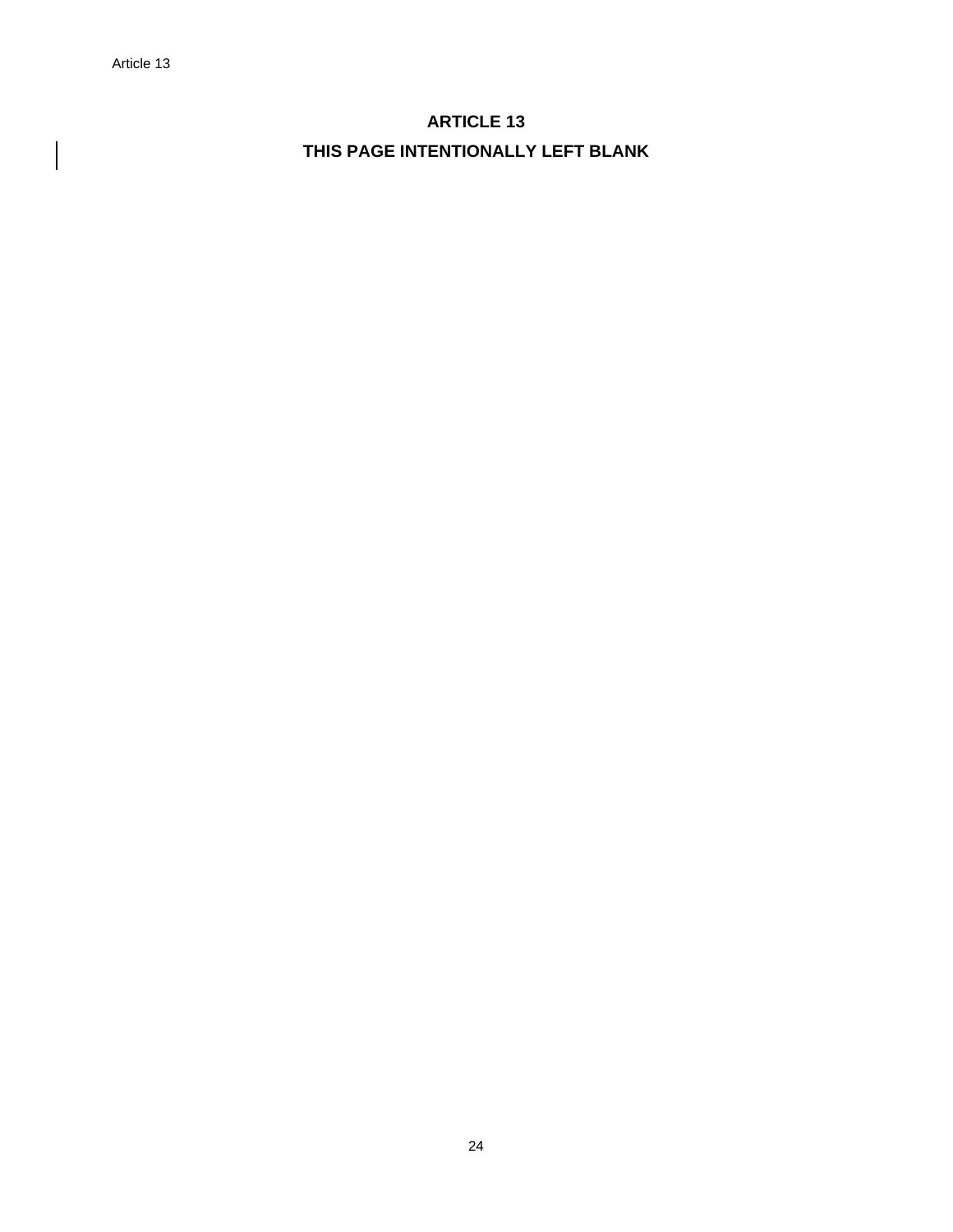$\overline{\phantom{a}}$ 

# **ARTICLE 13 THIS PAGE INTENTIONALLY LEFT BLANK**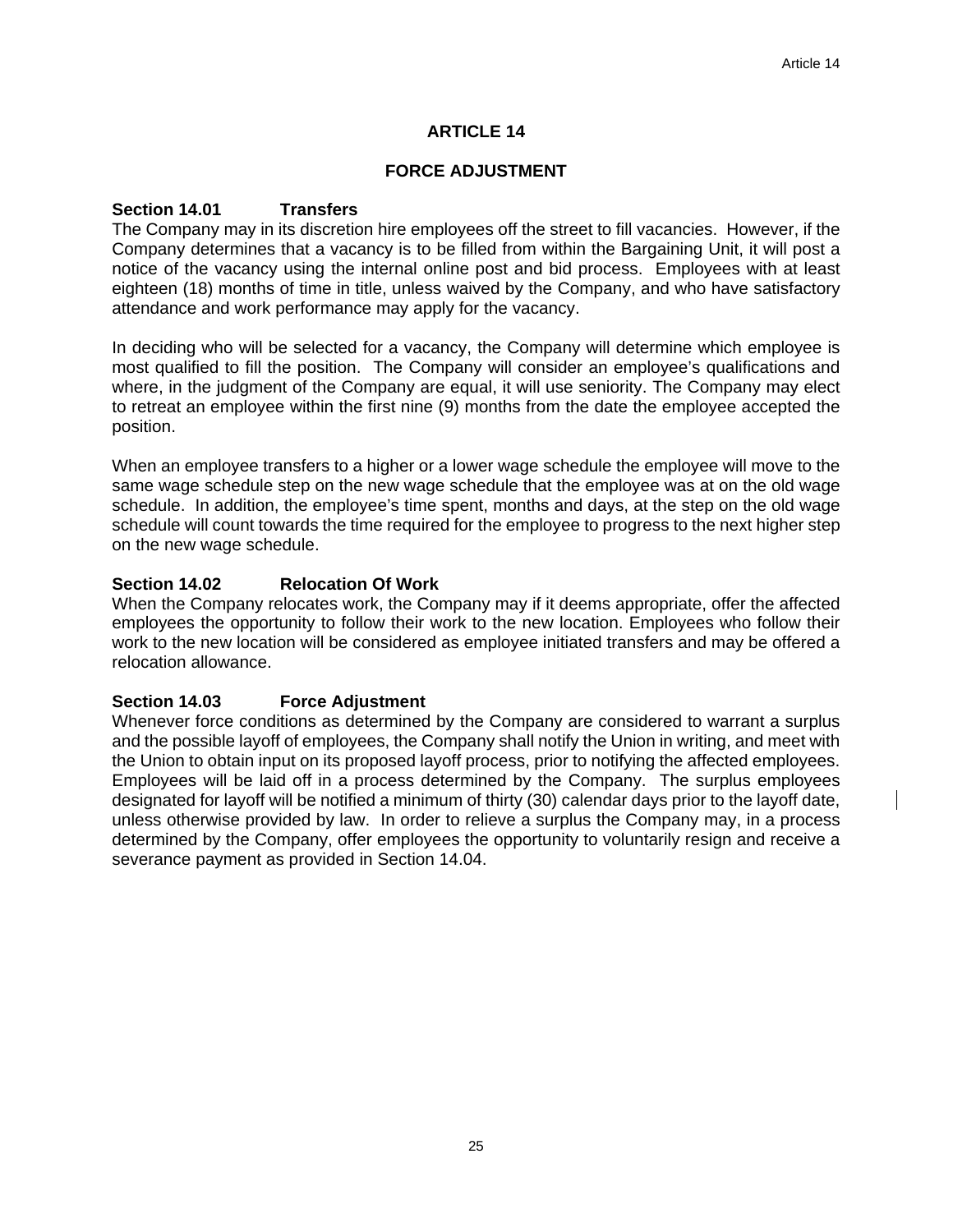# **FORCE ADJUSTMENT**

# **Section 14.01 Transfers**

The Company may in its discretion hire employees off the street to fill vacancies. However, if the Company determines that a vacancy is to be filled from within the Bargaining Unit, it will post a notice of the vacancy using the internal online post and bid process. Employees with at least eighteen (18) months of time in title, unless waived by the Company, and who have satisfactory attendance and work performance may apply for the vacancy.

In deciding who will be selected for a vacancy, the Company will determine which employee is most qualified to fill the position. The Company will consider an employee's qualifications and where, in the judgment of the Company are equal, it will use seniority. The Company may elect to retreat an employee within the first nine (9) months from the date the employee accepted the position.

When an employee transfers to a higher or a lower wage schedule the employee will move to the same wage schedule step on the new wage schedule that the employee was at on the old wage schedule. In addition, the employee's time spent, months and days, at the step on the old wage schedule will count towards the time required for the employee to progress to the next higher step on the new wage schedule.

# **Section 14.02 Relocation Of Work**

When the Company relocates work, the Company may if it deems appropriate, offer the affected employees the opportunity to follow their work to the new location. Employees who follow their work to the new location will be considered as employee initiated transfers and may be offered a relocation allowance.

# **Section 14.03 Force Adjustment**

Whenever force conditions as determined by the Company are considered to warrant a surplus and the possible layoff of employees, the Company shall notify the Union in writing, and meet with the Union to obtain input on its proposed layoff process, prior to notifying the affected employees. Employees will be laid off in a process determined by the Company. The surplus employees designated for layoff will be notified a minimum of thirty (30) calendar days prior to the layoff date, unless otherwise provided by law. In order to relieve a surplus the Company may, in a process determined by the Company, offer employees the opportunity to voluntarily resign and receive a severance payment as provided in Section 14.04.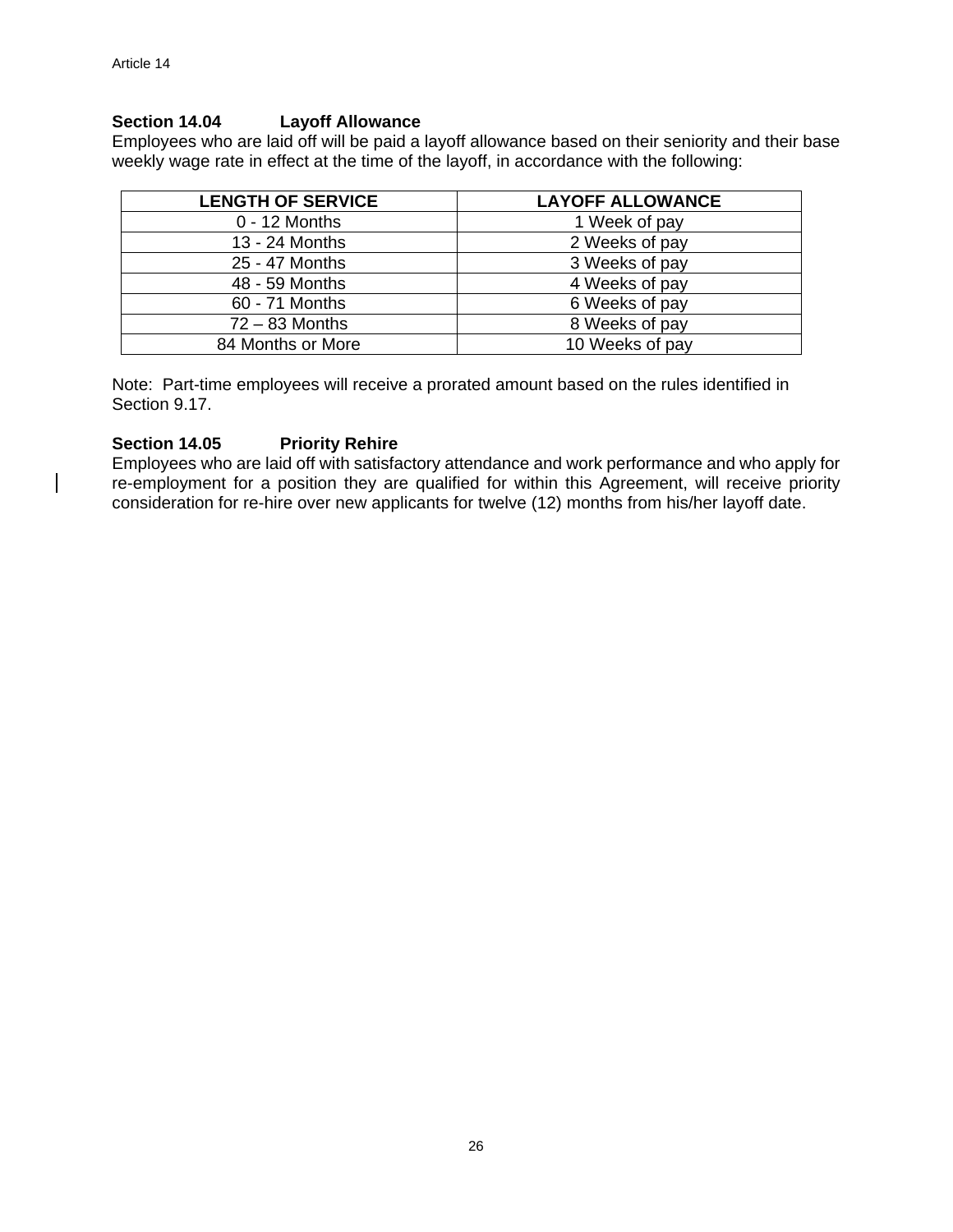# **Section 14.04 Layoff Allowance**

Employees who are laid off will be paid a layoff allowance based on their seniority and their base weekly wage rate in effect at the time of the layoff, in accordance with the following:

| <b>LENGTH OF SERVICE</b> | <b>LAYOFF ALLOWANCE</b> |
|--------------------------|-------------------------|
| $0 - 12$ Months          | 1 Week of pay           |
| 13 - 24 Months           | 2 Weeks of pay          |
| 25 - 47 Months           | 3 Weeks of pay          |
| 48 - 59 Months           | 4 Weeks of pay          |
| 60 - 71 Months           | 6 Weeks of pay          |
| $72 - 83$ Months         | 8 Weeks of pay          |
| 84 Months or More        | 10 Weeks of pay         |

Note: Part-time employees will receive a prorated amount based on the rules identified in Section 9.17.

#### **Section 14.05 Priority Rehire**

Employees who are laid off with satisfactory attendance and work performance and who apply for re-employment for a position they are qualified for within this Agreement, will receive priority consideration for re-hire over new applicants for twelve (12) months from his/her layoff date.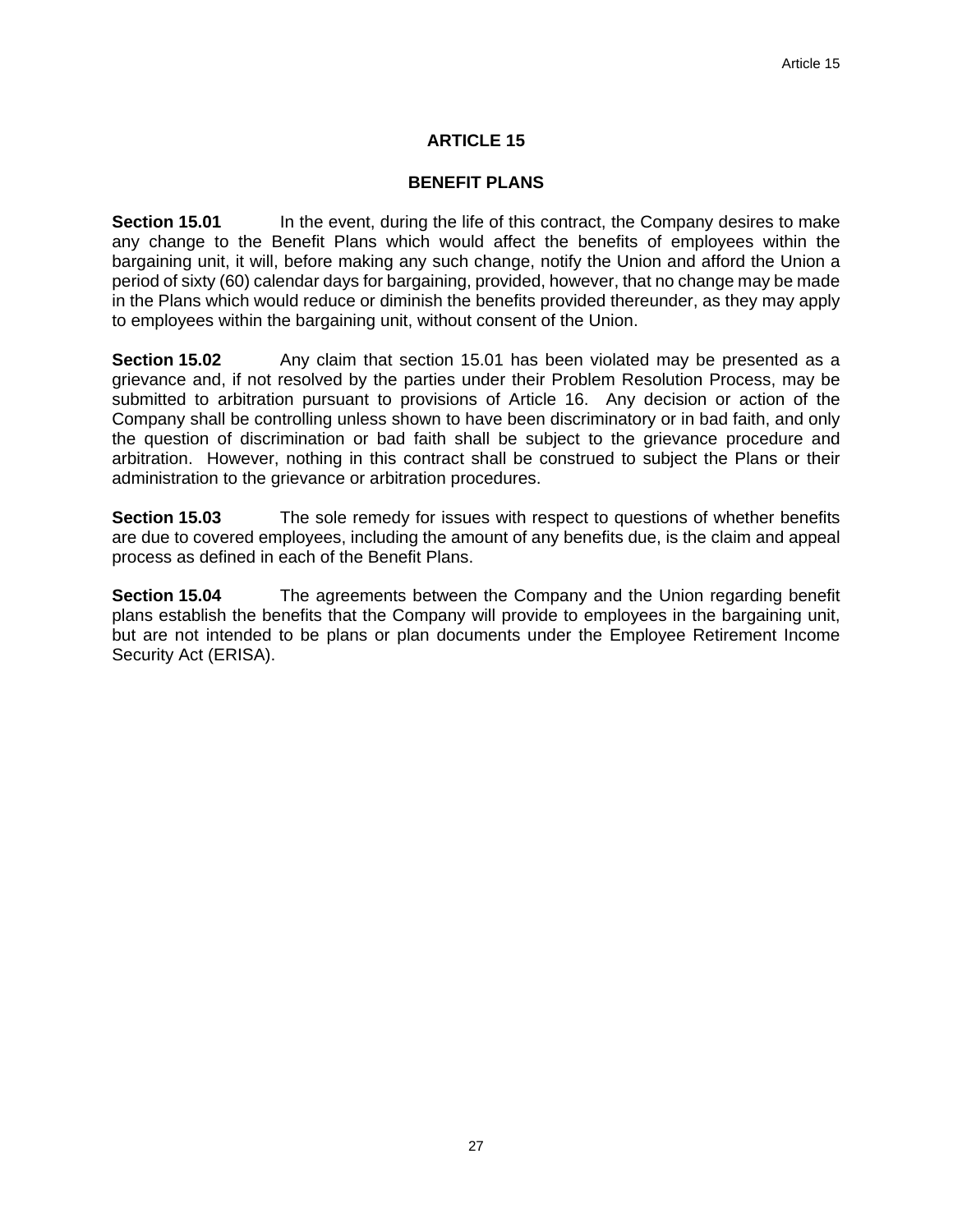#### **BENEFIT PLANS**

**Section 15.01** In the event, during the life of this contract, the Company desires to make any change to the Benefit Plans which would affect the benefits of employees within the bargaining unit, it will, before making any such change, notify the Union and afford the Union a period of sixty (60) calendar days for bargaining, provided, however, that no change may be made in the Plans which would reduce or diminish the benefits provided thereunder, as they may apply to employees within the bargaining unit, without consent of the Union.

**Section 15.02** Any claim that section 15.01 has been violated may be presented as a grievance and, if not resolved by the parties under their Problem Resolution Process, may be submitted to arbitration pursuant to provisions of Article 16. Any decision or action of the Company shall be controlling unless shown to have been discriminatory or in bad faith, and only the question of discrimination or bad faith shall be subject to the grievance procedure and arbitration. However, nothing in this contract shall be construed to subject the Plans or their administration to the grievance or arbitration procedures.

**Section 15.03** The sole remedy for issues with respect to questions of whether benefits are due to covered employees, including the amount of any benefits due, is the claim and appeal process as defined in each of the Benefit Plans.

**Section 15.04** The agreements between the Company and the Union regarding benefit plans establish the benefits that the Company will provide to employees in the bargaining unit, but are not intended to be plans or plan documents under the Employee Retirement Income Security Act (ERISA).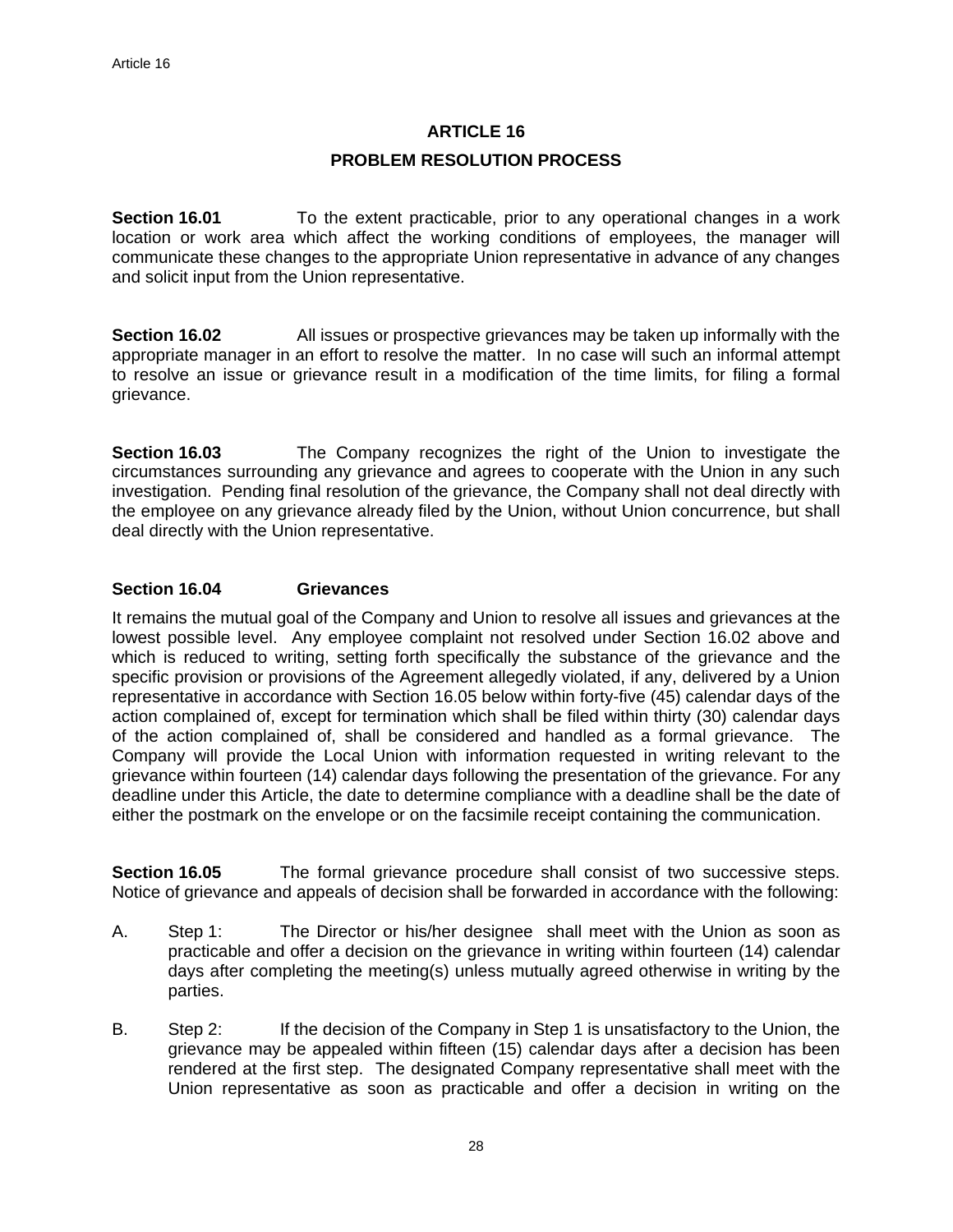#### **PROBLEM RESOLUTION PROCESS**

**Section 16.01** To the extent practicable, prior to any operational changes in a work location or work area which affect the working conditions of employees, the manager will communicate these changes to the appropriate Union representative in advance of any changes and solicit input from the Union representative.

**Section 16.02** All issues or prospective grievances may be taken up informally with the appropriate manager in an effort to resolve the matter. In no case will such an informal attempt to resolve an issue or grievance result in a modification of the time limits, for filing a formal grievance.

**Section 16.03** The Company recognizes the right of the Union to investigate the circumstances surrounding any grievance and agrees to cooperate with the Union in any such investigation. Pending final resolution of the grievance, the Company shall not deal directly with the employee on any grievance already filed by the Union, without Union concurrence, but shall deal directly with the Union representative.

#### **Section 16.04 Grievances**

It remains the mutual goal of the Company and Union to resolve all issues and grievances at the lowest possible level. Any employee complaint not resolved under Section 16.02 above and which is reduced to writing, setting forth specifically the substance of the grievance and the specific provision or provisions of the Agreement allegedly violated, if any, delivered by a Union representative in accordance with Section 16.05 below within forty-five (45) calendar days of the action complained of, except for termination which shall be filed within thirty (30) calendar days of the action complained of, shall be considered and handled as a formal grievance. The Company will provide the Local Union with information requested in writing relevant to the grievance within fourteen (14) calendar days following the presentation of the grievance. For any deadline under this Article, the date to determine compliance with a deadline shall be the date of either the postmark on the envelope or on the facsimile receipt containing the communication.

**Section 16.05** The formal grievance procedure shall consist of two successive steps. Notice of grievance and appeals of decision shall be forwarded in accordance with the following:

- A. Step 1: The Director or his/her designee shall meet with the Union as soon as practicable and offer a decision on the grievance in writing within fourteen (14) calendar days after completing the meeting(s) unless mutually agreed otherwise in writing by the parties.
- B. Step 2: If the decision of the Company in Step 1 is unsatisfactory to the Union, the grievance may be appealed within fifteen (15) calendar days after a decision has been rendered at the first step. The designated Company representative shall meet with the Union representative as soon as practicable and offer a decision in writing on the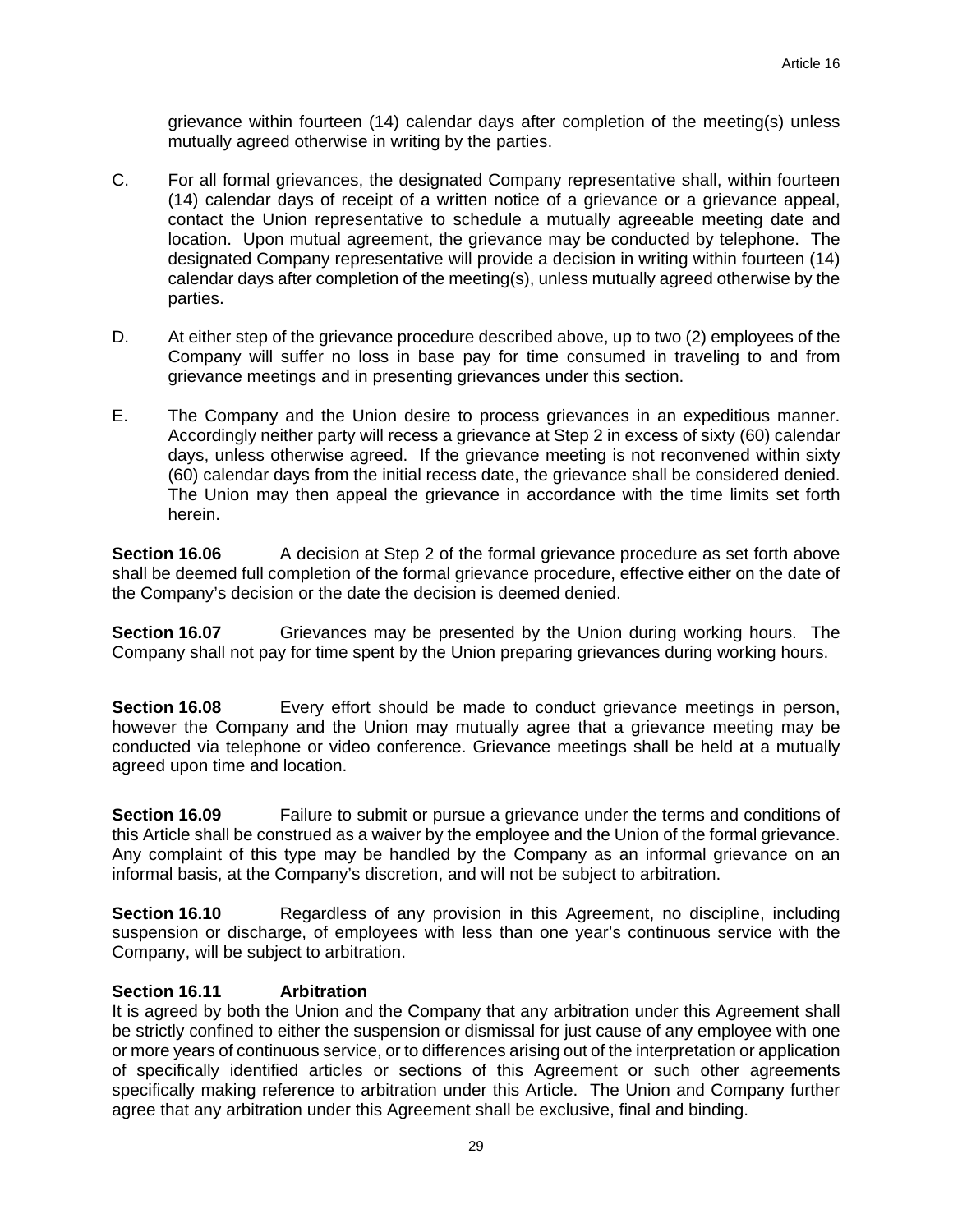grievance within fourteen (14) calendar days after completion of the meeting(s) unless mutually agreed otherwise in writing by the parties.

- C. For all formal grievances, the designated Company representative shall, within fourteen (14) calendar days of receipt of a written notice of a grievance or a grievance appeal, contact the Union representative to schedule a mutually agreeable meeting date and location. Upon mutual agreement, the grievance may be conducted by telephone. The designated Company representative will provide a decision in writing within fourteen (14) calendar days after completion of the meeting(s), unless mutually agreed otherwise by the parties.
- D. At either step of the grievance procedure described above, up to two (2) employees of the Company will suffer no loss in base pay for time consumed in traveling to and from grievance meetings and in presenting grievances under this section.
- E. The Company and the Union desire to process grievances in an expeditious manner. Accordingly neither party will recess a grievance at Step 2 in excess of sixty (60) calendar days, unless otherwise agreed. If the grievance meeting is not reconvened within sixty (60) calendar days from the initial recess date, the grievance shall be considered denied. The Union may then appeal the grievance in accordance with the time limits set forth herein.

**Section 16.06** A decision at Step 2 of the formal grievance procedure as set forth above shall be deemed full completion of the formal grievance procedure, effective either on the date of the Company's decision or the date the decision is deemed denied.

**Section 16.07** Grievances may be presented by the Union during working hours. The Company shall not pay for time spent by the Union preparing grievances during working hours.

**Section 16.08** Every effort should be made to conduct grievance meetings in person, however the Company and the Union may mutually agree that a grievance meeting may be conducted via telephone or video conference. Grievance meetings shall be held at a mutually agreed upon time and location.

**Section 16.09** Failure to submit or pursue a grievance under the terms and conditions of this Article shall be construed as a waiver by the employee and the Union of the formal grievance. Any complaint of this type may be handled by the Company as an informal grievance on an informal basis, at the Company's discretion, and will not be subject to arbitration.

**Section 16.10** Regardless of any provision in this Agreement, no discipline, including suspension or discharge, of employees with less than one year's continuous service with the Company, will be subject to arbitration.

# **Section 16.11 Arbitration**

It is agreed by both the Union and the Company that any arbitration under this Agreement shall be strictly confined to either the suspension or dismissal for just cause of any employee with one or more years of continuous service, or to differences arising out of the interpretation or application of specifically identified articles or sections of this Agreement or such other agreements specifically making reference to arbitration under this Article. The Union and Company further agree that any arbitration under this Agreement shall be exclusive, final and binding.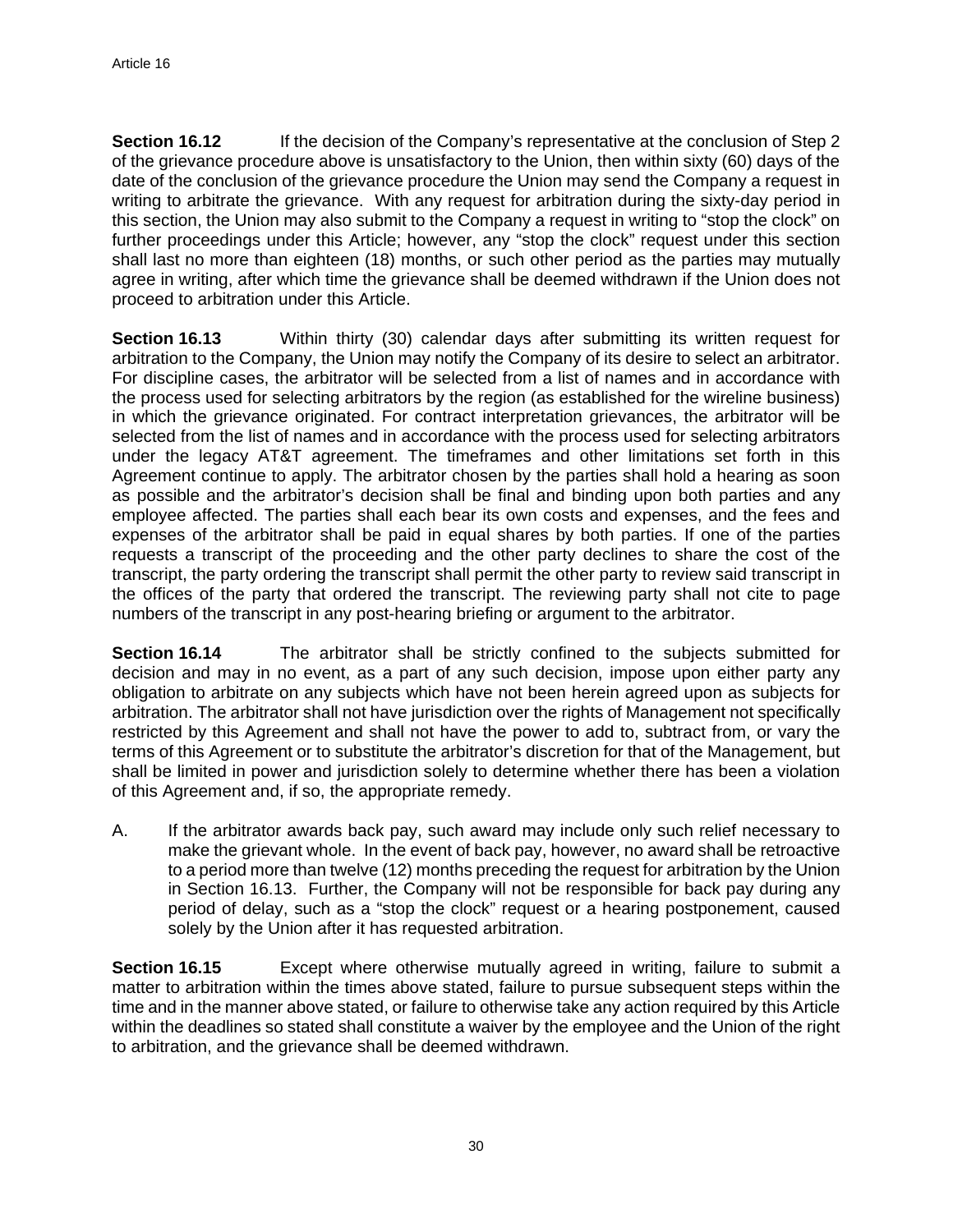**Section 16.12** If the decision of the Company's representative at the conclusion of Step 2 of the grievance procedure above is unsatisfactory to the Union, then within sixty (60) days of the date of the conclusion of the grievance procedure the Union may send the Company a request in writing to arbitrate the grievance. With any request for arbitration during the sixty-day period in this section, the Union may also submit to the Company a request in writing to "stop the clock" on further proceedings under this Article; however, any "stop the clock" request under this section shall last no more than eighteen (18) months, or such other period as the parties may mutually agree in writing, after which time the grievance shall be deemed withdrawn if the Union does not proceed to arbitration under this Article.

**Section 16.13** Within thirty (30) calendar days after submitting its written request for arbitration to the Company, the Union may notify the Company of its desire to select an arbitrator. For discipline cases, the arbitrator will be selected from a list of names and in accordance with the process used for selecting arbitrators by the region (as established for the wireline business) in which the grievance originated. For contract interpretation grievances, the arbitrator will be selected from the list of names and in accordance with the process used for selecting arbitrators under the legacy AT&T agreement. The timeframes and other limitations set forth in this Agreement continue to apply. The arbitrator chosen by the parties shall hold a hearing as soon as possible and the arbitrator's decision shall be final and binding upon both parties and any employee affected. The parties shall each bear its own costs and expenses, and the fees and expenses of the arbitrator shall be paid in equal shares by both parties. If one of the parties requests a transcript of the proceeding and the other party declines to share the cost of the transcript, the party ordering the transcript shall permit the other party to review said transcript in the offices of the party that ordered the transcript. The reviewing party shall not cite to page numbers of the transcript in any post-hearing briefing or argument to the arbitrator.

**Section 16.14** The arbitrator shall be strictly confined to the subjects submitted for decision and may in no event, as a part of any such decision, impose upon either party any obligation to arbitrate on any subjects which have not been herein agreed upon as subjects for arbitration. The arbitrator shall not have jurisdiction over the rights of Management not specifically restricted by this Agreement and shall not have the power to add to, subtract from, or vary the terms of this Agreement or to substitute the arbitrator's discretion for that of the Management, but shall be limited in power and jurisdiction solely to determine whether there has been a violation of this Agreement and, if so, the appropriate remedy.

A. If the arbitrator awards back pay, such award may include only such relief necessary to make the grievant whole. In the event of back pay, however, no award shall be retroactive to a period more than twelve (12) months preceding the request for arbitration by the Union in Section 16.13. Further, the Company will not be responsible for back pay during any period of delay, such as a "stop the clock" request or a hearing postponement, caused solely by the Union after it has requested arbitration.

**Section 16.15** Except where otherwise mutually agreed in writing, failure to submit a matter to arbitration within the times above stated, failure to pursue subsequent steps within the time and in the manner above stated, or failure to otherwise take any action required by this Article within the deadlines so stated shall constitute a waiver by the employee and the Union of the right to arbitration, and the grievance shall be deemed withdrawn.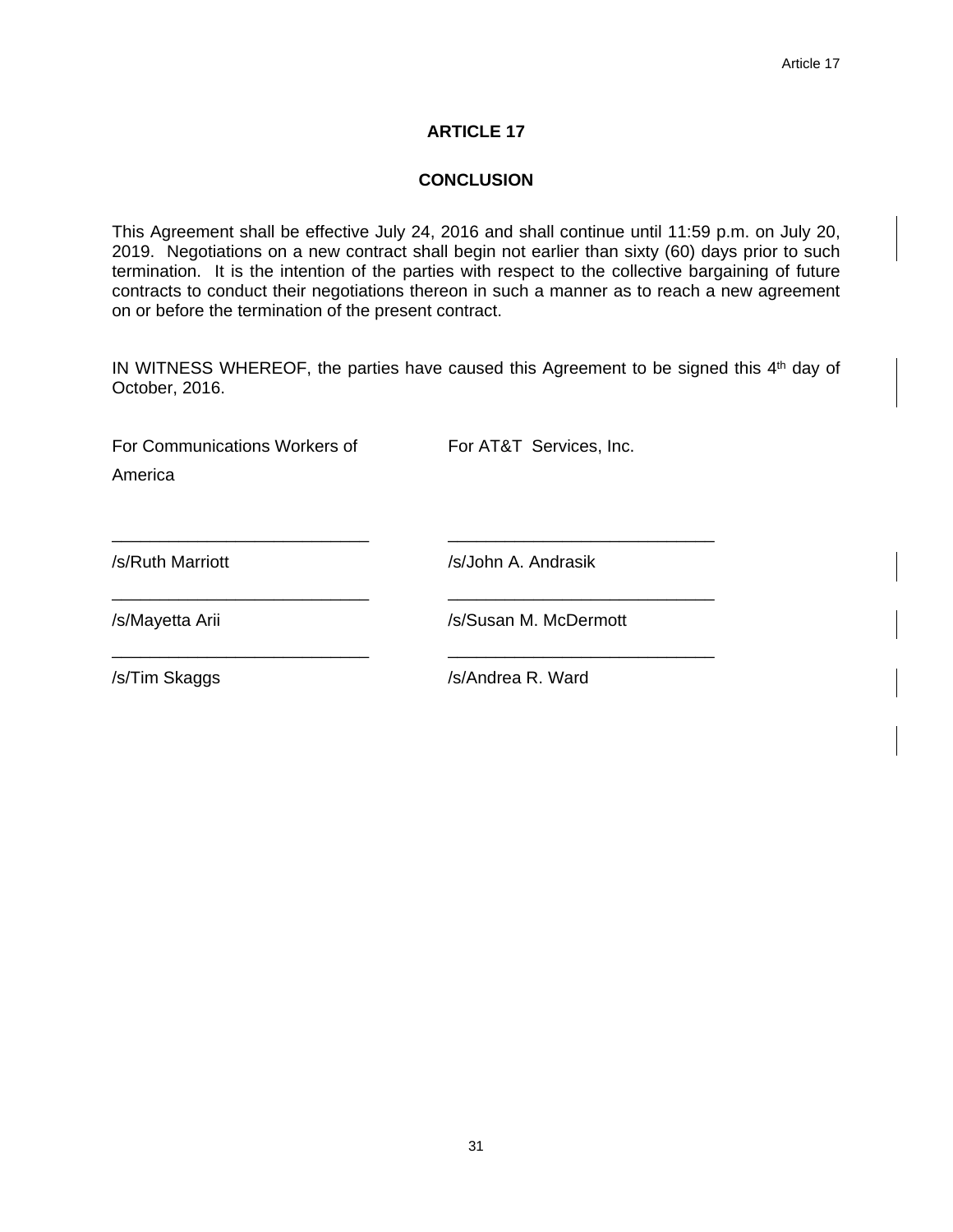#### **CONCLUSION**

This Agreement shall be effective July 24, 2016 and shall continue until 11:59 p.m. on July 20, 2019. Negotiations on a new contract shall begin not earlier than sixty (60) days prior to such termination. It is the intention of the parties with respect to the collective bargaining of future contracts to conduct their negotiations thereon in such a manner as to reach a new agreement on or before the termination of the present contract.

IN WITNESS WHEREOF, the parties have caused this Agreement to be signed this 4<sup>th</sup> day of October, 2016.

| For Communications Workers of<br>America | For AT&T Services, Inc. |
|------------------------------------------|-------------------------|
| /s/Ruth Marriott                         | /s/John A. Andrasik     |
| /s/Mayetta Arii                          | /s/Susan M. McDermott   |
| /s/Tim Skaggs                            | /s/Andrea R. Ward       |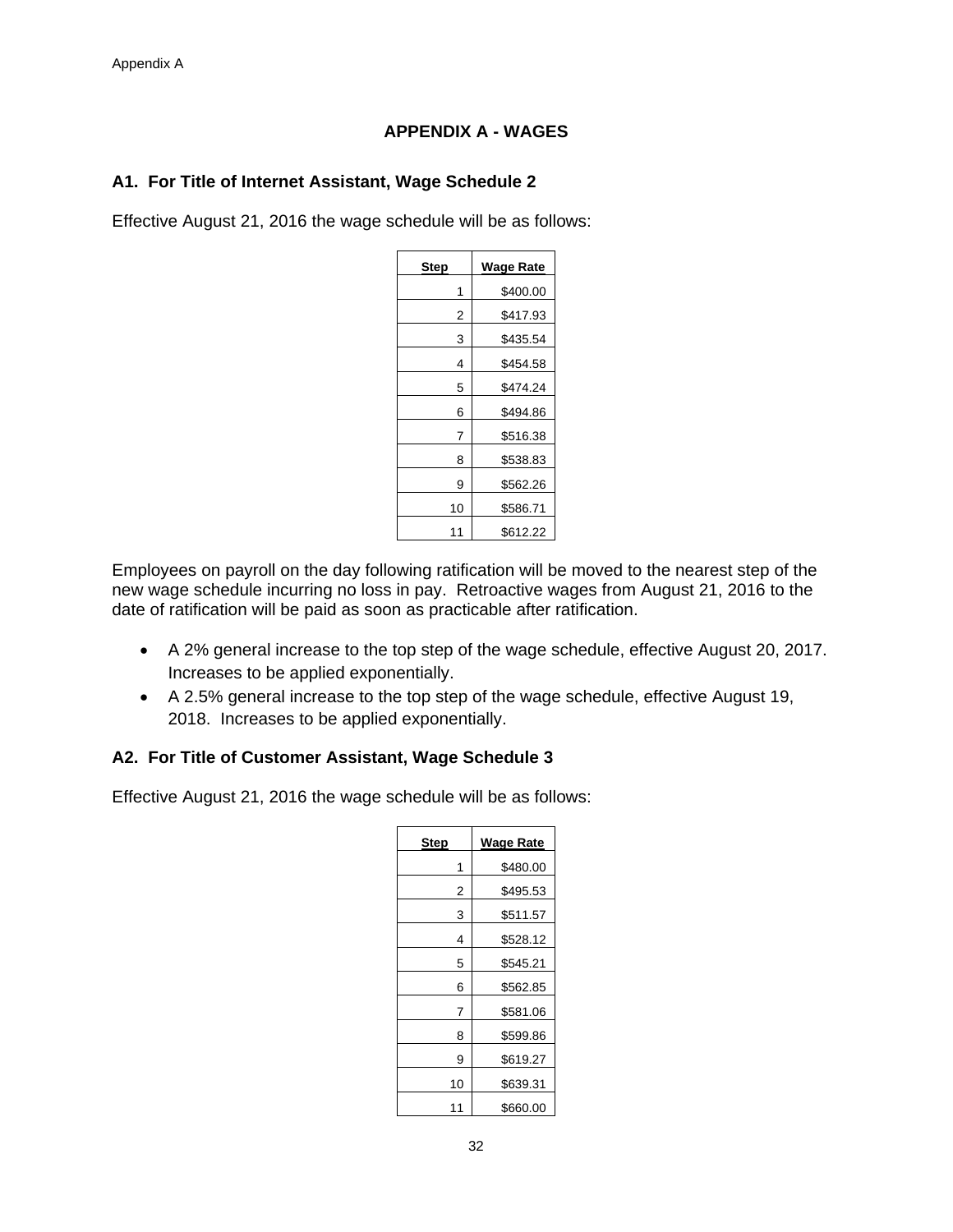# **APPENDIX A - WAGES**

# **A1. For Title of Internet Assistant, Wage Schedule 2**

Effective August 21, 2016 the wage schedule will be as follows:

| <b>Step</b> | <b>Wage Rate</b> |
|-------------|------------------|
| 1           | \$400.00         |
| 2           | \$417.93         |
| 3           | \$435.54         |
| 4           | \$454.58         |
| 5           | \$474.24         |
| 6           | \$494.86         |
| 7           | \$516.38         |
| 8           | \$538.83         |
| 9           | \$562.26         |
| 10          | \$586.71         |
| 11          | \$612.22         |

Employees on payroll on the day following ratification will be moved to the nearest step of the new wage schedule incurring no loss in pay. Retroactive wages from August 21, 2016 to the date of ratification will be paid as soon as practicable after ratification.

- A 2% general increase to the top step of the wage schedule, effective August 20, 2017. Increases to be applied exponentially.
- A 2.5% general increase to the top step of the wage schedule, effective August 19, 2018. Increases to be applied exponentially.

# **A2. For Title of Customer Assistant, Wage Schedule 3**

Effective August 21, 2016 the wage schedule will be as follows:

| <b>Step</b> | Wage Rate |
|-------------|-----------|
| 1           | \$480.00  |
| 2           | \$495.53  |
| 3           | \$511.57  |
| 4           | \$528.12  |
| 5           | \$545.21  |
| 6           | \$562.85  |
| 7           | \$581.06  |
| 8           | \$599.86  |
| 9           | \$619.27  |
| 10          | \$639.31  |
| 11          | \$660.00  |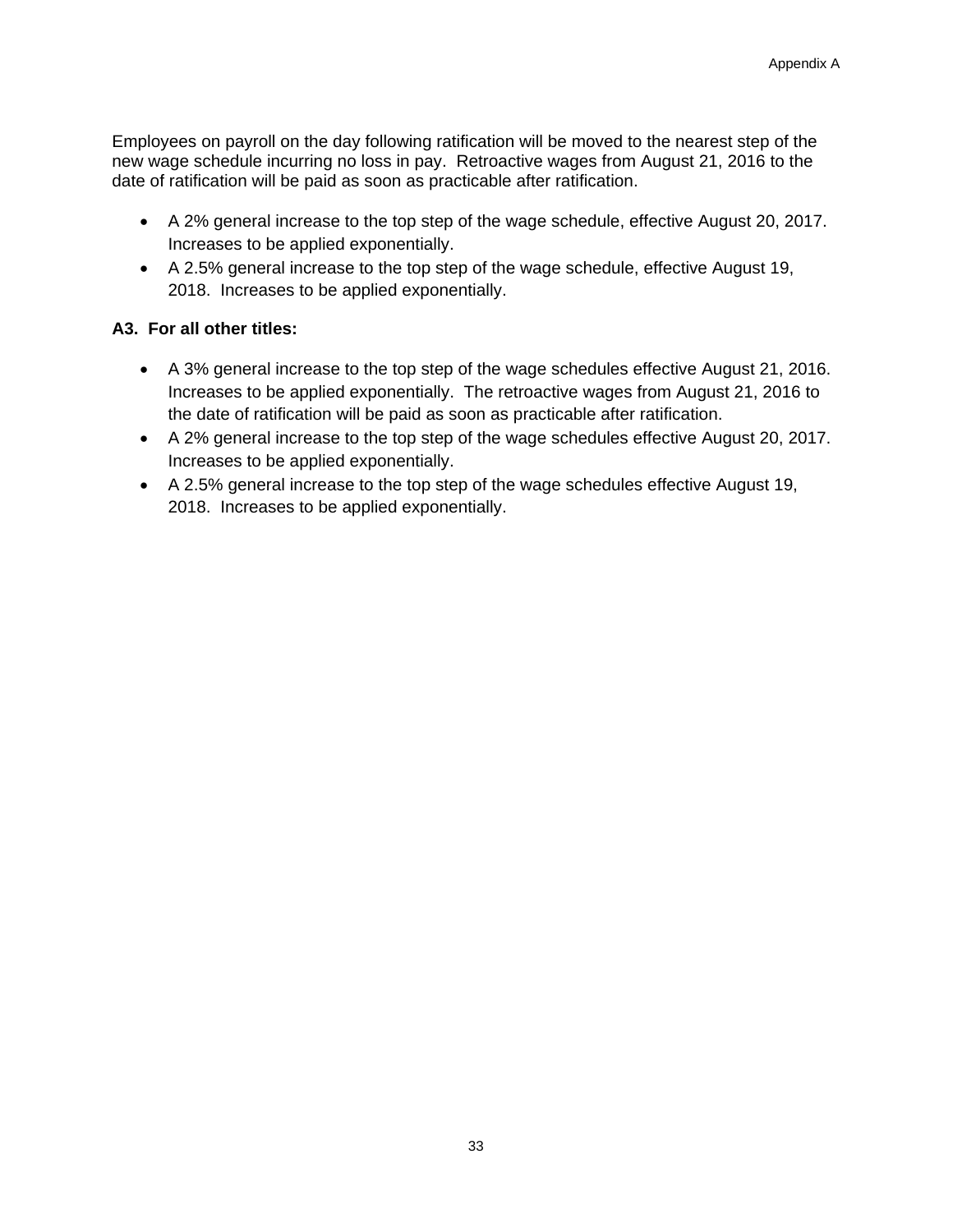Employees on payroll on the day following ratification will be moved to the nearest step of the new wage schedule incurring no loss in pay. Retroactive wages from August 21, 2016 to the date of ratification will be paid as soon as practicable after ratification.

- A 2% general increase to the top step of the wage schedule, effective August 20, 2017. Increases to be applied exponentially.
- A 2.5% general increase to the top step of the wage schedule, effective August 19, 2018. Increases to be applied exponentially.

# **A3. For all other titles:**

- A 3% general increase to the top step of the wage schedules effective August 21, 2016. Increases to be applied exponentially. The retroactive wages from August 21, 2016 to the date of ratification will be paid as soon as practicable after ratification.
- A 2% general increase to the top step of the wage schedules effective August 20, 2017. Increases to be applied exponentially.
- A 2.5% general increase to the top step of the wage schedules effective August 19, 2018. Increases to be applied exponentially.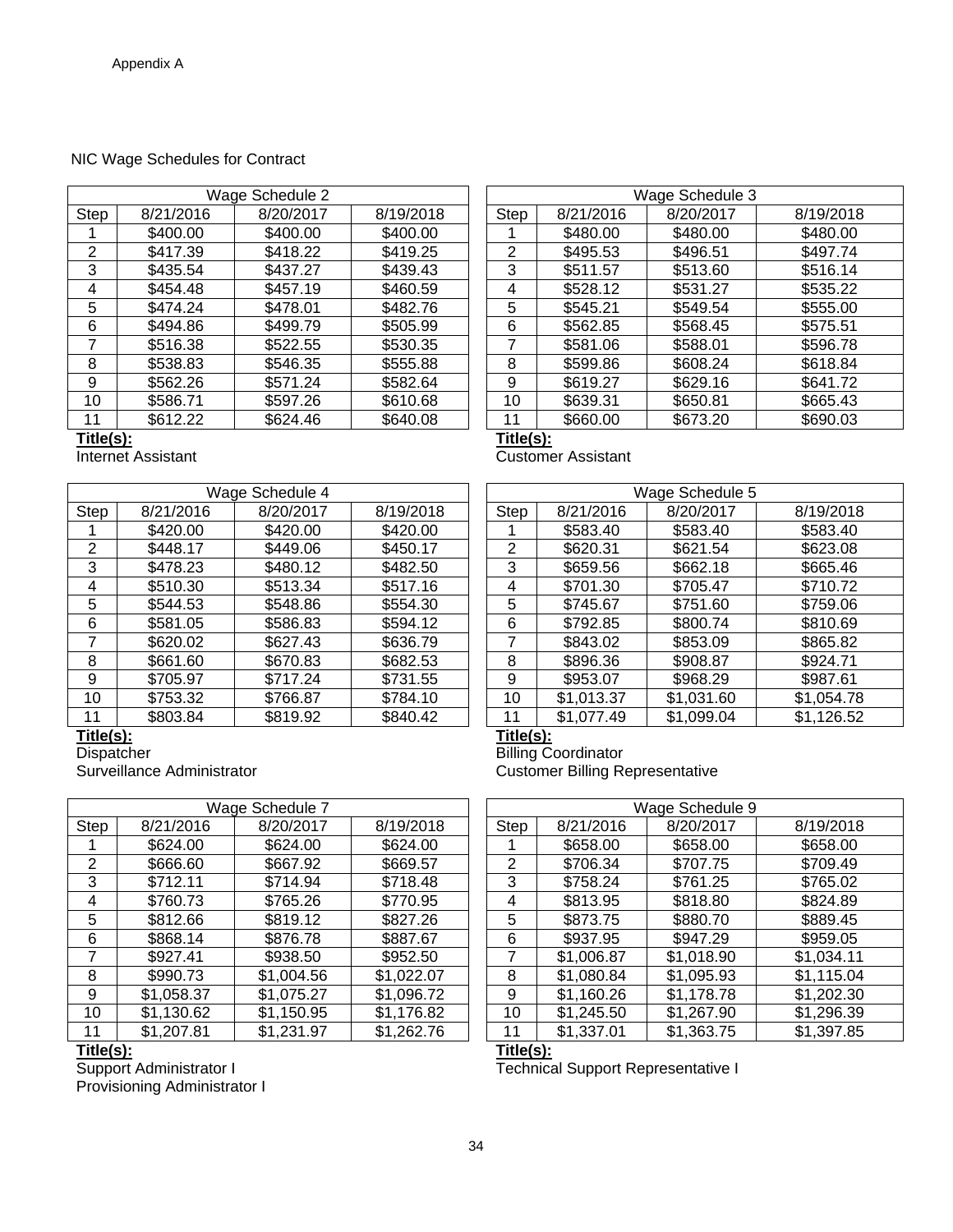#### NIC Wage Schedules for Contract

|           |                    | Wage Schedule 2 |           |           |                    | Wage Schedule 3 |           |
|-----------|--------------------|-----------------|-----------|-----------|--------------------|-----------------|-----------|
| Step      | 8/21/2016          | 8/20/2017       | 8/19/2018 | Step      | 8/21/2016          | 8/20/2017       | 8/19/2018 |
|           | \$400.00           | \$400.00        | \$400.00  |           | \$480.00           | \$480.00        | \$480.00  |
| 2         | \$417.39           | \$418.22        | \$419.25  | 2         | \$495.53           | \$496.51        | \$497.74  |
| 3         | \$435.54           | \$437.27        | \$439.43  | 3         | \$511.57           | \$513.60        | \$516.14  |
| 4         | \$454.48           | \$457.19        | \$460.59  | 4         | \$528.12           | \$531.27        | \$535.22  |
| 5         | \$474.24           | \$478.01        | \$482.76  | 5         | \$545.21           | \$549.54        | \$555.00  |
| 6         | \$494.86           | \$499.79        | \$505.99  | 6         | \$562.85           | \$568.45        | \$575.51  |
| 7         | \$516.38           | \$522.55        | \$530.35  |           | \$581.06           | \$588.01        | \$596.78  |
| 8         | \$538.83           | \$546.35        | \$555.88  | 8         | \$599.86           | \$608.24        | \$618.84  |
| 9         | \$562.26           | \$571.24        | \$582.64  | 9         | \$619.27           | \$629.16        | \$641.72  |
| 10        | \$586.71           | \$597.26        | \$610.68  | 10        | \$639.31           | \$650.81        | \$665.43  |
| 11        | \$612.22           | \$624.46        | \$640.08  | 11        | \$660.00           | \$673.20        | \$690.03  |
| Title(s): |                    |                 |           | Title(s): |                    |                 |           |
|           | Internet Assistant |                 |           |           | Customer Assistant |                 |           |

|             | Wage Schedule 3 |           |           |  |  |  |  |  |  |
|-------------|-----------------|-----------|-----------|--|--|--|--|--|--|
| <b>Step</b> | 8/21/2016       | 8/20/2017 | 8/19/2018 |  |  |  |  |  |  |
|             | \$480.00        | \$480.00  | \$480.00  |  |  |  |  |  |  |
| 2           | \$495.53        | \$496.51  | \$497.74  |  |  |  |  |  |  |
| 3           | \$511.57        | \$513.60  | \$516.14  |  |  |  |  |  |  |
| 4           | \$528.12        | \$531.27  | \$535.22  |  |  |  |  |  |  |
| 5           | \$545.21        | \$549.54  | \$555.00  |  |  |  |  |  |  |
| 6           | \$562.85        | \$568.45  | \$575.51  |  |  |  |  |  |  |
| 7           | \$581.06        | \$588.01  | \$596.78  |  |  |  |  |  |  |
| 8           | \$599.86        | \$608.24  | \$618.84  |  |  |  |  |  |  |
| 9           | \$619.27        | \$629.16  | \$641.72  |  |  |  |  |  |  |
| 10          | \$639.31        | \$650.81  | \$665.43  |  |  |  |  |  |  |
| 11          | \$660.00        | \$673.20  | \$690.03  |  |  |  |  |  |  |

|      | Wage Schedule 4 |           |           | Wage Schedule 5 |            |            |            |  |
|------|-----------------|-----------|-----------|-----------------|------------|------------|------------|--|
| Step | 8/21/2016       | 8/20/2017 | 8/19/2018 | Step            | 8/21/2016  | 8/20/2017  | 8/19/2018  |  |
|      | \$420.00        | \$420.00  | \$420.00  |                 | \$583.40   | \$583.40   | \$583.40   |  |
| 2    | \$448.17        | \$449.06  | \$450.17  | 2               | \$620.31   | \$621.54   | \$623.08   |  |
| 3    | \$478.23        | \$480.12  | \$482.50  | 3               | \$659.56   | \$662.18   | \$665.46   |  |
| 4    | \$510.30        | \$513.34  | \$517.16  | 4               | \$701.30   | \$705.47   | \$710.72   |  |
| 5    | \$544.53        | \$548.86  | \$554.30  | 5               | \$745.67   | \$751.60   | \$759.06   |  |
| 6    | \$581.05        | \$586.83  | \$594.12  | 6               | \$792.85   | \$800.74   | \$810.69   |  |
|      | \$620.02        | \$627.43  | \$636.79  |                 | \$843.02   | \$853.09   | \$865.82   |  |
| 8    | \$661.60        | \$670.83  | \$682.53  | 8               | \$896.36   | \$908.87   | \$924.71   |  |
| 9    | \$705.97        | \$717.24  | \$731.55  | 9               | \$953.07   | \$968.29   | \$987.61   |  |
| 10   | \$753.32        | \$766.87  | \$784.10  | 10              | \$1,013.37 | \$1,031.60 | \$1,054.78 |  |
| 11   | \$803.84        | \$819.92  | \$840.42  | 11              | \$1,077.49 | \$1,099.04 | \$1,126.52 |  |

|      |            | Wage Schedule 7 |            |      |            | Wage Schedule 9 |            |
|------|------------|-----------------|------------|------|------------|-----------------|------------|
| Step | 8/21/2016  | 8/20/2017       | 8/19/2018  | Step | 8/21/2016  | 8/20/2017       | 8/19/2018  |
|      | \$624.00   | \$624.00        | \$624.00   |      | \$658.00   | \$658.00        | \$658.00   |
| 2    | \$666.60   | \$667.92        | \$669.57   | 2    | \$706.34   | \$707.75        | \$709.49   |
| 3    | \$712.11   | \$714.94        | \$718.48   | 3    | \$758.24   | \$761.25        | \$765.02   |
| 4    | \$760.73   | \$765.26        | \$770.95   | 4    | \$813.95   | \$818.80        | \$824.89   |
| 5    | \$812.66   | \$819.12        | \$827.26   | 5    | \$873.75   | \$880.70        | \$889.45   |
| 6    | \$868.14   | \$876.78        | \$887.67   | 6    | \$937.95   | \$947.29        | \$959.05   |
|      | \$927.41   | \$938.50        | \$952.50   |      | \$1,006.87 | \$1,018.90      | \$1,034.11 |
| 8    | \$990.73   | \$1,004.56      | \$1,022.07 | 8    | \$1,080.84 | \$1,095.93      | \$1,115.04 |
| 9    | \$1,058.37 | \$1,075.27      | \$1,096.72 | 9    | \$1,160.26 | \$1,178.78      | \$1,202.30 |
| 10   | \$1,130.62 | \$1,150.95      | \$1,176.82 | 10   | \$1,245.50 | \$1,267.90      | \$1,296.39 |
| 11   | \$1,207.81 | \$1,231.97      | \$1,262.76 | 11   | \$1,337.01 | \$1,363.75      | \$1,397.85 |
|      |            |                 |            |      |            |                 |            |

**Title(s):**<br>Support Administrator I Provisioning Administrator I

|      |           | Wage Schedule 5 |              |
|------|-----------|-----------------|--------------|
| Step | 8/21/2016 | 8/20/2017       | 8/19/2018    |
|      | \$583.40  | \$583.40        | \$583.40     |
| 2    | \$620.31  | \$621.54        | \$623.08     |
| 3    | \$659.56  | \$662.18        | \$665.46     |
| 4    | \$701.30  | \$705.47        | \$710.72     |
| 5    | \$745.67  | \$751.60        | \$759.06     |
| 6    | \$792.85  | \$800.74        | \$810.69     |
| 7    | \$843.02  | \$853.09        | \$865.82     |
| Ω    | 22 200    | <b>COOR 87</b>  | $Q$ $024.71$ |

**Customer Assistant** 

Title(s):<br>Dispatcher<br>Billing C Dispatcher **Dispatcher**<br>
Surveillance Administrator<br>
Surveillance Administrator<br>
Customer Billing Re **Customer Billing Representative** 

|      |            | Wage Schedule 9 |            |
|------|------------|-----------------|------------|
| Step | 8/21/2016  | 8/20/2017       | 8/19/2018  |
|      | \$658.00   | \$658.00        | \$658.00   |
| 2    | \$706.34   | \$707.75        | \$709.49   |
| 3    | \$758.24   | \$761.25        | \$765.02   |
| 4    | \$813.95   | \$818.80        | \$824.89   |
| 5    | \$873.75   | \$880.70        | \$889.45   |
| 6    | \$937.95   | \$947.29        | \$959.05   |
| 7    | \$1,006.87 | \$1,018.90      | \$1,034.11 |
| 8    | \$1,080.84 | \$1,095.93      | \$1,115.04 |
| 9    | \$1,160.26 | \$1,178.78      | \$1,202.30 |
| 10   | \$1,245.50 | \$1,267.90      | \$1,296.39 |
| 11   | \$1,337.01 | \$1,363.75      | \$1,397.85 |

Title(s):<br>Technical Support Representative I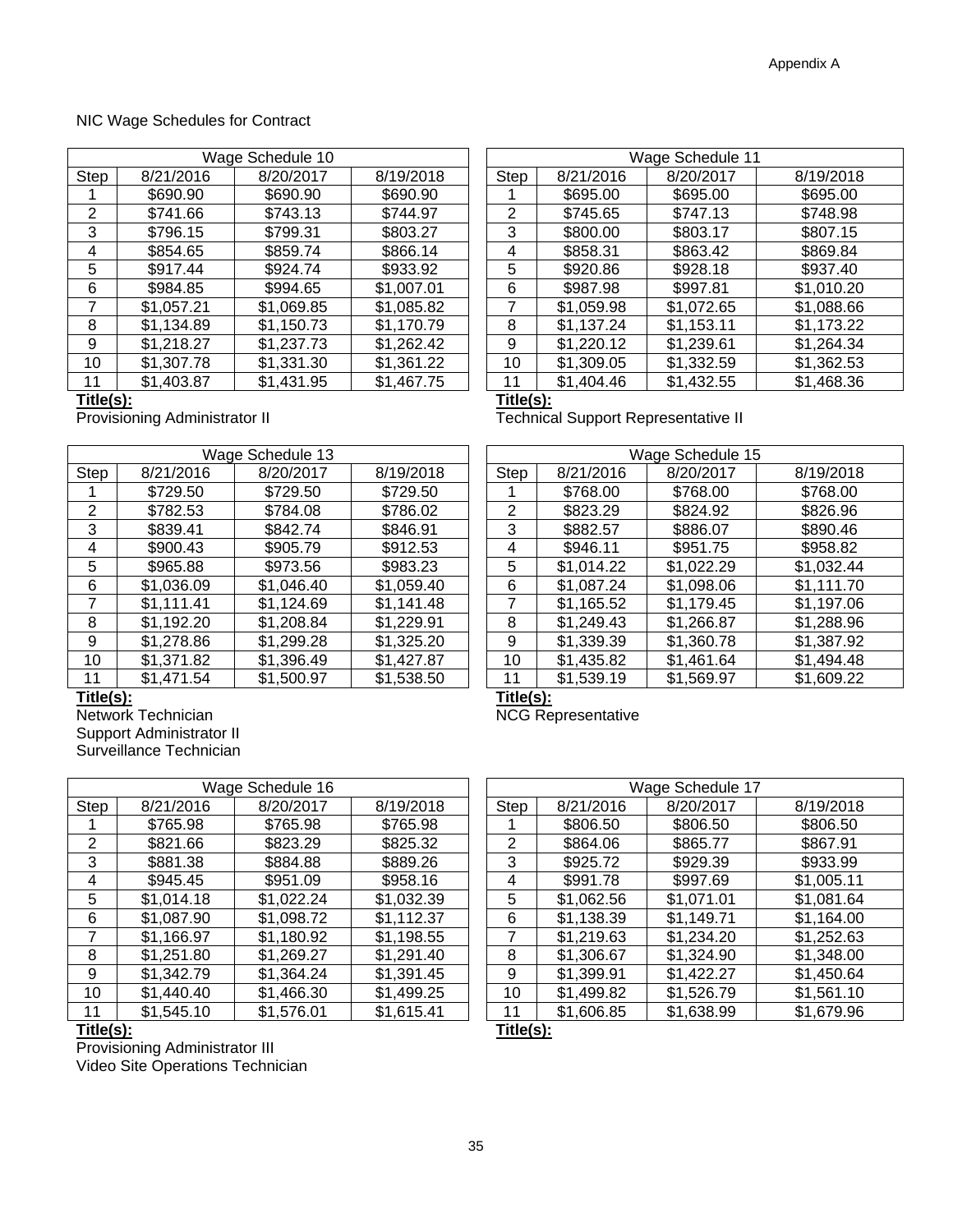### NIC Wage Schedules for Contract

|                | Wage Schedule 10 |            |            |  | Wage Schedule 11 |            |            |            |  |
|----------------|------------------|------------|------------|--|------------------|------------|------------|------------|--|
| Step           | 8/21/2016        | 8/20/2017  | 8/19/2018  |  | Step             | 8/21/2016  | 8/20/2017  | 8/19/2018  |  |
|                | \$690.90         | \$690.90   | \$690.90   |  |                  | \$695.00   | \$695.00   | \$695.00   |  |
| $\overline{2}$ | \$741.66         | \$743.13   | \$744.97   |  | 2                | \$745.65   | \$747.13   | \$748.98   |  |
| 3              | \$796.15         | \$799.31   | \$803.27   |  | 3                | \$800.00   | \$803.17   | \$807.15   |  |
| 4              | \$854.65         | \$859.74   | \$866.14   |  | 4                | \$858.31   | \$863.42   | \$869.84   |  |
| 5              | \$917.44         | \$924.74   | \$933.92   |  | 5                | \$920.86   | \$928.18   | \$937.40   |  |
| 6              | \$984.85         | \$994.65   | \$1,007.01 |  | 6                | \$987.98   | \$997.81   | \$1,010.20 |  |
|                | \$1,057.21       | \$1,069.85 | \$1,085.82 |  | 7                | \$1,059.98 | \$1,072.65 | \$1,088.66 |  |
| 8              | \$1,134.89       | \$1,150.73 | \$1,170.79 |  | 8                | \$1,137.24 | \$1,153.11 | \$1,173.22 |  |
| 9              | \$1,218.27       | \$1,237.73 | \$1,262.42 |  | 9                | \$1,220.12 | \$1,239.61 | \$1,264.34 |  |
| 10             | \$1,307.78       | \$1,331.30 | \$1,361.22 |  | 10               | \$1,309.05 | \$1,332.59 | \$1,362.53 |  |
| 11             | \$1,403.87       | \$1,431.95 | \$1,467.75 |  | 11               | \$1,404.46 | \$1,432.55 | \$1,468.36 |  |

|                |                                        | Wage Schedule 11 |                                            |  |  |  |  |  |  |
|----------------|----------------------------------------|------------------|--------------------------------------------|--|--|--|--|--|--|
| <b>Step</b>    | 8/20/2017<br>8/21/2016<br>8/19/2018    |                  |                                            |  |  |  |  |  |  |
| 1              | \$695.00                               | \$695.00         | \$695.00                                   |  |  |  |  |  |  |
| $\overline{2}$ | \$745.65                               | \$747.13         | \$748.98                                   |  |  |  |  |  |  |
| 3              | \$800.00                               | \$803.17         | \$807.15                                   |  |  |  |  |  |  |
| 4              | \$858.31                               | \$863.42         | \$869.84                                   |  |  |  |  |  |  |
| 5              | \$920.86                               | \$928.18         | \$937.40                                   |  |  |  |  |  |  |
| 6              | \$987.98                               | \$997.81         | \$1,010.20                                 |  |  |  |  |  |  |
| 7              | \$1,059.98                             | \$1,072.65       | \$1,088.66                                 |  |  |  |  |  |  |
| 8              | \$1,137.24                             | \$1,153.11       | \$1,173.22                                 |  |  |  |  |  |  |
| 9              | \$1,220.12                             | \$1,239.61       | \$1,264.34                                 |  |  |  |  |  |  |
| 10             | \$1,309.05<br>\$1,332.59<br>\$1,362.53 |                  |                                            |  |  |  |  |  |  |
| 11             | \$1,404.46<br>\$1,432.55<br>\$1,468.36 |                  |                                            |  |  |  |  |  |  |
|                | Title(s):                              |                  |                                            |  |  |  |  |  |  |
|                |                                        |                  | <b>Technical Support Representative II</b> |  |  |  |  |  |  |

**Title(s):**<br>Provisioning Administrator II

|      |            | Wage Schedule 13 |            |      |            | Wage Schedule 15 |            |
|------|------------|------------------|------------|------|------------|------------------|------------|
| Step | 8/21/2016  | 8/20/2017        | 8/19/2018  | Step | 8/21/2016  | 8/20/2017        | 8/19/2018  |
|      | \$729.50   | \$729.50         | \$729.50   |      | \$768.00   | \$768.00         | \$768.00   |
| 2    | \$782.53   | \$784.08         | \$786.02   | 2    | \$823.29   | \$824.92         | \$826.96   |
| 3    | \$839.41   | \$842.74         | \$846.91   | 3    | \$882.57   | \$886.07         | \$890.46   |
| 4    | \$900.43   | \$905.79         | \$912.53   | 4    | \$946.11   | \$951.75         | \$958.82   |
| 5    | \$965.88   | \$973.56         | \$983.23   | 5    | \$1,014.22 | \$1,022.29       | \$1,032.44 |
| 6    | \$1,036.09 | \$1,046.40       | \$1,059.40 | 6    | \$1,087.24 | \$1,098.06       | \$1,111.70 |
|      | \$1,111.41 | \$1,124.69       | \$1,141.48 |      | \$1,165.52 | \$1,179.45       | \$1,197.06 |
| 8    | \$1,192.20 | \$1,208.84       | \$1,229.91 | 8    | \$1,249.43 | \$1,266.87       | \$1,288.96 |
| 9    | \$1,278.86 | \$1,299.28       | \$1,325.20 | 9    | \$1,339.39 | \$1,360.78       | \$1,387.92 |
| 10   | \$1,371.82 | \$1,396.49       | \$1,427.87 | 10   | \$1,435.82 | \$1,461.64       | \$1,494.48 |
| 11   | \$1,471.54 | \$1,500.97       | \$1,538.50 | 11   | \$1,539.19 | \$1,569.97       | \$1,609.22 |

|      | Wage Schedule 13 |            |            |      | Wage Schedule 15 |            |            |  |  |
|------|------------------|------------|------------|------|------------------|------------|------------|--|--|
| Step | 8/21/2016        | 8/20/2017  | 8/19/2018  | Step | 8/21/2016        | 8/20/2017  | 8/19/2018  |  |  |
|      | \$729.50         | \$729.50   | \$729.50   |      | \$768.00         | \$768.00   | \$768.00   |  |  |
| 2    | \$782.53         | \$784.08   | \$786.02   | 2    | \$823.29         | \$824.92   | \$826.96   |  |  |
| 3    | \$839.41         | \$842.74   | \$846.91   | 3    | \$882.57         | \$886.07   | \$890.46   |  |  |
| 4    | \$900.43         | \$905.79   | \$912.53   | 4    | \$946.11         | \$951.75   | \$958.82   |  |  |
| 5    | \$965.88         | \$973.56   | \$983.23   | 5    | \$1,014.22       | \$1,022.29 | \$1,032.44 |  |  |
| 6    | \$1,036.09       | \$1,046.40 | \$1,059.40 | 6    | \$1,087.24       | \$1,098.06 | \$1,111.70 |  |  |
|      | \$1,111.41       | \$1,124.69 | \$1,141.48 | 7    | \$1,165.52       | \$1,179.45 | \$1,197.06 |  |  |
| 8    | \$1,192.20       | \$1,208.84 | \$1,229.91 | 8    | \$1,249.43       | \$1,266.87 | \$1,288.96 |  |  |
| 9    | \$1,278.86       | \$1,299.28 | \$1,325.20 | 9    | \$1,339.39       | \$1,360.78 | \$1,387.92 |  |  |
| 10   | \$1,371.82       | \$1,396.49 | \$1,427.87 | 10   | \$1,435.82       | \$1,461.64 | \$1,494.48 |  |  |
| 11   | \$1,471.54       | \$1,500.97 | \$1,538.50 | 11   | \$1,539.19       | \$1,569.97 | \$1,609.22 |  |  |

Title(s):<br>
Network Technician<br>
NCG Rep Support Administrator II Surveillance Technician

|      | Wage Schedule 16 |            |            |  | Wage Schedule 17 |            |            |            |  |
|------|------------------|------------|------------|--|------------------|------------|------------|------------|--|
|      |                  |            |            |  |                  |            |            |            |  |
| Step | 8/21/2016        | 8/20/2017  | 8/19/2018  |  | Step             | 8/21/2016  | 8/20/2017  | 8/19/2018  |  |
|      | \$765.98         | \$765.98   | \$765.98   |  |                  | \$806.50   | \$806.50   | \$806.50   |  |
| 2    | \$821.66         | \$823.29   | \$825.32   |  | 2                | \$864.06   | \$865.77   | \$867.91   |  |
| 3    | \$881.38         | \$884.88   | \$889.26   |  | 3                | \$925.72   | \$929.39   | \$933.99   |  |
| 4    | \$945.45         | \$951.09   | \$958.16   |  | 4                | \$991.78   | \$997.69   | \$1,005.11 |  |
| 5    | \$1,014.18       | \$1,022.24 | \$1,032.39 |  | 5                | \$1,062.56 | \$1,071.01 | \$1,081.64 |  |
| 6    | \$1,087.90       | \$1,098.72 | \$1,112.37 |  | 6                | \$1,138.39 | \$1,149.71 | \$1,164.00 |  |
|      | \$1,166.97       | \$1,180.92 | \$1,198.55 |  | 7                | \$1,219.63 | \$1,234.20 | \$1,252.63 |  |
| 8    | \$1,251.80       | \$1,269.27 | \$1,291.40 |  | 8                | \$1,306.67 | \$1,324.90 | \$1,348.00 |  |
| 9    | \$1,342.79       | \$1,364.24 | \$1,391.45 |  | 9                | \$1,399.91 | \$1,422.27 | \$1,450.64 |  |
| 10   | \$1,440.40       | \$1,466.30 | \$1,499.25 |  | 10               | \$1,499.82 | \$1,526.79 | \$1,561.10 |  |
| 11   | \$1,545.10       | \$1,576.01 | \$1,615.41 |  | 11               | \$1,606.85 | \$1,638.99 | \$1,679.96 |  |

#### **Title(s): Title(s):**

 Provisioning Administrator III Video Site Operations Technician

NCG Representative

| Wage Schedule 17 |            |            |  |  |  |  |  |  |
|------------------|------------|------------|--|--|--|--|--|--|
| 8/21/2016        | 8/20/2017  | 8/19/2018  |  |  |  |  |  |  |
| \$806.50         | \$806.50   | \$806.50   |  |  |  |  |  |  |
| \$864.06         | \$865.77   | \$867.91   |  |  |  |  |  |  |
| \$925.72         | \$929.39   | \$933.99   |  |  |  |  |  |  |
| \$991.78         | \$997.69   | \$1,005.11 |  |  |  |  |  |  |
| \$1,062.56       | \$1,071.01 | \$1,081.64 |  |  |  |  |  |  |
| \$1,138.39       | \$1,149.71 | \$1,164.00 |  |  |  |  |  |  |
| \$1,219.63       | \$1,234.20 | \$1,252.63 |  |  |  |  |  |  |
| \$1,306.67       | \$1,324.90 | \$1,348.00 |  |  |  |  |  |  |
| \$1,399.91       | \$1,422.27 | \$1,450.64 |  |  |  |  |  |  |
| \$1,499.82       | \$1,526.79 | \$1,561.10 |  |  |  |  |  |  |
| \$1,606.85       | \$1,638.99 | \$1,679.96 |  |  |  |  |  |  |
|                  | — <i>.</i> |            |  |  |  |  |  |  |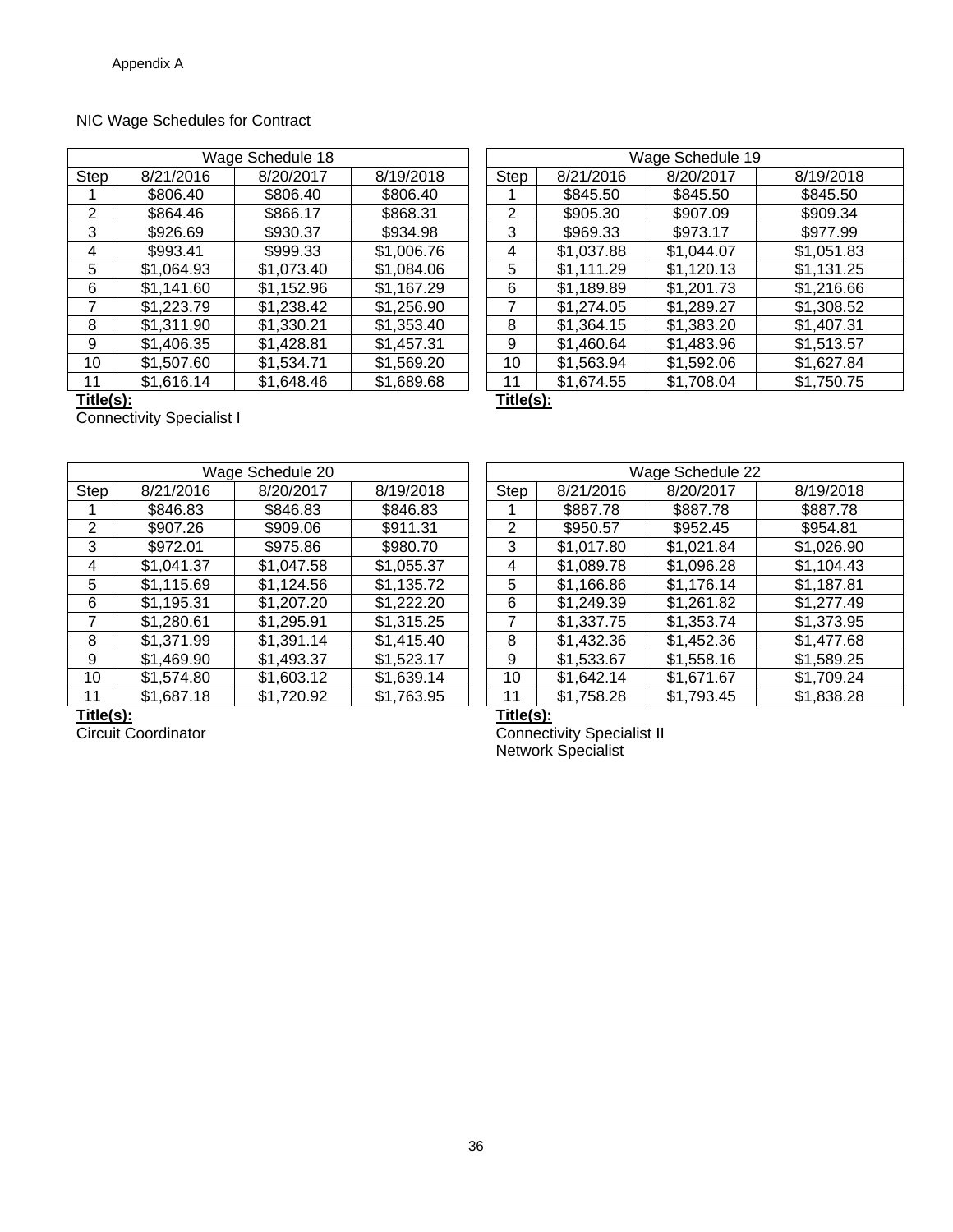# NIC Wage Schedules for Contract

| Wage Schedule 18 |            |            |            |      | Wage Schedule 19 |            |            |
|------------------|------------|------------|------------|------|------------------|------------|------------|
| Step             | 8/21/2016  | 8/20/2017  | 8/19/2018  | Step | 8/21/2016        | 8/20/2017  | 8/19/2018  |
|                  | \$806.40   | \$806.40   | \$806.40   |      | \$845.50         | \$845.50   | \$845.50   |
| 2                | \$864.46   | \$866.17   | \$868.31   | 2    | \$905.30         | \$907.09   | \$909.34   |
| 3                | \$926.69   | \$930.37   | \$934.98   | 3    | \$969.33         | \$973.17   | \$977.99   |
| 4                | \$993.41   | \$999.33   | \$1,006.76 | 4    | \$1,037.88       | \$1,044.07 | \$1,051.83 |
| 5                | \$1,064.93 | \$1,073.40 | \$1,084.06 | 5    | \$1,111.29       | \$1,120.13 | \$1,131.25 |
| 6                | \$1,141.60 | \$1,152.96 | \$1,167.29 | 6    | \$1,189.89       | \$1,201.73 | \$1,216.66 |
|                  | \$1,223.79 | \$1,238.42 | \$1,256.90 | 7    | \$1,274.05       | \$1,289.27 | \$1,308.52 |
| 8                | \$1,311.90 | \$1,330.21 | \$1,353.40 | 8    | \$1,364.15       | \$1,383.20 | \$1,407.31 |
| 9                | \$1,406.35 | \$1,428.81 | \$1,457.31 | 9    | \$1,460.64       | \$1,483.96 | \$1,513.57 |
| 10               | \$1,507.60 | \$1,534.71 | \$1,569.20 | 10   | \$1,563.94       | \$1,592.06 | \$1,627.84 |
| 11               | \$1,616.14 | \$1,648.46 | \$1,689.68 | 11   | \$1,674.55       | \$1,708.04 | \$1,750.75 |

| Wage Schedule 19 |                                      |            |  |  |
|------------------|--------------------------------------|------------|--|--|
| 8/21/2016        | 8/20/2017                            | 8/19/2018  |  |  |
| \$845.50         | \$845.50                             | \$845.50   |  |  |
| \$905.30         | \$907.09                             | \$909.34   |  |  |
| \$969.33         | \$973.17                             | \$977.99   |  |  |
|                  | \$1,044.07                           | \$1,051.83 |  |  |
| \$1,111.29       | \$1,120.13                           | \$1,131.25 |  |  |
| \$1,189.89       | \$1,201.73                           | \$1,216.66 |  |  |
| \$1,274.05       | \$1,289.27                           | \$1,308.52 |  |  |
| \$1,364.15       | \$1,383.20                           | \$1,407.31 |  |  |
| \$1,460.64       | \$1,483.96                           | \$1,513.57 |  |  |
| \$1,563.94       | \$1,592.06                           | \$1,627.84 |  |  |
| \$1,674.55       | \$1,708.04                           | \$1,750.75 |  |  |
|                  | $\overline{$}1,037.88$<br>— <i>.</i> |            |  |  |

**Title(s): Title(s):** 

Connectivity Specialist I

| Wage Schedule 20 |            |            |            |      | Wage Schedule 22 |            |            |
|------------------|------------|------------|------------|------|------------------|------------|------------|
| Step             | 8/21/2016  | 8/20/2017  | 8/19/2018  | Step | 8/21/2016        | 8/20/2017  | 8/19/2018  |
|                  | \$846.83   | \$846.83   | \$846.83   |      | \$887.78         | \$887.78   | \$887.78   |
| 2                | \$907.26   | \$909.06   | \$911.31   | 2    | \$950.57         | \$952.45   | \$954.81   |
| 3                | \$972.01   | \$975.86   | \$980.70   | 3    | \$1,017.80       | \$1,021.84 | \$1,026.90 |
| 4                | \$1,041.37 | \$1,047.58 | \$1,055.37 | 4    | \$1,089.78       | \$1,096.28 | \$1,104.43 |
| 5                | \$1,115.69 | \$1,124.56 | \$1,135.72 | 5    | \$1,166.86       | \$1,176.14 | \$1,187.81 |
| 6                | \$1,195.31 | \$1,207.20 | \$1,222.20 | 6    | \$1,249.39       | \$1,261.82 | \$1,277.49 |
|                  | \$1,280.61 | \$1,295.91 | \$1,315.25 |      | \$1,337.75       | \$1,353.74 | \$1,373.95 |
| 8                | \$1,371.99 | \$1,391.14 | \$1,415.40 | 8    | \$1,432.36       | \$1,452.36 | \$1,477.68 |
| 9                | \$1,469.90 | \$1,493.37 | \$1,523.17 | 9    | \$1,533.67       | \$1,558.16 | \$1,589.25 |
| 10               | \$1,574.80 | \$1,603.12 | \$1,639.14 | 10   | \$1,642.14       | \$1,671.67 | \$1,709.24 |
| 11               | \$1,687.18 | \$1,720.92 | \$1,763.95 | 11   | \$1,758.28       | \$1,793.45 | \$1,838.28 |
|                  |            |            |            |      |                  |            |            |

|             | Wage Schedule 22 |            |            |  |  |
|-------------|------------------|------------|------------|--|--|
| <b>Step</b> | 8/21/2016        | 8/20/2017  | 8/19/2018  |  |  |
|             | \$887.78         | \$887.78   | \$887.78   |  |  |
| 2           | \$950.57         | \$952.45   | \$954.81   |  |  |
| 3           | \$1,017.80       | \$1,021.84 | \$1,026.90 |  |  |
| 4           | \$1,089.78       | \$1,096.28 | \$1,104.43 |  |  |
| 5           | \$1,166.86       | \$1,176.14 | \$1,187.81 |  |  |
| 6           | \$1,249.39       | \$1,261.82 | \$1,277.49 |  |  |
| 7           | \$1,337.75       | \$1,353.74 | \$1,373.95 |  |  |
| 8           | \$1,432.36       | \$1,452.36 | \$1,477.68 |  |  |
| 9           | \$1,533.67       | \$1,558.16 | \$1,589.25 |  |  |
| 10          | \$1,642.14       | \$1,671.67 | \$1,709.24 |  |  |
| 11          | \$1,758.28       | \$1,793.45 | \$1,838.28 |  |  |
|             |                  |            |            |  |  |

**Title(s):**<br>Circuit Coordinator

 Circuit Coordinator Connectivity Specialist II Network Specialist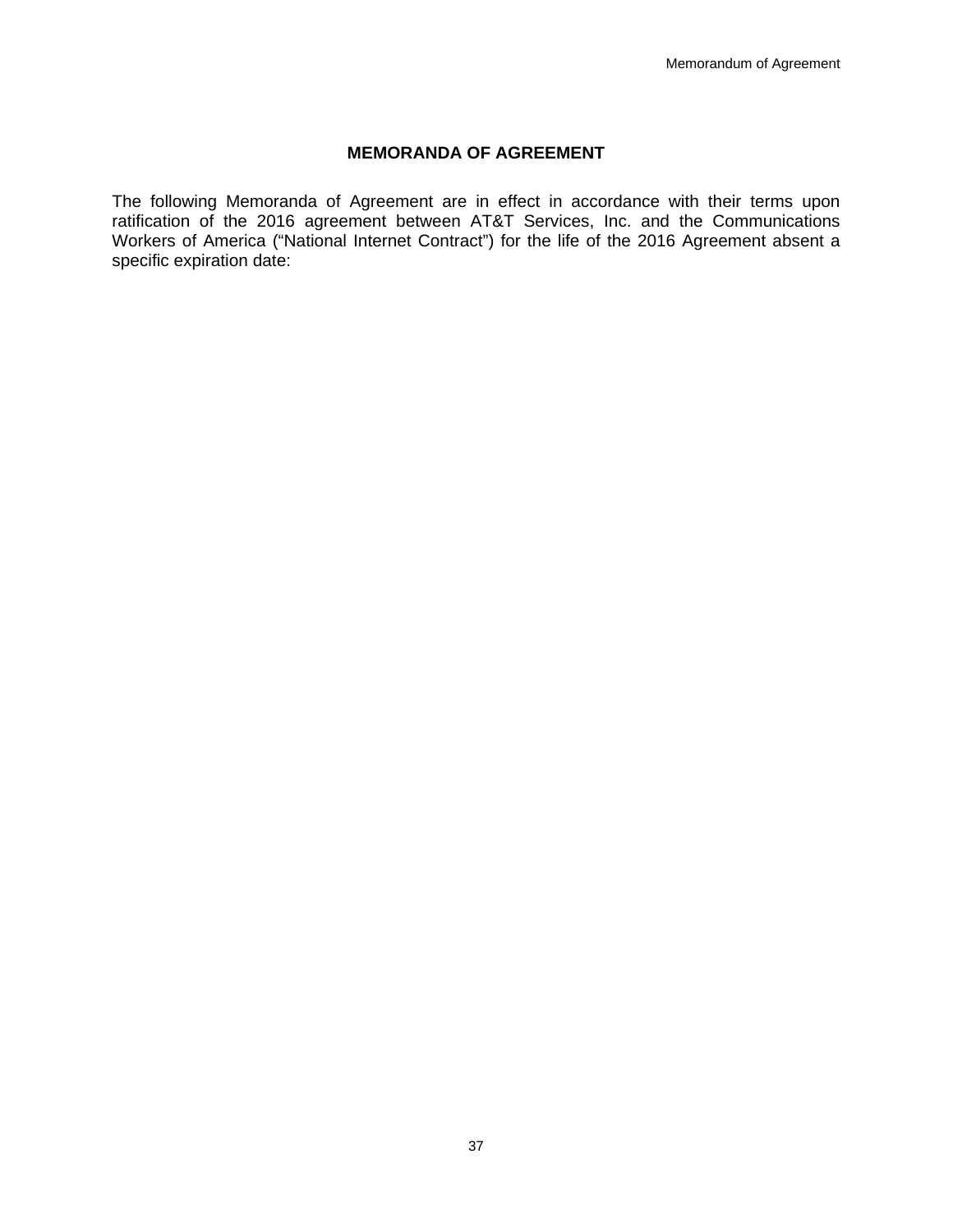## **MEMORANDA OF AGREEMENT**

The following Memoranda of Agreement are in effect in accordance with their terms upon ratification of the 2016 agreement between AT&T Services, Inc. and the Communications Workers of America ("National Internet Contract") for the life of the 2016 Agreement absent a specific expiration date: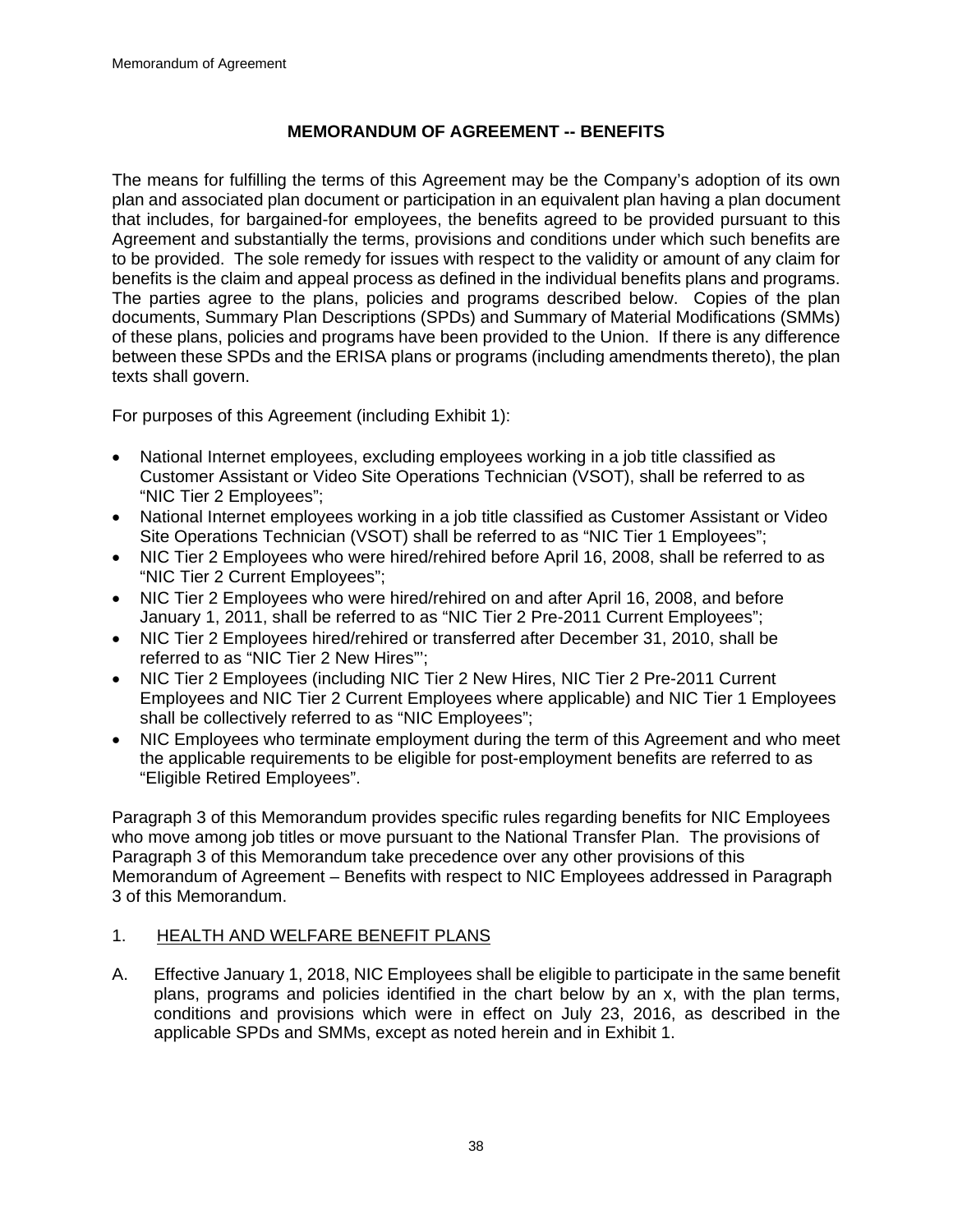# **MEMORANDUM OF AGREEMENT -- BENEFITS**

The means for fulfilling the terms of this Agreement may be the Company's adoption of its own plan and associated plan document or participation in an equivalent plan having a plan document that includes, for bargained-for employees, the benefits agreed to be provided pursuant to this Agreement and substantially the terms, provisions and conditions under which such benefits are to be provided. The sole remedy for issues with respect to the validity or amount of any claim for benefits is the claim and appeal process as defined in the individual benefits plans and programs. The parties agree to the plans, policies and programs described below. Copies of the plan documents, Summary Plan Descriptions (SPDs) and Summary of Material Modifications (SMMs) of these plans, policies and programs have been provided to the Union. If there is any difference between these SPDs and the ERISA plans or programs (including amendments thereto), the plan texts shall govern.

For purposes of this Agreement (including Exhibit 1):

- National Internet employees, excluding employees working in a job title classified as Customer Assistant or Video Site Operations Technician (VSOT), shall be referred to as "NIC Tier 2 Employees";
- National Internet employees working in a job title classified as Customer Assistant or Video Site Operations Technician (VSOT) shall be referred to as "NIC Tier 1 Employees";
- NIC Tier 2 Employees who were hired/rehired before April 16, 2008, shall be referred to as "NIC Tier 2 Current Employees";
- NIC Tier 2 Employees who were hired/rehired on and after April 16, 2008, and before January 1, 2011, shall be referred to as "NIC Tier 2 Pre-2011 Current Employees";
- NIC Tier 2 Employees hired/rehired or transferred after December 31, 2010, shall be referred to as "NIC Tier 2 New Hires"';
- NIC Tier 2 Employees (including NIC Tier 2 New Hires, NIC Tier 2 Pre-2011 Current Employees and NIC Tier 2 Current Employees where applicable) and NIC Tier 1 Employees shall be collectively referred to as "NIC Employees";
- NIC Employees who terminate employment during the term of this Agreement and who meet the applicable requirements to be eligible for post-employment benefits are referred to as "Eligible Retired Employees".

Paragraph 3 of this Memorandum provides specific rules regarding benefits for NIC Employees who move among job titles or move pursuant to the National Transfer Plan. The provisions of Paragraph 3 of this Memorandum take precedence over any other provisions of this Memorandum of Agreement – Benefits with respect to NIC Employees addressed in Paragraph 3 of this Memorandum.

## 1. HEALTH AND WELFARE BENEFIT PLANS

A. Effective January 1, 2018, NIC Employees shall be eligible to participate in the same benefit plans, programs and policies identified in the chart below by an x, with the plan terms, conditions and provisions which were in effect on July 23, 2016, as described in the applicable SPDs and SMMs, except as noted herein and in Exhibit 1.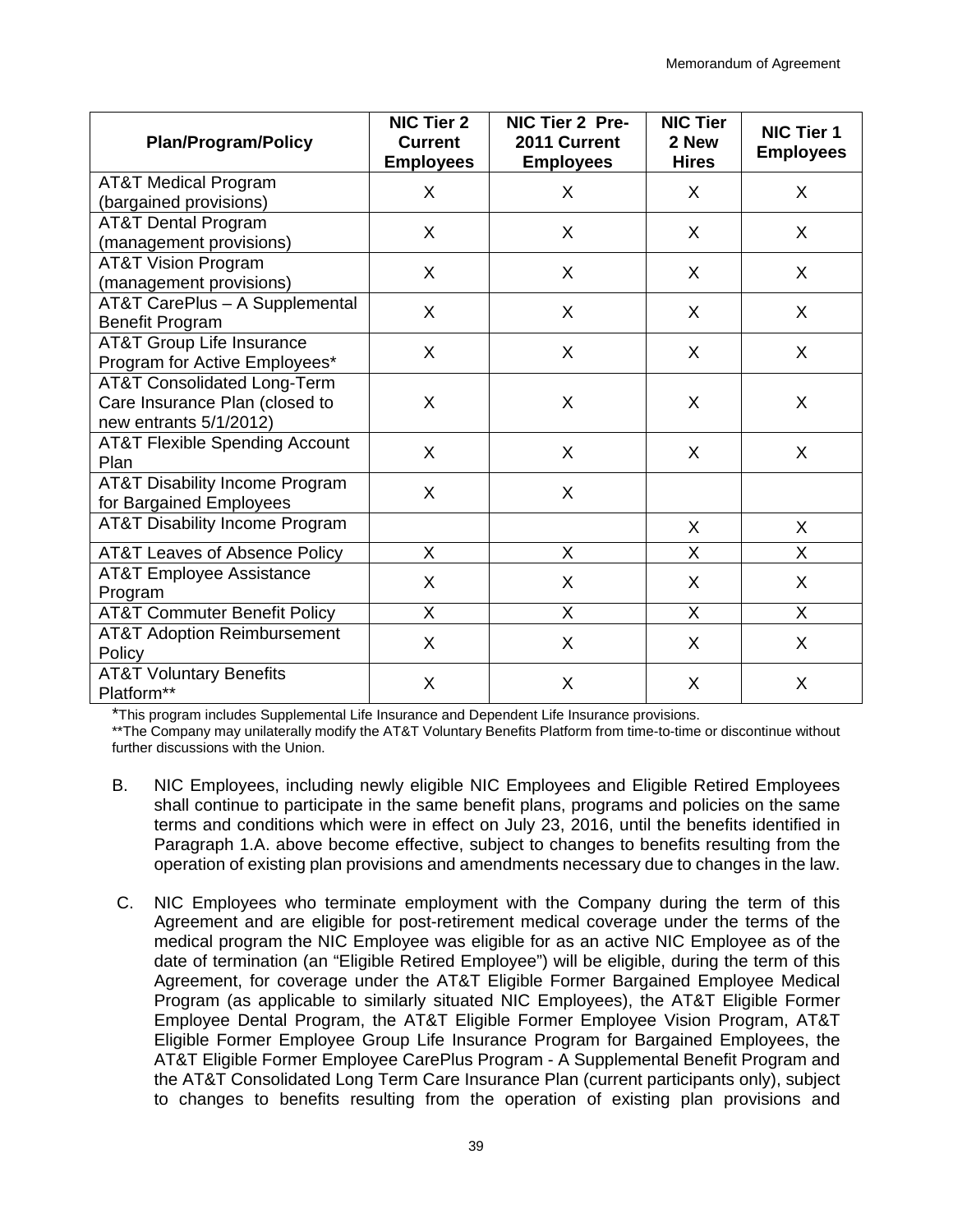| <b>Plan/Program/Policy</b>                                                                         | <b>NIC Tier 2</b><br><b>Current</b><br><b>Employees</b> | NIC Tier 2 Pre-<br>2011 Current<br><b>Employees</b> | <b>NIC Tier</b><br>2 New<br><b>Hires</b> | NIC Tier 1<br><b>Employees</b> |
|----------------------------------------------------------------------------------------------------|---------------------------------------------------------|-----------------------------------------------------|------------------------------------------|--------------------------------|
| <b>AT&amp;T Medical Program</b><br>(bargained provisions)                                          | X                                                       | X                                                   | X                                        | X                              |
| <b>AT&amp;T Dental Program</b><br>(management provisions)                                          | X                                                       | X                                                   | X                                        | X                              |
| <b>AT&amp;T Vision Program</b><br>(management provisions)                                          | X                                                       | X                                                   | X                                        | X                              |
| AT&T CarePlus - A Supplemental<br><b>Benefit Program</b>                                           | X                                                       | X                                                   | X                                        | X                              |
| <b>AT&amp;T Group Life Insurance</b><br>Program for Active Employees*                              | X                                                       | X                                                   | X                                        | X                              |
| <b>AT&amp;T Consolidated Long-Term</b><br>Care Insurance Plan (closed to<br>new entrants 5/1/2012) | X                                                       | X                                                   | X                                        | X                              |
| <b>AT&amp;T Flexible Spending Account</b><br>Plan                                                  | X                                                       | X                                                   | X                                        | X                              |
| <b>AT&amp;T Disability Income Program</b><br>for Bargained Employees                               | X                                                       | X                                                   |                                          |                                |
| <b>AT&amp;T Disability Income Program</b>                                                          |                                                         |                                                     | X                                        | X                              |
| <b>AT&amp;T Leaves of Absence Policy</b>                                                           | $\sf X$                                                 | X                                                   | X                                        | X                              |
| <b>AT&amp;T Employee Assistance</b><br>Program                                                     | $\times$                                                | Χ                                                   | X                                        | X                              |
| <b>AT&amp;T Commuter Benefit Policy</b>                                                            | $\sf X$                                                 | Χ                                                   | X                                        | X                              |
| <b>AT&amp;T Adoption Reimbursement</b><br>Policy                                                   | X                                                       | X                                                   | X                                        | X                              |
| <b>AT&amp;T Voluntary Benefits</b><br>Platform**                                                   | X                                                       | Χ                                                   | X                                        | X                              |

\*This program includes Supplemental Life Insurance and Dependent Life Insurance provisions.

\*\*The Company may unilaterally modify the AT&T Voluntary Benefits Platform from time-to-time or discontinue without further discussions with the Union.

- B. NIC Employees, including newly eligible NIC Employees and Eligible Retired Employees shall continue to participate in the same benefit plans, programs and policies on the same terms and conditions which were in effect on July 23, 2016, until the benefits identified in Paragraph 1.A. above become effective, subject to changes to benefits resulting from the operation of existing plan provisions and amendments necessary due to changes in the law.
- C. NIC Employees who terminate employment with the Company during the term of this Agreement and are eligible for post-retirement medical coverage under the terms of the medical program the NIC Employee was eligible for as an active NIC Employee as of the date of termination (an "Eligible Retired Employee") will be eligible, during the term of this Agreement, for coverage under the AT&T Eligible Former Bargained Employee Medical Program (as applicable to similarly situated NIC Employees), the AT&T Eligible Former Employee Dental Program, the AT&T Eligible Former Employee Vision Program, AT&T Eligible Former Employee Group Life Insurance Program for Bargained Employees, the AT&T Eligible Former Employee CarePlus Program - A Supplemental Benefit Program and the AT&T Consolidated Long Term Care Insurance Plan (current participants only), subject to changes to benefits resulting from the operation of existing plan provisions and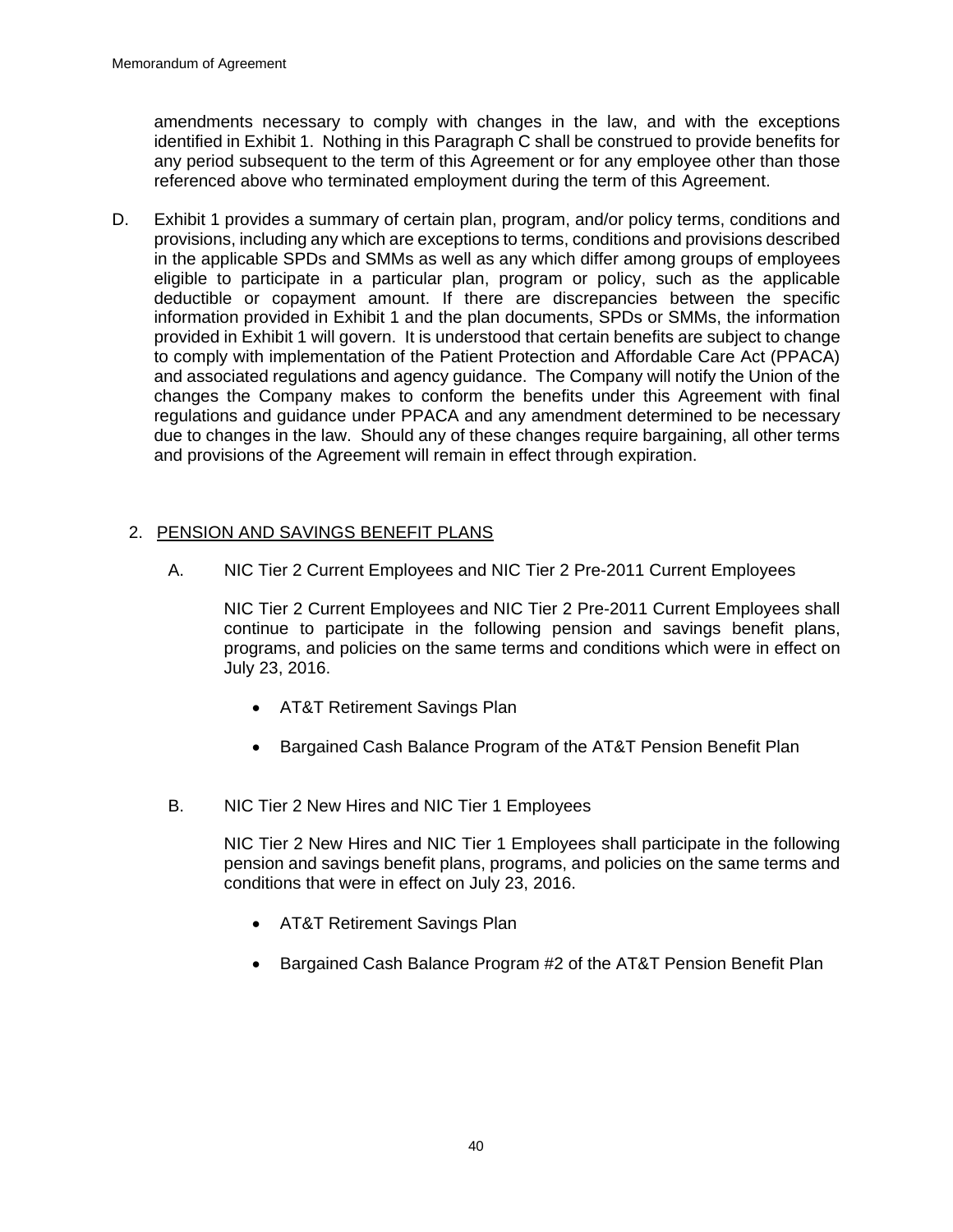amendments necessary to comply with changes in the law, and with the exceptions identified in Exhibit 1. Nothing in this Paragraph C shall be construed to provide benefits for any period subsequent to the term of this Agreement or for any employee other than those referenced above who terminated employment during the term of this Agreement.

D. Exhibit 1 provides a summary of certain plan, program, and/or policy terms, conditions and provisions, including any which are exceptions to terms, conditions and provisions described in the applicable SPDs and SMMs as well as any which differ among groups of employees eligible to participate in a particular plan, program or policy, such as the applicable deductible or copayment amount. If there are discrepancies between the specific information provided in Exhibit 1 and the plan documents, SPDs or SMMs, the information provided in Exhibit 1 will govern. It is understood that certain benefits are subject to change to comply with implementation of the Patient Protection and Affordable Care Act (PPACA) and associated regulations and agency guidance. The Company will notify the Union of the changes the Company makes to conform the benefits under this Agreement with final regulations and guidance under PPACA and any amendment determined to be necessary due to changes in the law. Should any of these changes require bargaining, all other terms and provisions of the Agreement will remain in effect through expiration.

# 2. PENSION AND SAVINGS BENEFIT PLANS

A. NIC Tier 2 Current Employees and NIC Tier 2 Pre-2011 Current Employees

NIC Tier 2 Current Employees and NIC Tier 2 Pre-2011 Current Employees shall continue to participate in the following pension and savings benefit plans, programs, and policies on the same terms and conditions which were in effect on July 23, 2016.

- AT&T Retirement Savings Plan
- Bargained Cash Balance Program of the AT&T Pension Benefit Plan
- B. NIC Tier 2 New Hires and NIC Tier 1 Employees

NIC Tier 2 New Hires and NIC Tier 1 Employees shall participate in the following pension and savings benefit plans, programs, and policies on the same terms and conditions that were in effect on July 23, 2016.

- AT&T Retirement Savings Plan
- Bargained Cash Balance Program #2 of the AT&T Pension Benefit Plan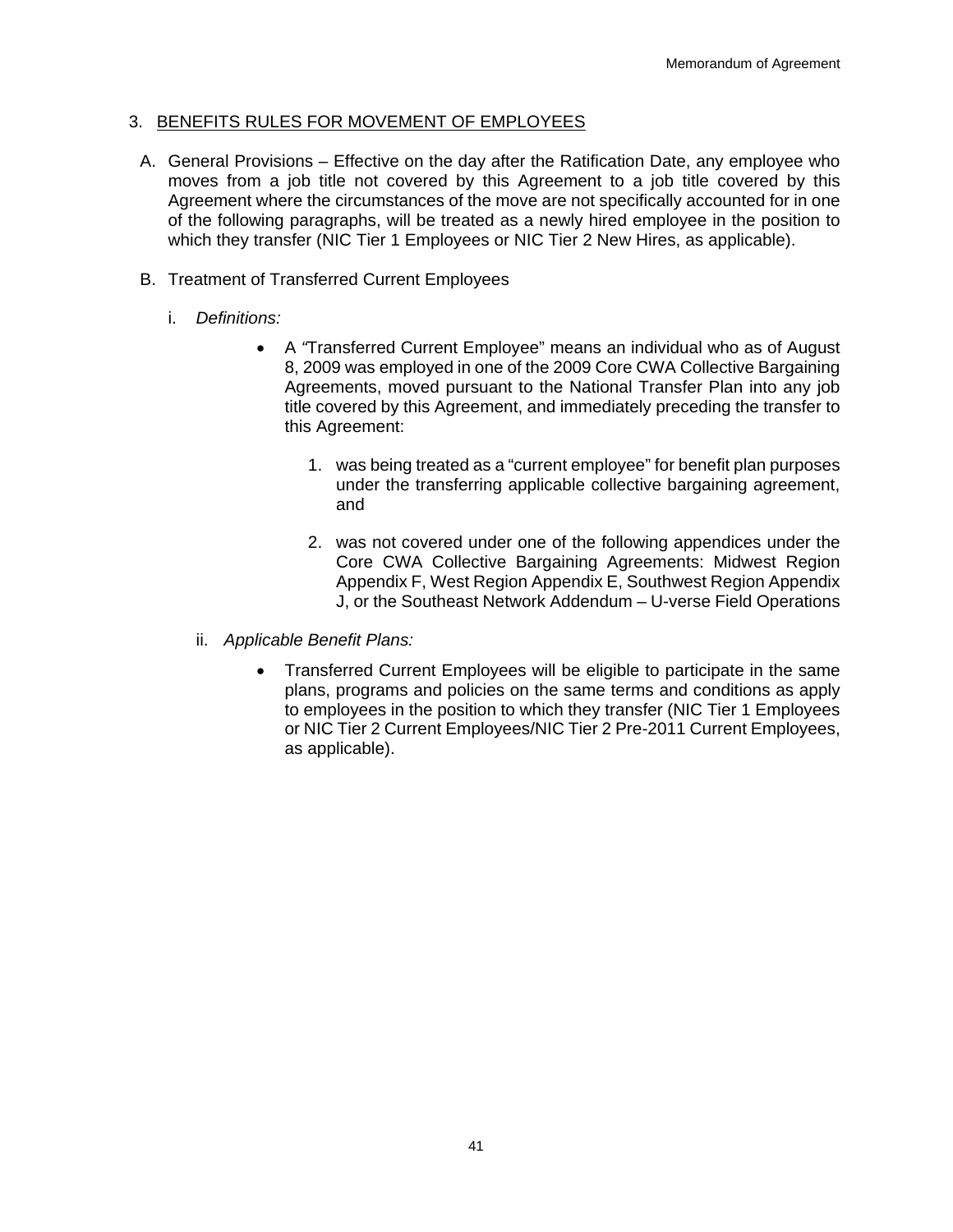## 3. BENEFITS RULES FOR MOVEMENT OF EMPLOYEES

- A. General Provisions Effective on the day after the Ratification Date, any employee who moves from a job title not covered by this Agreement to a job title covered by this Agreement where the circumstances of the move are not specifically accounted for in one of the following paragraphs, will be treated as a newly hired employee in the position to which they transfer (NIC Tier 1 Employees or NIC Tier 2 New Hires, as applicable).
- B. Treatment of Transferred Current Employees
	- i. *Definitions:*
		- A *"*Transferred Current Employee" means an individual who as of August 8, 2009 was employed in one of the 2009 Core CWA Collective Bargaining Agreements, moved pursuant to the National Transfer Plan into any job title covered by this Agreement, and immediately preceding the transfer to this Agreement:
			- 1. was being treated as a "current employee" for benefit plan purposes under the transferring applicable collective bargaining agreement, and
			- 2. was not covered under one of the following appendices under the Core CWA Collective Bargaining Agreements: Midwest Region Appendix F, West Region Appendix E, Southwest Region Appendix J, or the Southeast Network Addendum – U-verse Field Operations
		- ii. *Applicable Benefit Plans:*
			- Transferred Current Employees will be eligible to participate in the same plans, programs and policies on the same terms and conditions as apply to employees in the position to which they transfer (NIC Tier 1 Employees or NIC Tier 2 Current Employees/NIC Tier 2 Pre-2011 Current Employees, as applicable).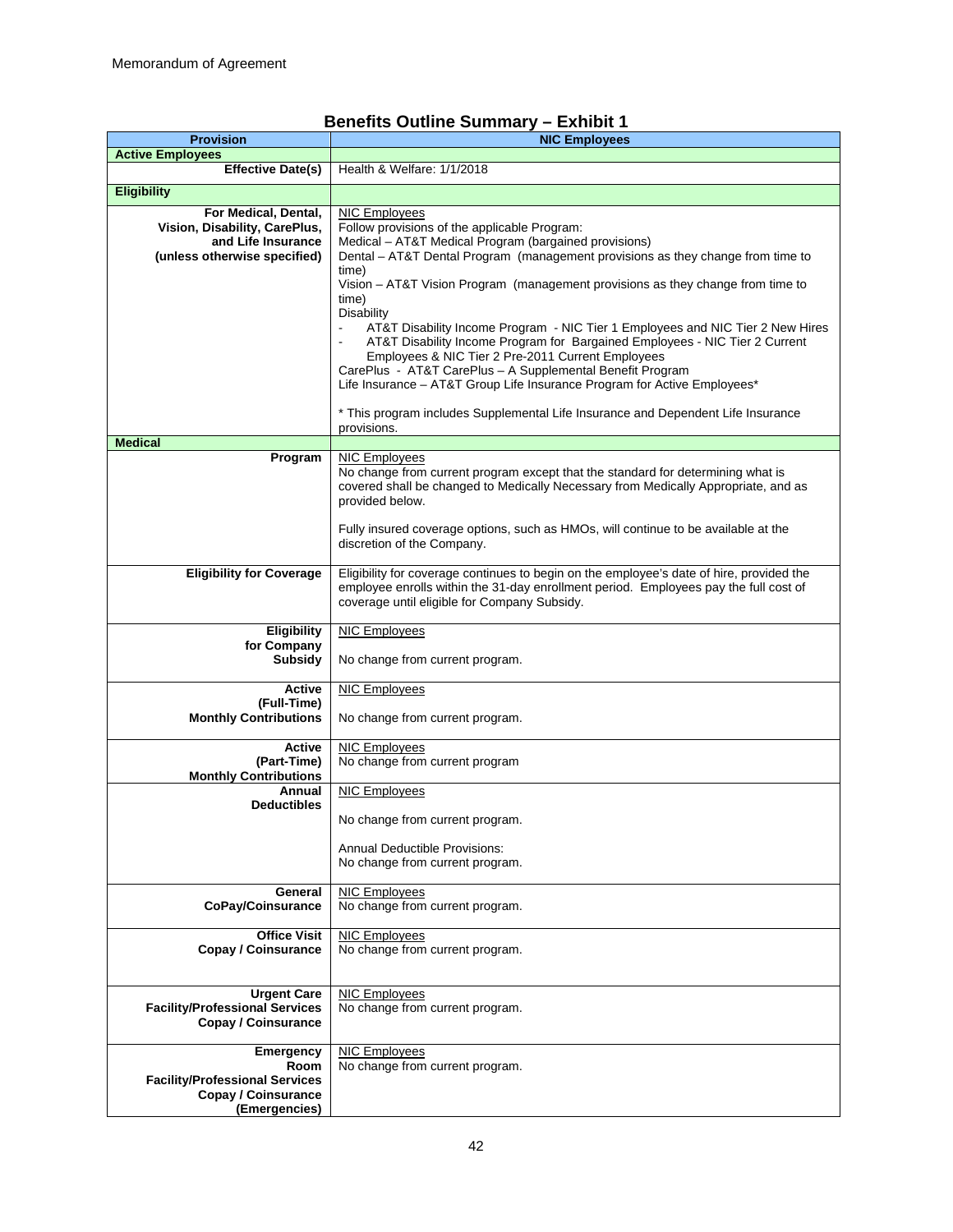# **Benefits Outline Summary – Exhibit 1**

| <b>Provision</b>                                                                                            | <b>NIC Employees</b>                                                                                                                                                                                                                                                                                                                                                                                                                                                                                                                                                                                                                                                                                                                                                                   |
|-------------------------------------------------------------------------------------------------------------|----------------------------------------------------------------------------------------------------------------------------------------------------------------------------------------------------------------------------------------------------------------------------------------------------------------------------------------------------------------------------------------------------------------------------------------------------------------------------------------------------------------------------------------------------------------------------------------------------------------------------------------------------------------------------------------------------------------------------------------------------------------------------------------|
| <b>Active Employees</b>                                                                                     |                                                                                                                                                                                                                                                                                                                                                                                                                                                                                                                                                                                                                                                                                                                                                                                        |
| <b>Effective Date(s)</b>                                                                                    | Health & Welfare: 1/1/2018                                                                                                                                                                                                                                                                                                                                                                                                                                                                                                                                                                                                                                                                                                                                                             |
| <b>Eligibility</b>                                                                                          |                                                                                                                                                                                                                                                                                                                                                                                                                                                                                                                                                                                                                                                                                                                                                                                        |
| For Medical, Dental,<br>Vision, Disability, CarePlus,<br>and Life Insurance<br>(unless otherwise specified) | <b>NIC Employees</b><br>Follow provisions of the applicable Program:<br>Medical - AT&T Medical Program (bargained provisions)<br>Dental - AT&T Dental Program (management provisions as they change from time to<br>time)<br>Vision - AT&T Vision Program (management provisions as they change from time to<br>time)<br>Disability<br>AT&T Disability Income Program - NIC Tier 1 Employees and NIC Tier 2 New Hires<br>AT&T Disability Income Program for Bargained Employees - NIC Tier 2 Current<br>Employees & NIC Tier 2 Pre-2011 Current Employees<br>CarePlus - AT&T CarePlus - A Supplemental Benefit Program<br>Life Insurance - AT&T Group Life Insurance Program for Active Employees*<br>* This program includes Supplemental Life Insurance and Dependent Life Insurance |
|                                                                                                             | provisions.                                                                                                                                                                                                                                                                                                                                                                                                                                                                                                                                                                                                                                                                                                                                                                            |
| <b>Medical</b>                                                                                              |                                                                                                                                                                                                                                                                                                                                                                                                                                                                                                                                                                                                                                                                                                                                                                                        |
| Program                                                                                                     | <b>NIC Employees</b><br>No change from current program except that the standard for determining what is<br>covered shall be changed to Medically Necessary from Medically Appropriate, and as<br>provided below.<br>Fully insured coverage options, such as HMOs, will continue to be available at the<br>discretion of the Company.                                                                                                                                                                                                                                                                                                                                                                                                                                                   |
| <b>Eligibility for Coverage</b>                                                                             | Eligibility for coverage continues to begin on the employee's date of hire, provided the<br>employee enrolls within the 31-day enrollment period. Employees pay the full cost of<br>coverage until eligible for Company Subsidy.                                                                                                                                                                                                                                                                                                                                                                                                                                                                                                                                                       |
| Eligibility<br>for Company<br>Subsidy                                                                       | <b>NIC Employees</b><br>No change from current program.                                                                                                                                                                                                                                                                                                                                                                                                                                                                                                                                                                                                                                                                                                                                |
| <b>Active</b><br>(Full-Time)<br><b>Monthly Contributions</b>                                                | <b>NIC Employees</b><br>No change from current program.                                                                                                                                                                                                                                                                                                                                                                                                                                                                                                                                                                                                                                                                                                                                |
| Active<br>(Part-Time)<br><b>Monthly Contributions</b>                                                       | <b>NIC Employees</b><br>No change from current program                                                                                                                                                                                                                                                                                                                                                                                                                                                                                                                                                                                                                                                                                                                                 |
| Annual<br><b>Deductibles</b>                                                                                | <b>NIC Employees</b><br>No change from current program.<br><b>Annual Deductible Provisions:</b><br>No change from current program.                                                                                                                                                                                                                                                                                                                                                                                                                                                                                                                                                                                                                                                     |
| General<br>CoPay/Coinsurance                                                                                | <b>NIC Employees</b><br>No change from current program.                                                                                                                                                                                                                                                                                                                                                                                                                                                                                                                                                                                                                                                                                                                                |
| <b>Office Visit</b><br><b>Copay / Coinsurance</b>                                                           | <b>NIC Employees</b><br>No change from current program.                                                                                                                                                                                                                                                                                                                                                                                                                                                                                                                                                                                                                                                                                                                                |
| <b>Urgent Care</b><br><b>Facility/Professional Services</b><br><b>Copay / Coinsurance</b>                   | <b>NIC Employees</b><br>No change from current program.                                                                                                                                                                                                                                                                                                                                                                                                                                                                                                                                                                                                                                                                                                                                |
| Emergency<br>Room<br><b>Facility/Professional Services</b><br><b>Copay / Coinsurance</b><br>(Emergencies)   | <b>NIC Employees</b><br>No change from current program.                                                                                                                                                                                                                                                                                                                                                                                                                                                                                                                                                                                                                                                                                                                                |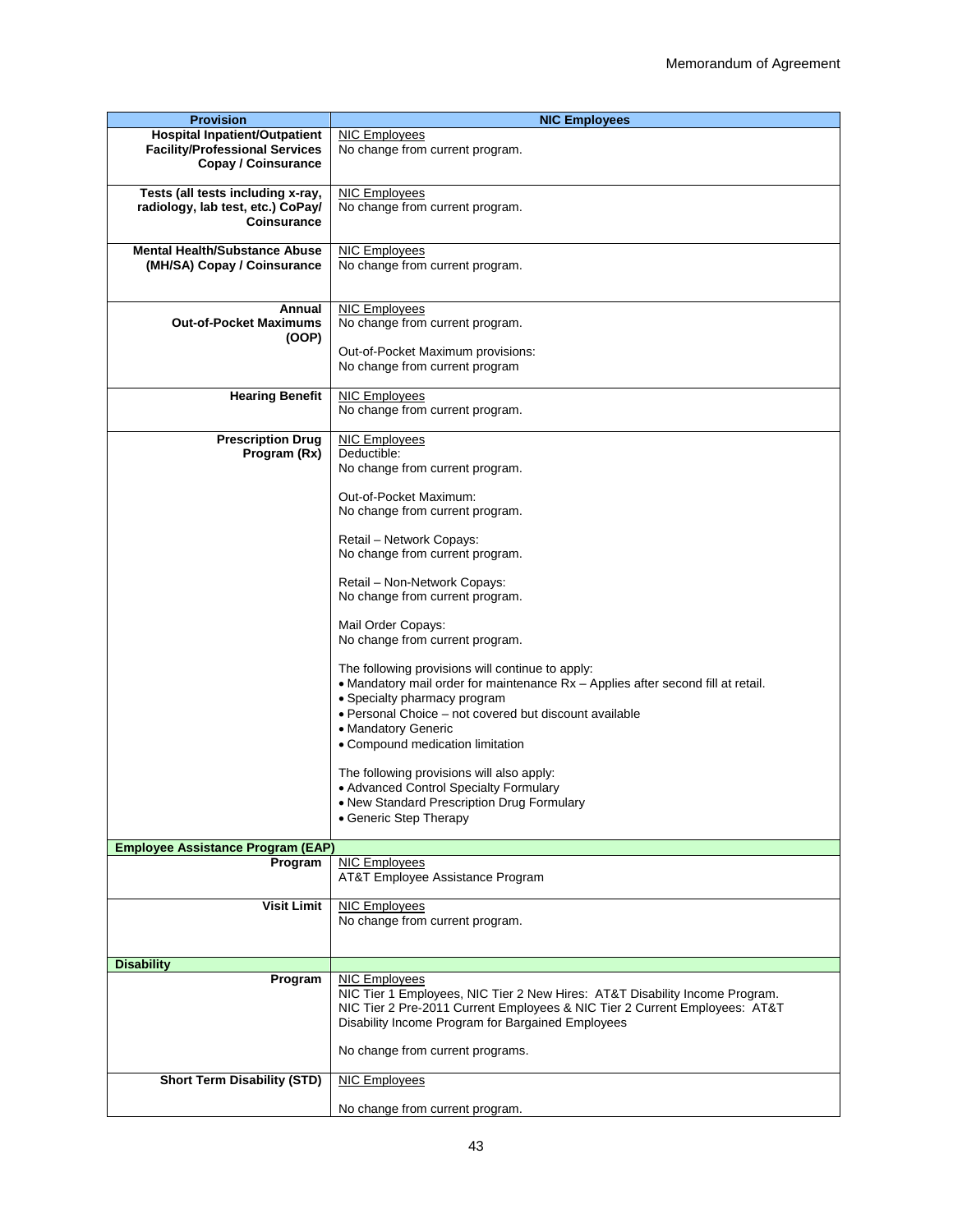| <b>Provision</b>                                                                                            | <b>NIC Employees</b>                                                                                                                                                                                                                                                                      |
|-------------------------------------------------------------------------------------------------------------|-------------------------------------------------------------------------------------------------------------------------------------------------------------------------------------------------------------------------------------------------------------------------------------------|
| <b>Hospital Inpatient/Outpatient</b><br><b>Facility/Professional Services</b><br><b>Copay / Coinsurance</b> | <b>NIC Employees</b><br>No change from current program.                                                                                                                                                                                                                                   |
|                                                                                                             |                                                                                                                                                                                                                                                                                           |
| Tests (all tests including x-ray,<br>radiology, lab test, etc.) CoPay/<br>Coinsurance                       | <b>NIC Employees</b><br>No change from current program.                                                                                                                                                                                                                                   |
| <b>Mental Health/Substance Abuse</b><br>(MH/SA) Copay / Coinsurance                                         | <b>NIC Employees</b><br>No change from current program.                                                                                                                                                                                                                                   |
| Annual                                                                                                      | <b>NIC Employees</b>                                                                                                                                                                                                                                                                      |
| <b>Out-of-Pocket Maximums</b>                                                                               | No change from current program.                                                                                                                                                                                                                                                           |
| (OOP)                                                                                                       |                                                                                                                                                                                                                                                                                           |
|                                                                                                             | Out-of-Pocket Maximum provisions:<br>No change from current program                                                                                                                                                                                                                       |
| <b>Hearing Benefit</b>                                                                                      | <b>NIC Employees</b>                                                                                                                                                                                                                                                                      |
|                                                                                                             | No change from current program.                                                                                                                                                                                                                                                           |
| <b>Prescription Drug</b>                                                                                    | <b>NIC Employees</b><br>Deductible:                                                                                                                                                                                                                                                       |
| Program (Rx)                                                                                                | No change from current program.                                                                                                                                                                                                                                                           |
|                                                                                                             |                                                                                                                                                                                                                                                                                           |
|                                                                                                             | Out-of-Pocket Maximum:<br>No change from current program.                                                                                                                                                                                                                                 |
|                                                                                                             | Retail - Network Copays:                                                                                                                                                                                                                                                                  |
|                                                                                                             | No change from current program.                                                                                                                                                                                                                                                           |
|                                                                                                             | Retail - Non-Network Copays:<br>No change from current program.                                                                                                                                                                                                                           |
|                                                                                                             | Mail Order Copays:<br>No change from current program.                                                                                                                                                                                                                                     |
|                                                                                                             | The following provisions will continue to apply:<br>• Mandatory mail order for maintenance Rx - Applies after second fill at retail.<br>• Specialty pharmacy program<br>· Personal Choice - not covered but discount available<br>• Mandatory Generic<br>• Compound medication limitation |
|                                                                                                             | The following provisions will also apply:                                                                                                                                                                                                                                                 |
|                                                                                                             | • Advanced Control Specialty Formulary                                                                                                                                                                                                                                                    |
|                                                                                                             | • New Standard Prescription Drug Formulary                                                                                                                                                                                                                                                |
|                                                                                                             | • Generic Step Therapy                                                                                                                                                                                                                                                                    |
|                                                                                                             |                                                                                                                                                                                                                                                                                           |
| Employee Assistance Program (EAP)<br>Program                                                                | <b>NIC Employees</b>                                                                                                                                                                                                                                                                      |
|                                                                                                             | AT&T Employee Assistance Program                                                                                                                                                                                                                                                          |
|                                                                                                             |                                                                                                                                                                                                                                                                                           |
| <b>Visit Limit</b>                                                                                          | <b>NIC Employees</b>                                                                                                                                                                                                                                                                      |
|                                                                                                             | No change from current program.                                                                                                                                                                                                                                                           |
|                                                                                                             |                                                                                                                                                                                                                                                                                           |
| <b>Disability</b>                                                                                           |                                                                                                                                                                                                                                                                                           |
| Program                                                                                                     | <b>NIC Employees</b>                                                                                                                                                                                                                                                                      |
|                                                                                                             | NIC Tier 1 Employees, NIC Tier 2 New Hires: AT&T Disability Income Program.<br>NIC Tier 2 Pre-2011 Current Employees & NIC Tier 2 Current Employees: AT&T<br>Disability Income Program for Bargained Employees                                                                            |
|                                                                                                             | No change from current programs.                                                                                                                                                                                                                                                          |
| <b>Short Term Disability (STD)</b>                                                                          | <b>NIC Employees</b>                                                                                                                                                                                                                                                                      |
|                                                                                                             | No change from current program.                                                                                                                                                                                                                                                           |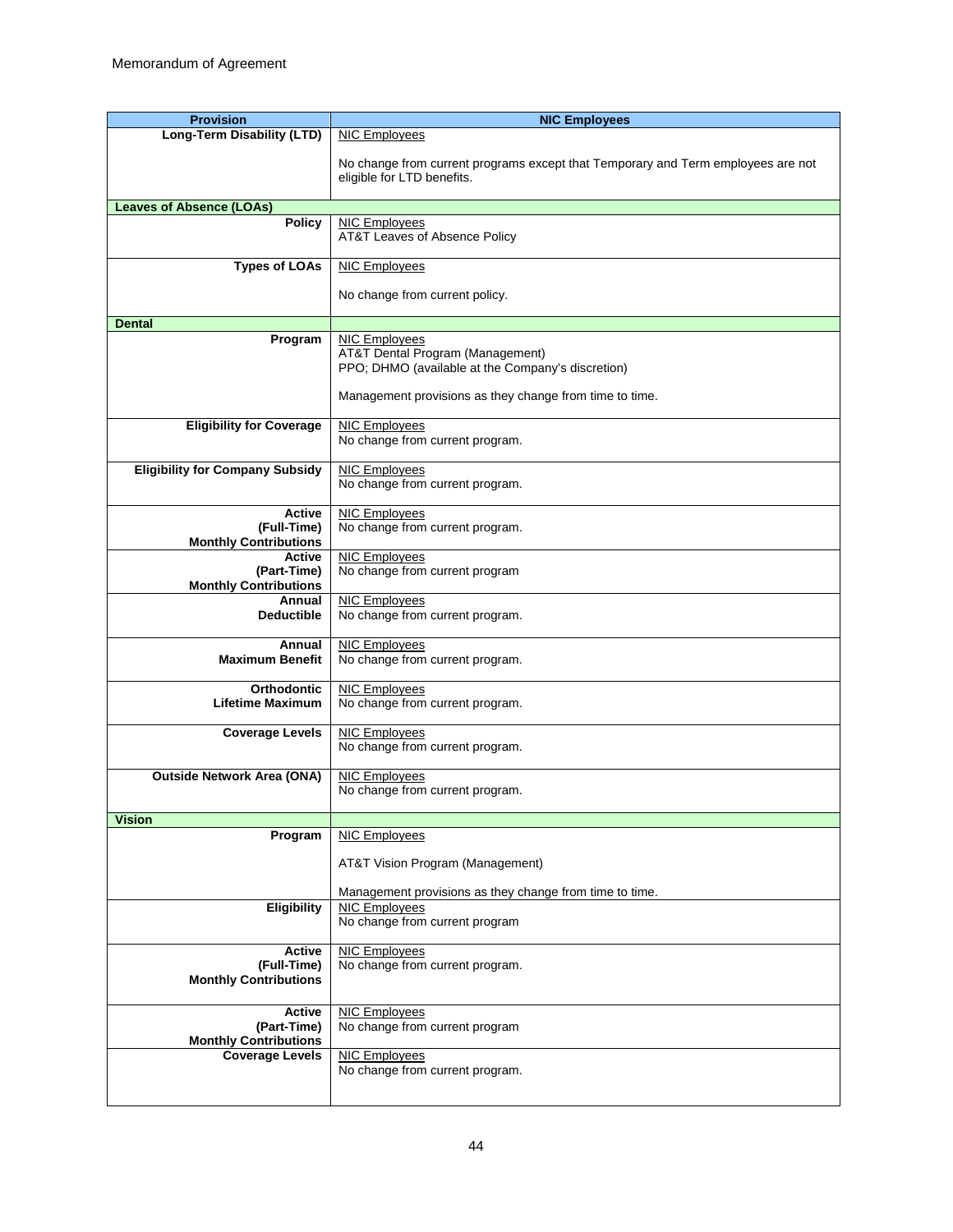| <b>Provision</b>                            | <b>NIC Employees</b>                                                             |
|---------------------------------------------|----------------------------------------------------------------------------------|
| Long-Term Disability (LTD)                  | NIC Employees                                                                    |
|                                             |                                                                                  |
|                                             | No change from current programs except that Temporary and Term employees are not |
|                                             | eligible for LTD benefits.                                                       |
|                                             |                                                                                  |
| <b>Leaves of Absence (LOAs)</b>             |                                                                                  |
| <b>Policy</b>                               | <b>NIC Employees</b>                                                             |
|                                             | AT&T Leaves of Absence Policy                                                    |
|                                             |                                                                                  |
| <b>Types of LOAs</b>                        | <b>NIC Employees</b>                                                             |
|                                             |                                                                                  |
|                                             | No change from current policy.                                                   |
|                                             |                                                                                  |
| <b>Dental</b>                               |                                                                                  |
| Program                                     | <b>NIC Employees</b>                                                             |
|                                             | <b>AT&amp;T Dental Program (Management)</b>                                      |
|                                             | PPO; DHMO (available at the Company's discretion)                                |
|                                             |                                                                                  |
|                                             | Management provisions as they change from time to time.                          |
|                                             |                                                                                  |
| <b>Eligibility for Coverage</b>             | <b>NIC Employees</b>                                                             |
|                                             | No change from current program.                                                  |
|                                             |                                                                                  |
| <b>Eligibility for Company Subsidy</b>      | <b>NIC Employees</b>                                                             |
|                                             | No change from current program.                                                  |
| <b>Active</b>                               | <b>NIC Employees</b>                                                             |
|                                             | No change from current program.                                                  |
| (Full-Time)<br><b>Monthly Contributions</b> |                                                                                  |
| Active                                      | NIC Employees                                                                    |
| (Part-Time)                                 | No change from current program                                                   |
| <b>Monthly Contributions</b>                |                                                                                  |
| Annual                                      | <b>NIC Employees</b>                                                             |
| <b>Deductible</b>                           | No change from current program.                                                  |
|                                             |                                                                                  |
| Annual                                      | <b>NIC Employees</b>                                                             |
| <b>Maximum Benefit</b>                      | No change from current program.                                                  |
|                                             |                                                                                  |
| <b>Orthodontic</b>                          | <b>NIC Employees</b>                                                             |
| <b>Lifetime Maximum</b>                     | No change from current program.                                                  |
|                                             |                                                                                  |
| <b>Coverage Levels</b>                      | <b>NIC Employees</b>                                                             |
|                                             | No change from current program.                                                  |
|                                             |                                                                                  |
| <b>Outside Network Area (ONA)</b>           | <b>NIC Employees</b>                                                             |
|                                             | No change from current program.                                                  |
|                                             |                                                                                  |
| <b>Vision</b>                               |                                                                                  |
| Program                                     | <b>NIC Employees</b>                                                             |
|                                             |                                                                                  |
|                                             | AT&T Vision Program (Management)                                                 |
|                                             |                                                                                  |
|                                             | Management provisions as they change from time to time.                          |
| Eligibility                                 | <b>NIC Employees</b>                                                             |
|                                             | No change from current program                                                   |
| <b>Active</b>                               | <b>NIC Employees</b>                                                             |
| (Full-Time)                                 | No change from current program.                                                  |
| <b>Monthly Contributions</b>                |                                                                                  |
|                                             |                                                                                  |
| <b>Active</b>                               |                                                                                  |
|                                             | <b>NIC Employees</b>                                                             |
| (Part-Time)                                 | No change from current program                                                   |
| <b>Monthly Contributions</b>                |                                                                                  |
| <b>Coverage Levels</b>                      | <b>NIC Employees</b><br>No change from current program.                          |
|                                             |                                                                                  |
|                                             |                                                                                  |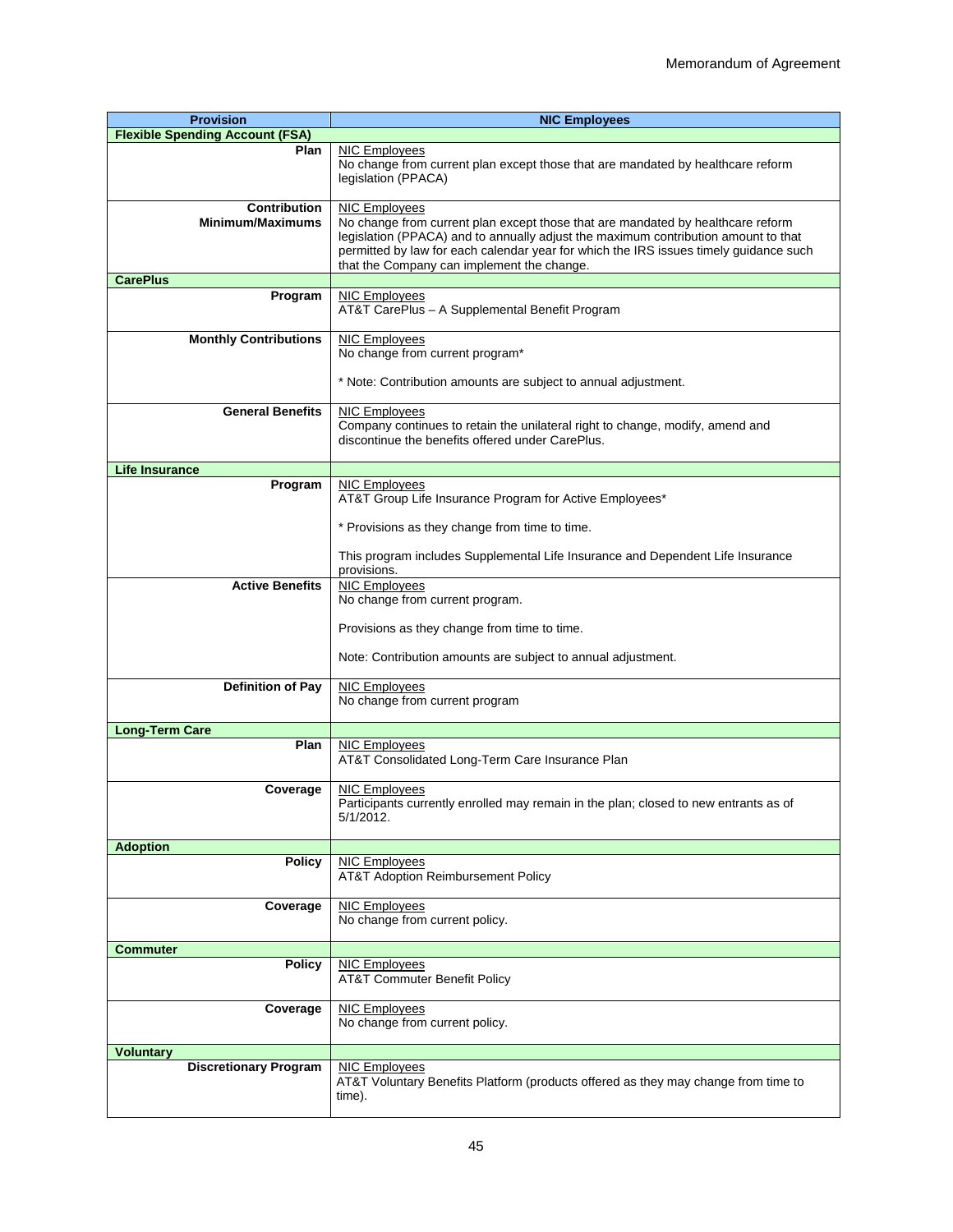| <b>Provision</b>                        | <b>NIC Employees</b>                                                                                                                                                                                                                                                                                                                 |
|-----------------------------------------|--------------------------------------------------------------------------------------------------------------------------------------------------------------------------------------------------------------------------------------------------------------------------------------------------------------------------------------|
| <b>Flexible Spending Account (FSA)</b>  |                                                                                                                                                                                                                                                                                                                                      |
| Plan                                    | NIC Employees<br>No change from current plan except those that are mandated by healthcare reform<br>legislation (PPACA)                                                                                                                                                                                                              |
| <b>Contribution</b><br>Minimum/Maximums | <b>NIC Employees</b><br>No change from current plan except those that are mandated by healthcare reform<br>legislation (PPACA) and to annually adjust the maximum contribution amount to that<br>permitted by law for each calendar year for which the IRS issues timely guidance such<br>that the Company can implement the change. |
| <b>CarePlus</b>                         |                                                                                                                                                                                                                                                                                                                                      |
| Program                                 | <b>NIC Employees</b><br>AT&T CarePlus - A Supplemental Benefit Program                                                                                                                                                                                                                                                               |
| <b>Monthly Contributions</b>            | <b>NIC Employees</b><br>No change from current program*                                                                                                                                                                                                                                                                              |
|                                         | * Note: Contribution amounts are subject to annual adjustment.                                                                                                                                                                                                                                                                       |
| <b>General Benefits</b>                 | <b>NIC Employees</b><br>Company continues to retain the unilateral right to change, modify, amend and<br>discontinue the benefits offered under CarePlus.                                                                                                                                                                            |
| <b>Life Insurance</b>                   |                                                                                                                                                                                                                                                                                                                                      |
| Program                                 | <b>NIC Employees</b><br>AT&T Group Life Insurance Program for Active Employees*                                                                                                                                                                                                                                                      |
|                                         | * Provisions as they change from time to time.<br>This program includes Supplemental Life Insurance and Dependent Life Insurance                                                                                                                                                                                                     |
|                                         | provisions.                                                                                                                                                                                                                                                                                                                          |
| <b>Active Benefits</b>                  | <b>NIC Employees</b><br>No change from current program.                                                                                                                                                                                                                                                                              |
|                                         | Provisions as they change from time to time.<br>Note: Contribution amounts are subject to annual adjustment.                                                                                                                                                                                                                         |
| <b>Definition of Pay</b>                | <b>NIC Employees</b><br>No change from current program                                                                                                                                                                                                                                                                               |
| <b>Long-Term Care</b>                   |                                                                                                                                                                                                                                                                                                                                      |
| Plan                                    | <b>NIC Employees</b><br>AT&T Consolidated Long-Term Care Insurance Plan                                                                                                                                                                                                                                                              |
| Coverage                                | <b>NIC Employees</b><br>Participants currently enrolled may remain in the plan; closed to new entrants as of<br>5/1/2012.                                                                                                                                                                                                            |
| <b>Adoption</b>                         |                                                                                                                                                                                                                                                                                                                                      |
| <b>Policy</b>                           | NIC Employees<br>AT&T Adoption Reimbursement Policy                                                                                                                                                                                                                                                                                  |
| Coverage                                | <b>NIC Employees</b><br>No change from current policy.                                                                                                                                                                                                                                                                               |
| <b>Commuter</b>                         |                                                                                                                                                                                                                                                                                                                                      |
| <b>Policy</b>                           | NIC Employees<br>AT&T Commuter Benefit Policy                                                                                                                                                                                                                                                                                        |
| Coverage                                | <b>NIC Employees</b><br>No change from current policy.                                                                                                                                                                                                                                                                               |
| <b>Voluntary</b>                        |                                                                                                                                                                                                                                                                                                                                      |
| <b>Discretionary Program</b>            | <b>NIC Employees</b><br>AT&T Voluntary Benefits Platform (products offered as they may change from time to<br>time).                                                                                                                                                                                                                 |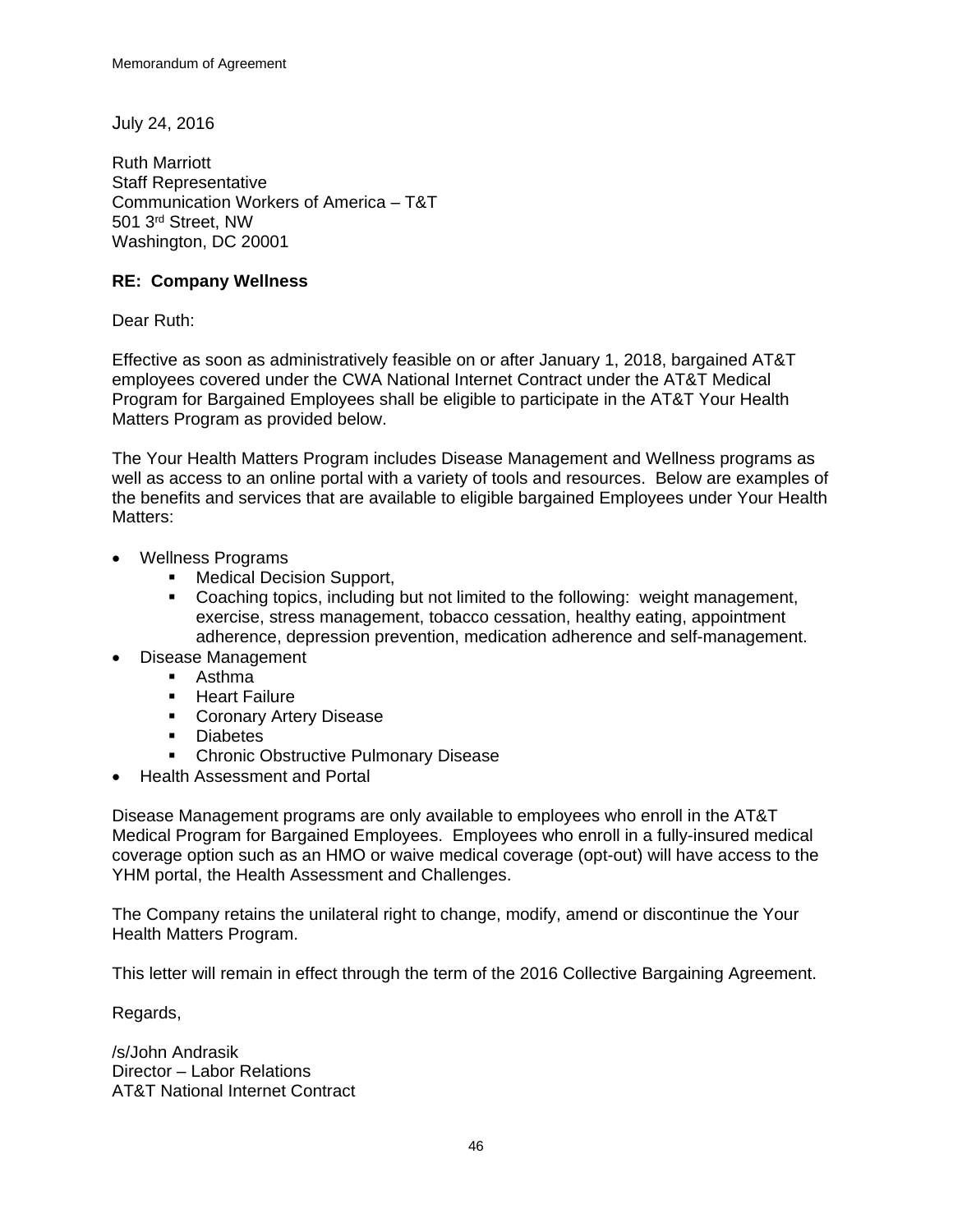July 24, 2016

Ruth Marriott Staff Representative Communication Workers of America – T&T 501 3rd Street, NW Washington, DC 20001

# **RE: Company Wellness**

Dear Ruth:

Effective as soon as administratively feasible on or after January 1, 2018, bargained AT&T employees covered under the CWA National Internet Contract under the AT&T Medical Program for Bargained Employees shall be eligible to participate in the AT&T Your Health Matters Program as provided below.

The Your Health Matters Program includes Disease Management and Wellness programs as well as access to an online portal with a variety of tools and resources. Below are examples of the benefits and services that are available to eligible bargained Employees under Your Health Matters:

- Wellness Programs
	- **Nedical Decision Support,**
	- Coaching topics, including but not limited to the following: weight management, exercise, stress management, tobacco cessation, healthy eating, appointment adherence, depression prevention, medication adherence and self-management.
- Disease Management
	- **Asthma**
	- **Heart Failure**
	- **Coronary Artery Disease**
	- **Diabetes**
	- **Chronic Obstructive Pulmonary Disease**
- Health Assessment and Portal

Disease Management programs are only available to employees who enroll in the AT&T Medical Program for Bargained Employees. Employees who enroll in a fully-insured medical coverage option such as an HMO or waive medical coverage (opt-out) will have access to the YHM portal, the Health Assessment and Challenges.

The Company retains the unilateral right to change, modify, amend or discontinue the Your Health Matters Program.

This letter will remain in effect through the term of the 2016 Collective Bargaining Agreement.

Regards,

/s/John Andrasik Director – Labor Relations AT&T National Internet Contract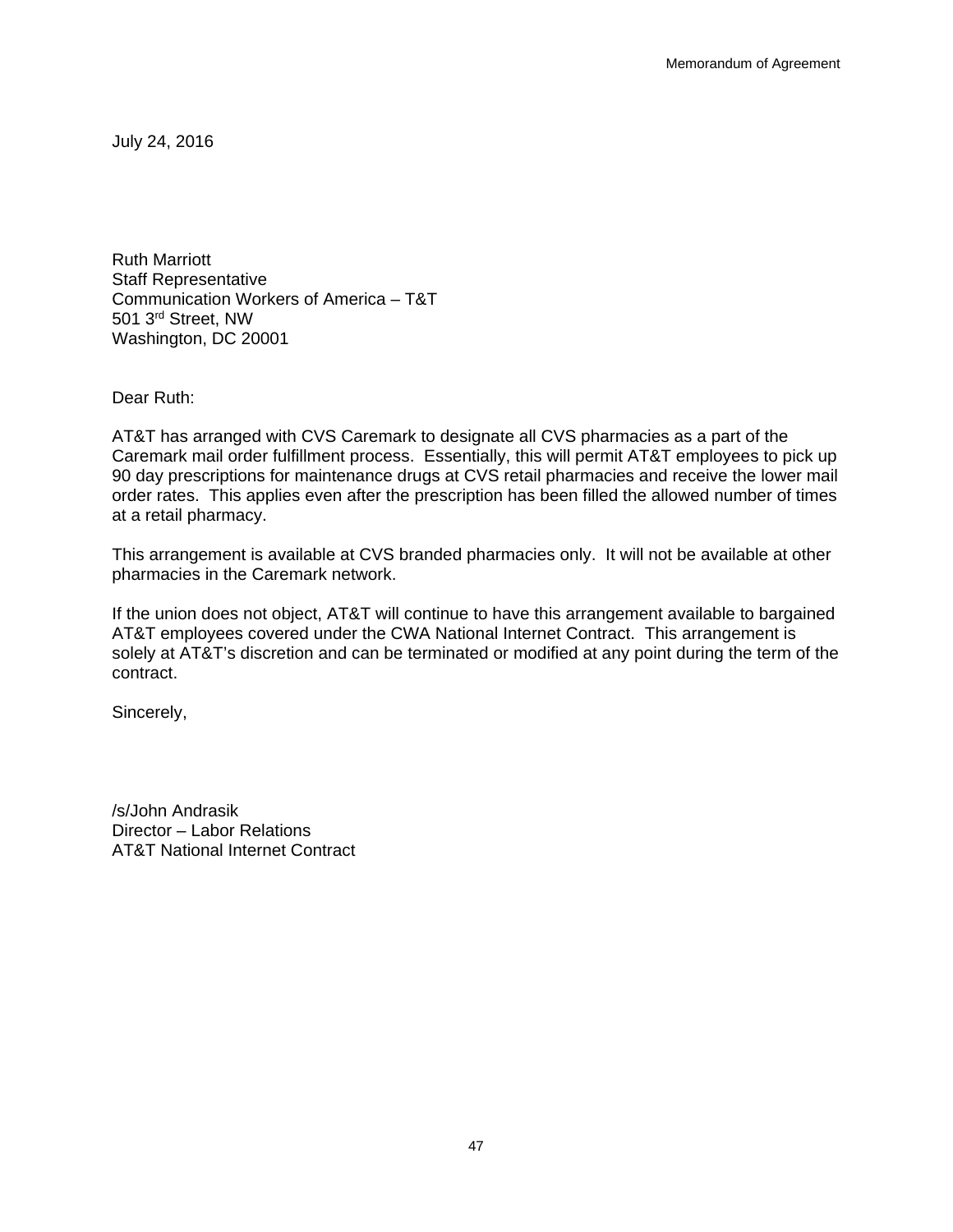July 24, 2016

Ruth Marriott Staff Representative Communication Workers of America – T&T 501 3rd Street, NW Washington, DC 20001

Dear Ruth:

AT&T has arranged with CVS Caremark to designate all CVS pharmacies as a part of the Caremark mail order fulfillment process. Essentially, this will permit AT&T employees to pick up 90 day prescriptions for maintenance drugs at CVS retail pharmacies and receive the lower mail order rates. This applies even after the prescription has been filled the allowed number of times at a retail pharmacy.

This arrangement is available at CVS branded pharmacies only. It will not be available at other pharmacies in the Caremark network.

If the union does not object, AT&T will continue to have this arrangement available to bargained AT&T employees covered under the CWA National Internet Contract. This arrangement is solely at AT&T's discretion and can be terminated or modified at any point during the term of the contract.

Sincerely,

/s/John Andrasik Director – Labor Relations AT&T National Internet Contract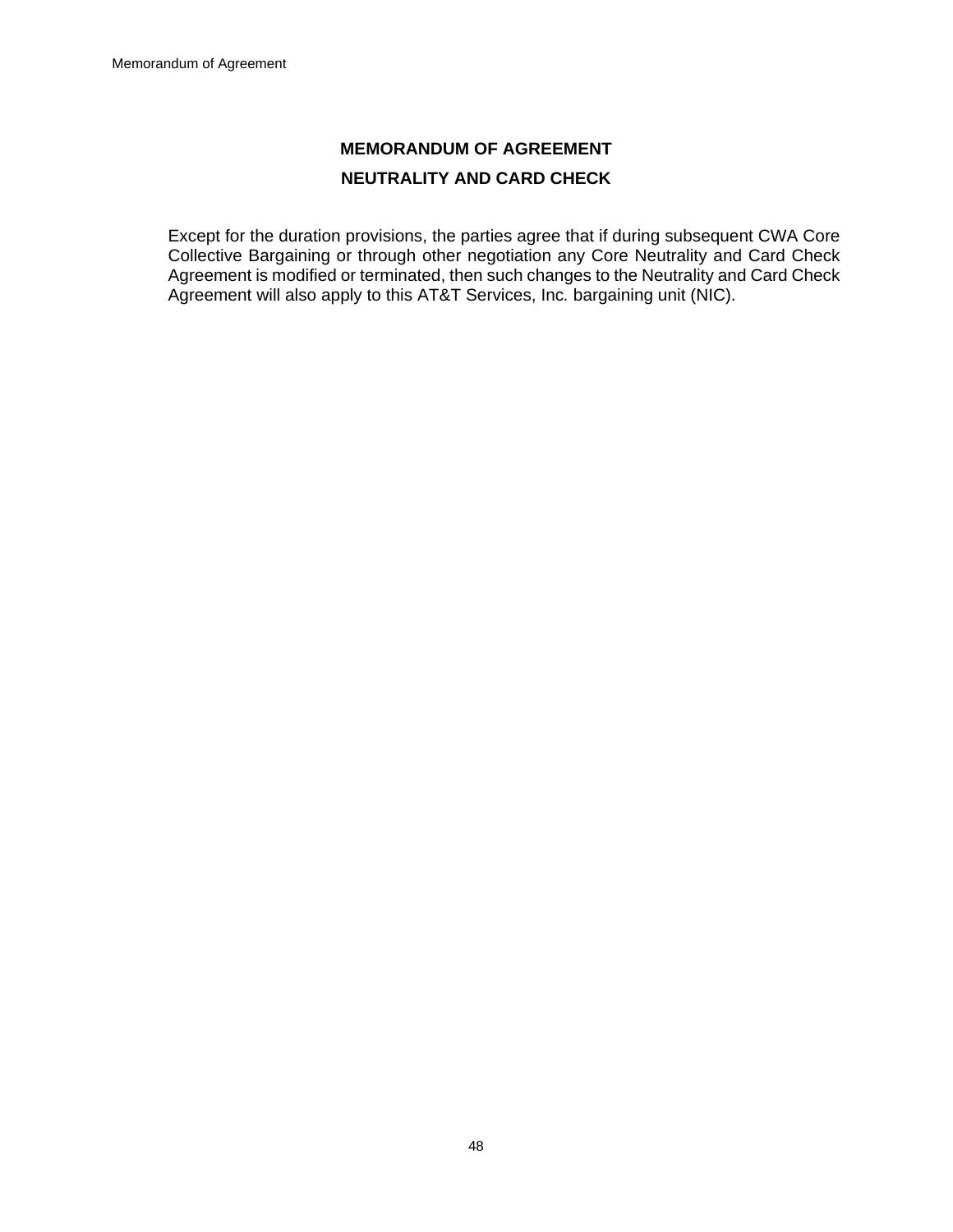# **MEMORANDUM OF AGREEMENT NEUTRALITY AND CARD CHECK**

Except for the duration provisions, the parties agree that if during subsequent CWA Core Collective Bargaining or through other negotiation any Core Neutrality and Card Check Agreement is modified or terminated, then such changes to the Neutrality and Card Check Agreement will also apply to this AT&T Services, Inc*.* bargaining unit (NIC).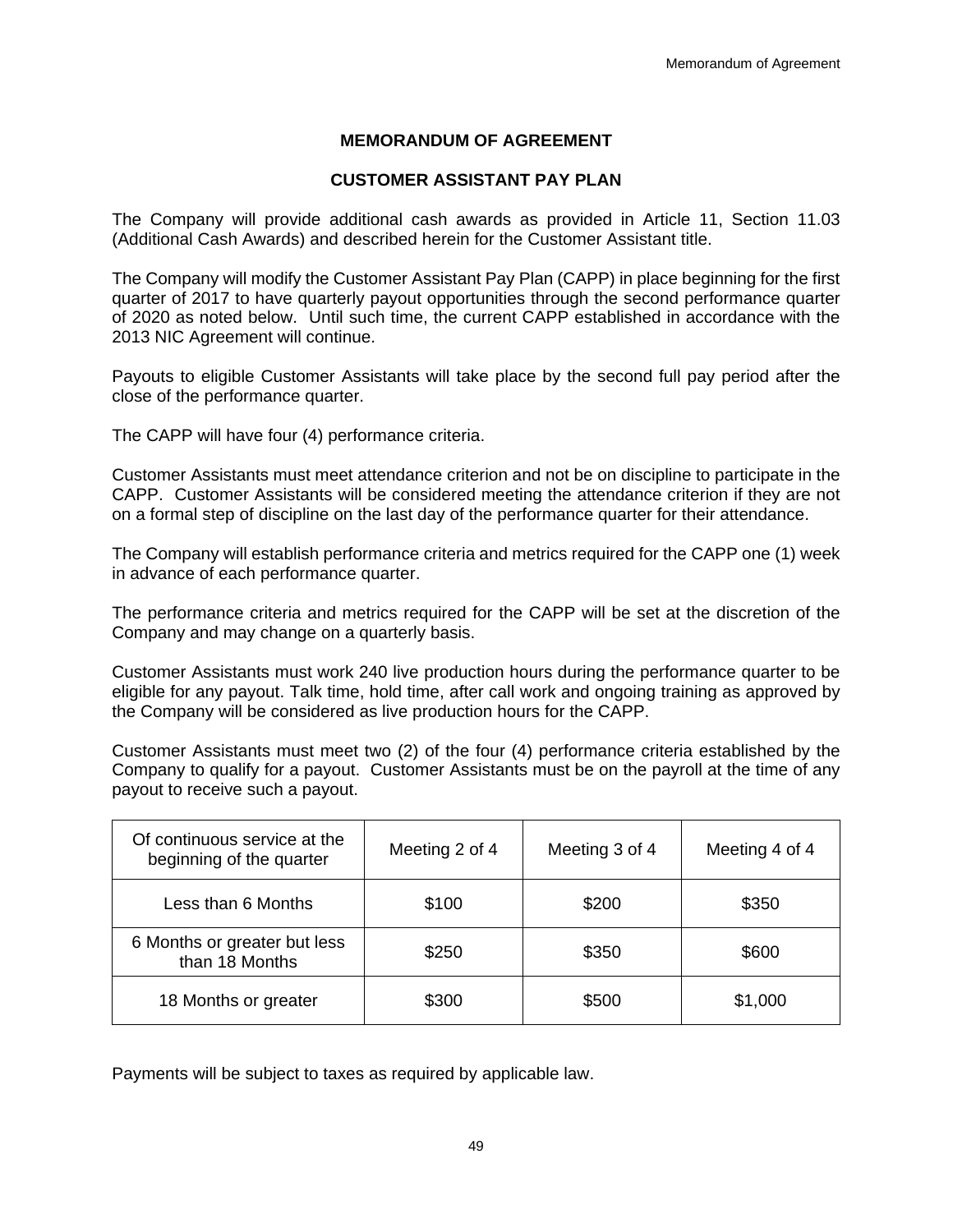# **MEMORANDUM OF AGREEMENT**

### **CUSTOMER ASSISTANT PAY PLAN**

The Company will provide additional cash awards as provided in Article 11, Section 11.03 (Additional Cash Awards) and described herein for the Customer Assistant title.

The Company will modify the Customer Assistant Pay Plan (CAPP) in place beginning for the first quarter of 2017 to have quarterly payout opportunities through the second performance quarter of 2020 as noted below. Until such time, the current CAPP established in accordance with the 2013 NIC Agreement will continue.

Payouts to eligible Customer Assistants will take place by the second full pay period after the close of the performance quarter.

The CAPP will have four (4) performance criteria.

Customer Assistants must meet attendance criterion and not be on discipline to participate in the CAPP. Customer Assistants will be considered meeting the attendance criterion if they are not on a formal step of discipline on the last day of the performance quarter for their attendance.

The Company will establish performance criteria and metrics required for the CAPP one (1) week in advance of each performance quarter.

The performance criteria and metrics required for the CAPP will be set at the discretion of the Company and may change on a quarterly basis.

Customer Assistants must work 240 live production hours during the performance quarter to be eligible for any payout. Talk time, hold time, after call work and ongoing training as approved by the Company will be considered as live production hours for the CAPP.

Customer Assistants must meet two (2) of the four (4) performance criteria established by the Company to qualify for a payout. Customer Assistants must be on the payroll at the time of any payout to receive such a payout.

| Of continuous service at the<br>beginning of the quarter | Meeting 2 of 4 | Meeting 3 of 4 | Meeting 4 of 4 |
|----------------------------------------------------------|----------------|----------------|----------------|
| Less than 6 Months                                       | \$100          | \$200          | \$350          |
| 6 Months or greater but less<br>than 18 Months           | \$250          | \$350          | \$600          |
| 18 Months or greater                                     | \$300          | \$500          | \$1,000        |

Payments will be subject to taxes as required by applicable law.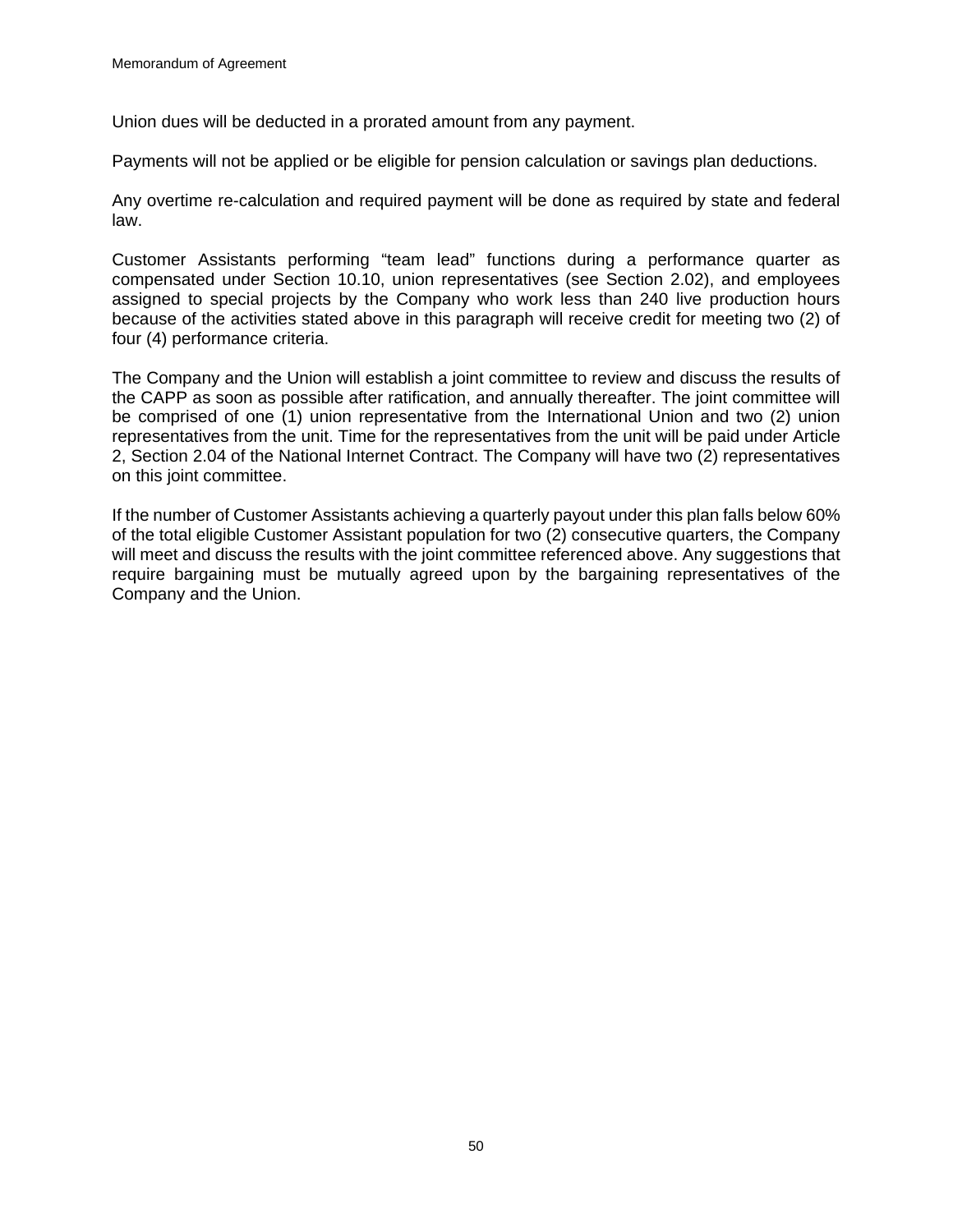Union dues will be deducted in a prorated amount from any payment.

Payments will not be applied or be eligible for pension calculation or savings plan deductions.

Any overtime re-calculation and required payment will be done as required by state and federal law.

Customer Assistants performing "team lead" functions during a performance quarter as compensated under Section 10.10, union representatives (see Section 2.02), and employees assigned to special projects by the Company who work less than 240 live production hours because of the activities stated above in this paragraph will receive credit for meeting two (2) of four (4) performance criteria.

The Company and the Union will establish a joint committee to review and discuss the results of the CAPP as soon as possible after ratification, and annually thereafter. The joint committee will be comprised of one (1) union representative from the International Union and two (2) union representatives from the unit. Time for the representatives from the unit will be paid under Article 2, Section 2.04 of the National Internet Contract. The Company will have two (2) representatives on this joint committee.

If the number of Customer Assistants achieving a quarterly payout under this plan falls below 60% of the total eligible Customer Assistant population for two (2) consecutive quarters, the Company will meet and discuss the results with the joint committee referenced above. Any suggestions that require bargaining must be mutually agreed upon by the bargaining representatives of the Company and the Union.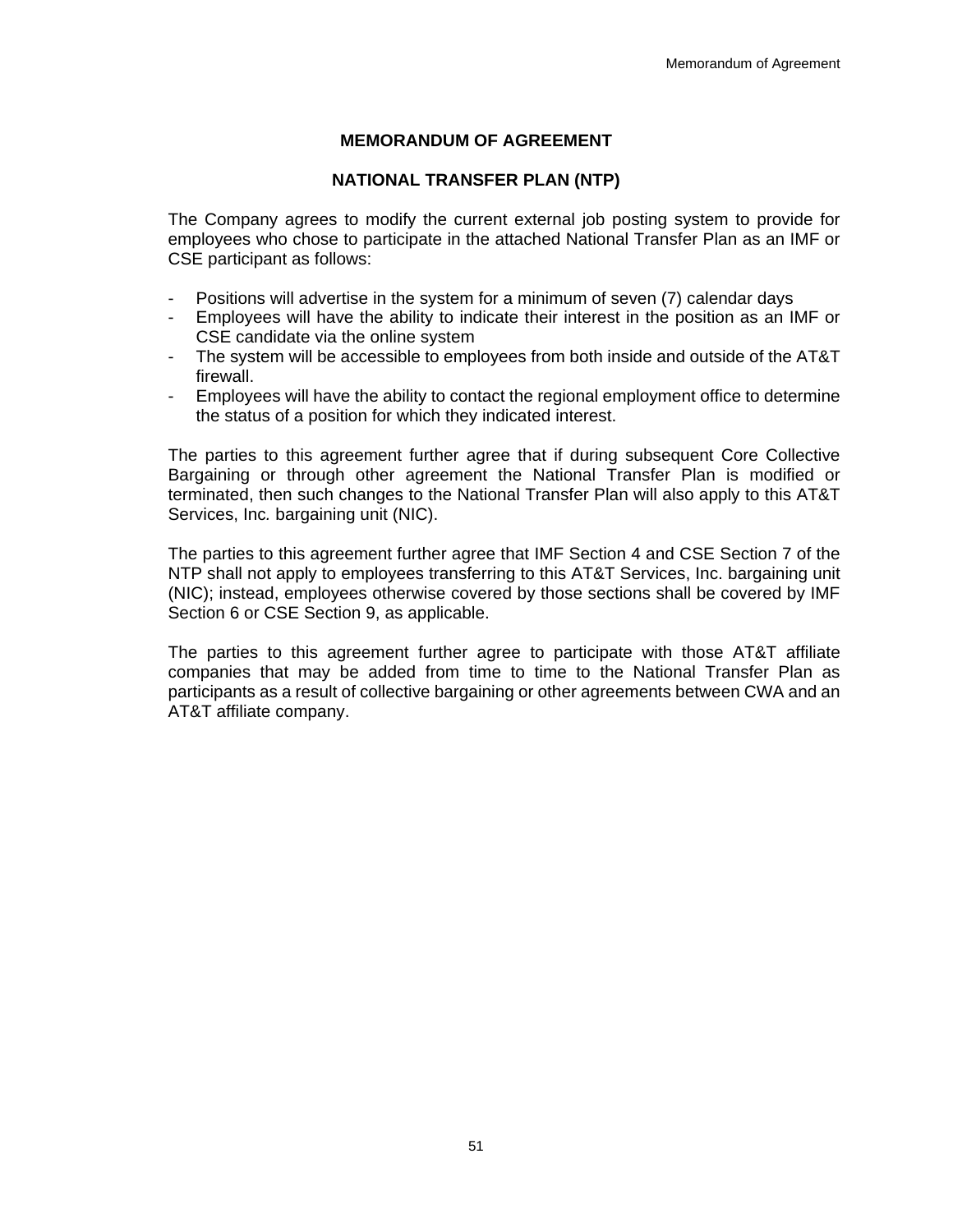# **MEMORANDUM OF AGREEMENT**

### **NATIONAL TRANSFER PLAN (NTP)**

The Company agrees to modify the current external job posting system to provide for employees who chose to participate in the attached National Transfer Plan as an IMF or CSE participant as follows:

- Positions will advertise in the system for a minimum of seven (7) calendar days
- Employees will have the ability to indicate their interest in the position as an IMF or CSE candidate via the online system
- The system will be accessible to employees from both inside and outside of the AT&T firewall.
- Employees will have the ability to contact the regional employment office to determine the status of a position for which they indicated interest.

The parties to this agreement further agree that if during subsequent Core Collective Bargaining or through other agreement the National Transfer Plan is modified or terminated, then such changes to the National Transfer Plan will also apply to this AT&T Services, Inc*.* bargaining unit (NIC).

The parties to this agreement further agree that IMF Section 4 and CSE Section 7 of the NTP shall not apply to employees transferring to this AT&T Services, Inc. bargaining unit (NIC); instead, employees otherwise covered by those sections shall be covered by IMF Section 6 or CSE Section 9, as applicable.

The parties to this agreement further agree to participate with those AT&T affiliate companies that may be added from time to time to the National Transfer Plan as participants as a result of collective bargaining or other agreements between CWA and an AT&T affiliate company.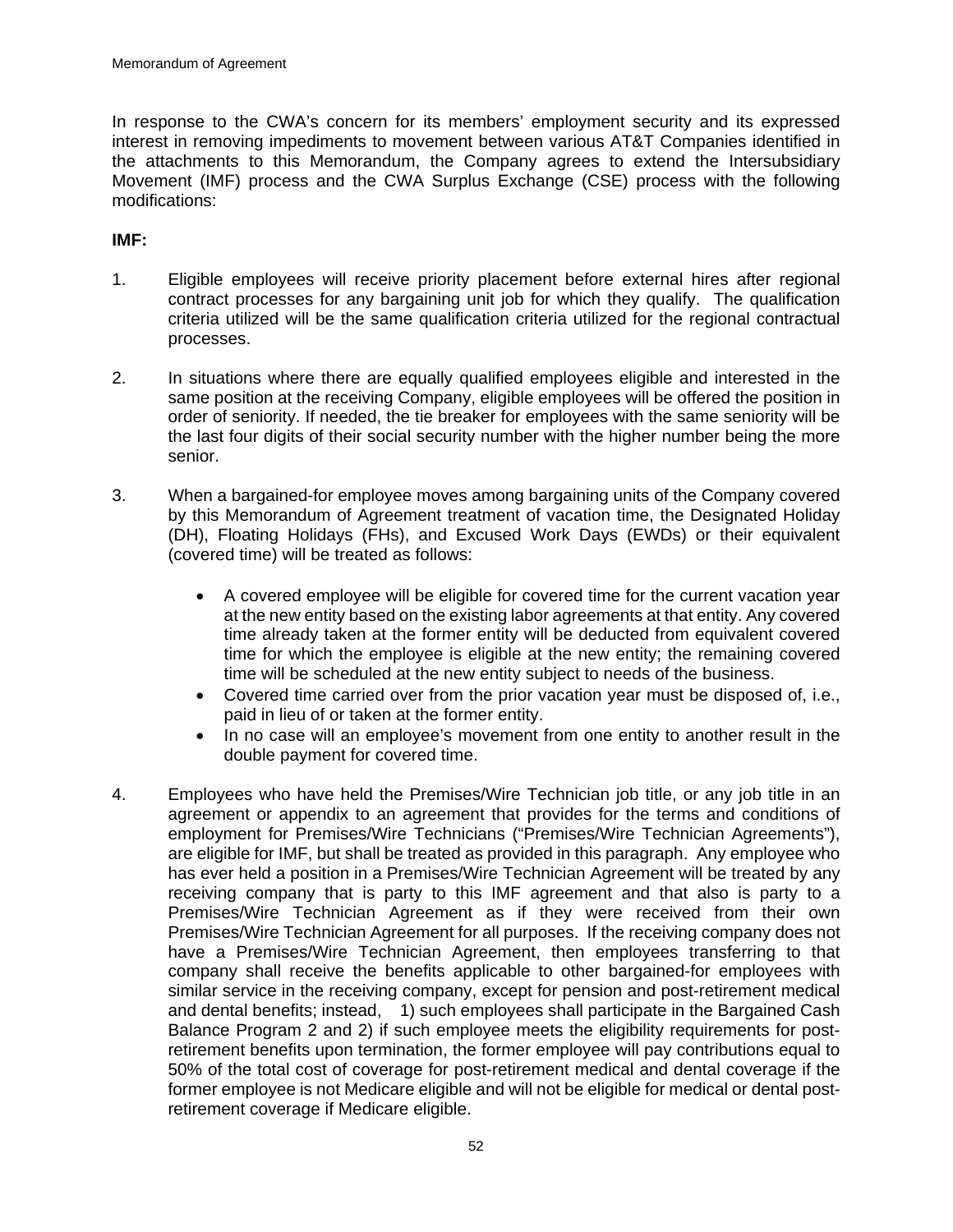In response to the CWA's concern for its members' employment security and its expressed interest in removing impediments to movement between various AT&T Companies identified in the attachments to this Memorandum, the Company agrees to extend the Intersubsidiary Movement (IMF) process and the CWA Surplus Exchange (CSE) process with the following modifications:

# **IMF:**

- 1. Eligible employees will receive priority placement before external hires after regional contract processes for any bargaining unit job for which they qualify. The qualification criteria utilized will be the same qualification criteria utilized for the regional contractual processes.
- 2. In situations where there are equally qualified employees eligible and interested in the same position at the receiving Company, eligible employees will be offered the position in order of seniority. If needed, the tie breaker for employees with the same seniority will be the last four digits of their social security number with the higher number being the more senior.
- 3. When a bargained-for employee moves among bargaining units of the Company covered by this Memorandum of Agreement treatment of vacation time, the Designated Holiday (DH), Floating Holidays (FHs), and Excused Work Days (EWDs) or their equivalent (covered time) will be treated as follows:
	- A covered employee will be eligible for covered time for the current vacation year at the new entity based on the existing labor agreements at that entity. Any covered time already taken at the former entity will be deducted from equivalent covered time for which the employee is eligible at the new entity; the remaining covered time will be scheduled at the new entity subject to needs of the business.
	- Covered time carried over from the prior vacation year must be disposed of, i.e., paid in lieu of or taken at the former entity.
	- In no case will an employee's movement from one entity to another result in the double payment for covered time.
- 4. Employees who have held the Premises/Wire Technician job title, or any job title in an agreement or appendix to an agreement that provides for the terms and conditions of employment for Premises/Wire Technicians ("Premises/Wire Technician Agreements"), are eligible for IMF, but shall be treated as provided in this paragraph. Any employee who has ever held a position in a Premises/Wire Technician Agreement will be treated by any receiving company that is party to this IMF agreement and that also is party to a Premises/Wire Technician Agreement as if they were received from their own Premises/Wire Technician Agreement for all purposes. If the receiving company does not have a Premises/Wire Technician Agreement, then employees transferring to that company shall receive the benefits applicable to other bargained-for employees with similar service in the receiving company, except for pension and post-retirement medical and dental benefits; instead, 1) such employees shall participate in the Bargained Cash Balance Program 2 and 2) if such employee meets the eligibility requirements for postretirement benefits upon termination, the former employee will pay contributions equal to 50% of the total cost of coverage for post-retirement medical and dental coverage if the former employee is not Medicare eligible and will not be eligible for medical or dental postretirement coverage if Medicare eligible.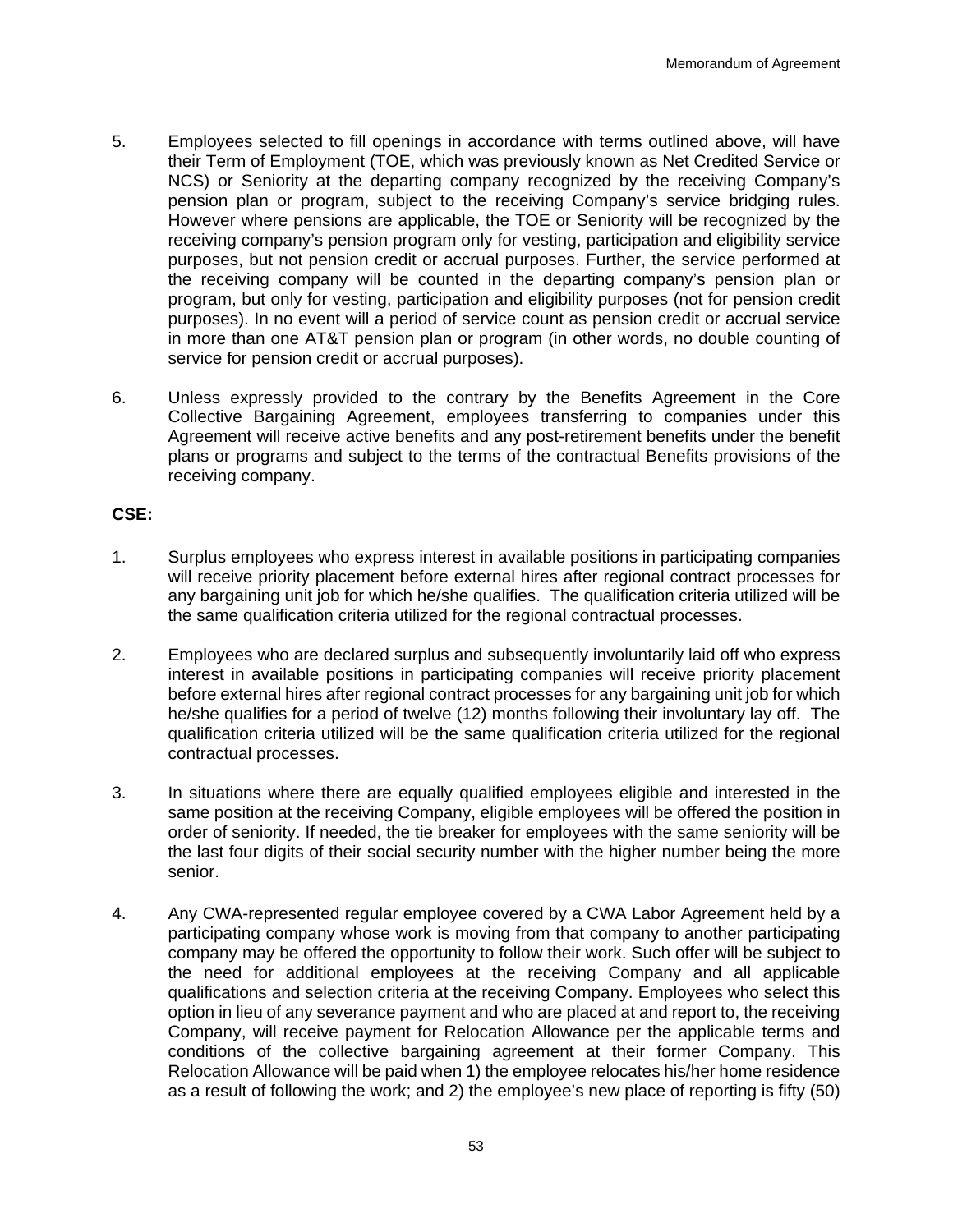- 5. Employees selected to fill openings in accordance with terms outlined above, will have their Term of Employment (TOE, which was previously known as Net Credited Service or NCS) or Seniority at the departing company recognized by the receiving Company's pension plan or program, subject to the receiving Company's service bridging rules. However where pensions are applicable, the TOE or Seniority will be recognized by the receiving company's pension program only for vesting, participation and eligibility service purposes, but not pension credit or accrual purposes. Further, the service performed at the receiving company will be counted in the departing company's pension plan or program, but only for vesting, participation and eligibility purposes (not for pension credit purposes). In no event will a period of service count as pension credit or accrual service in more than one AT&T pension plan or program (in other words, no double counting of service for pension credit or accrual purposes).
- 6. Unless expressly provided to the contrary by the Benefits Agreement in the Core Collective Bargaining Agreement, employees transferring to companies under this Agreement will receive active benefits and any post-retirement benefits under the benefit plans or programs and subject to the terms of the contractual Benefits provisions of the receiving company.

#### **CSE:**

- 1. Surplus employees who express interest in available positions in participating companies will receive priority placement before external hires after regional contract processes for any bargaining unit job for which he/she qualifies. The qualification criteria utilized will be the same qualification criteria utilized for the regional contractual processes.
- 2. Employees who are declared surplus and subsequently involuntarily laid off who express interest in available positions in participating companies will receive priority placement before external hires after regional contract processes for any bargaining unit job for which he/she qualifies for a period of twelve (12) months following their involuntary lay off. The qualification criteria utilized will be the same qualification criteria utilized for the regional contractual processes.
- 3. In situations where there are equally qualified employees eligible and interested in the same position at the receiving Company, eligible employees will be offered the position in order of seniority. If needed, the tie breaker for employees with the same seniority will be the last four digits of their social security number with the higher number being the more senior.
- 4. Any CWA-represented regular employee covered by a CWA Labor Agreement held by a participating company whose work is moving from that company to another participating company may be offered the opportunity to follow their work. Such offer will be subject to the need for additional employees at the receiving Company and all applicable qualifications and selection criteria at the receiving Company. Employees who select this option in lieu of any severance payment and who are placed at and report to, the receiving Company, will receive payment for Relocation Allowance per the applicable terms and conditions of the collective bargaining agreement at their former Company. This Relocation Allowance will be paid when 1) the employee relocates his/her home residence as a result of following the work; and 2) the employee's new place of reporting is fifty (50)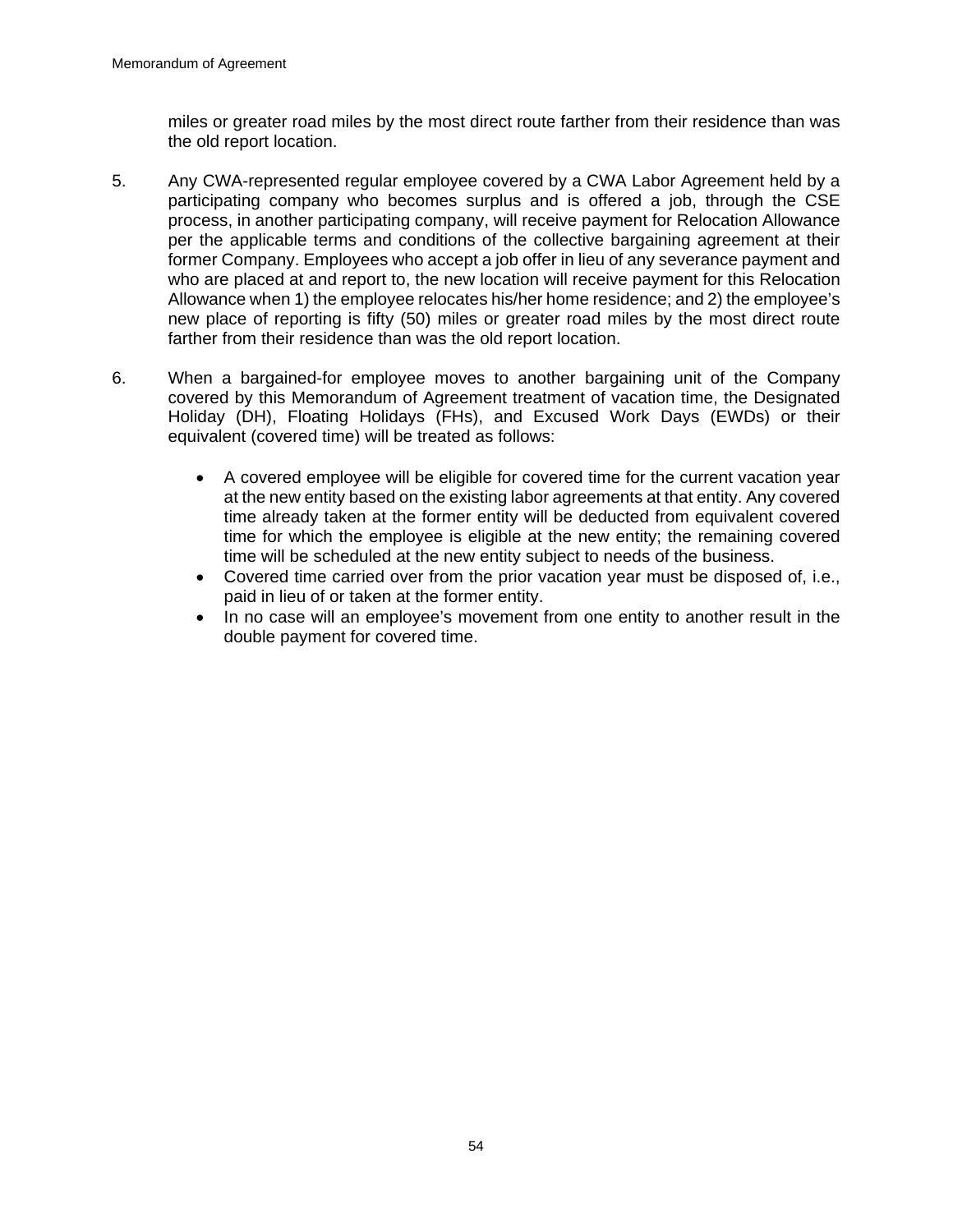miles or greater road miles by the most direct route farther from their residence than was the old report location.

- 5. Any CWA-represented regular employee covered by a CWA Labor Agreement held by a participating company who becomes surplus and is offered a job, through the CSE process, in another participating company, will receive payment for Relocation Allowance per the applicable terms and conditions of the collective bargaining agreement at their former Company. Employees who accept a job offer in lieu of any severance payment and who are placed at and report to, the new location will receive payment for this Relocation Allowance when 1) the employee relocates his/her home residence; and 2) the employee's new place of reporting is fifty (50) miles or greater road miles by the most direct route farther from their residence than was the old report location.
- 6. When a bargained-for employee moves to another bargaining unit of the Company covered by this Memorandum of Agreement treatment of vacation time, the Designated Holiday (DH), Floating Holidays (FHs), and Excused Work Days (EWDs) or their equivalent (covered time) will be treated as follows:
	- A covered employee will be eligible for covered time for the current vacation year at the new entity based on the existing labor agreements at that entity. Any covered time already taken at the former entity will be deducted from equivalent covered time for which the employee is eligible at the new entity; the remaining covered time will be scheduled at the new entity subject to needs of the business.
	- Covered time carried over from the prior vacation year must be disposed of, i.e., paid in lieu of or taken at the former entity.
	- In no case will an employee's movement from one entity to another result in the double payment for covered time.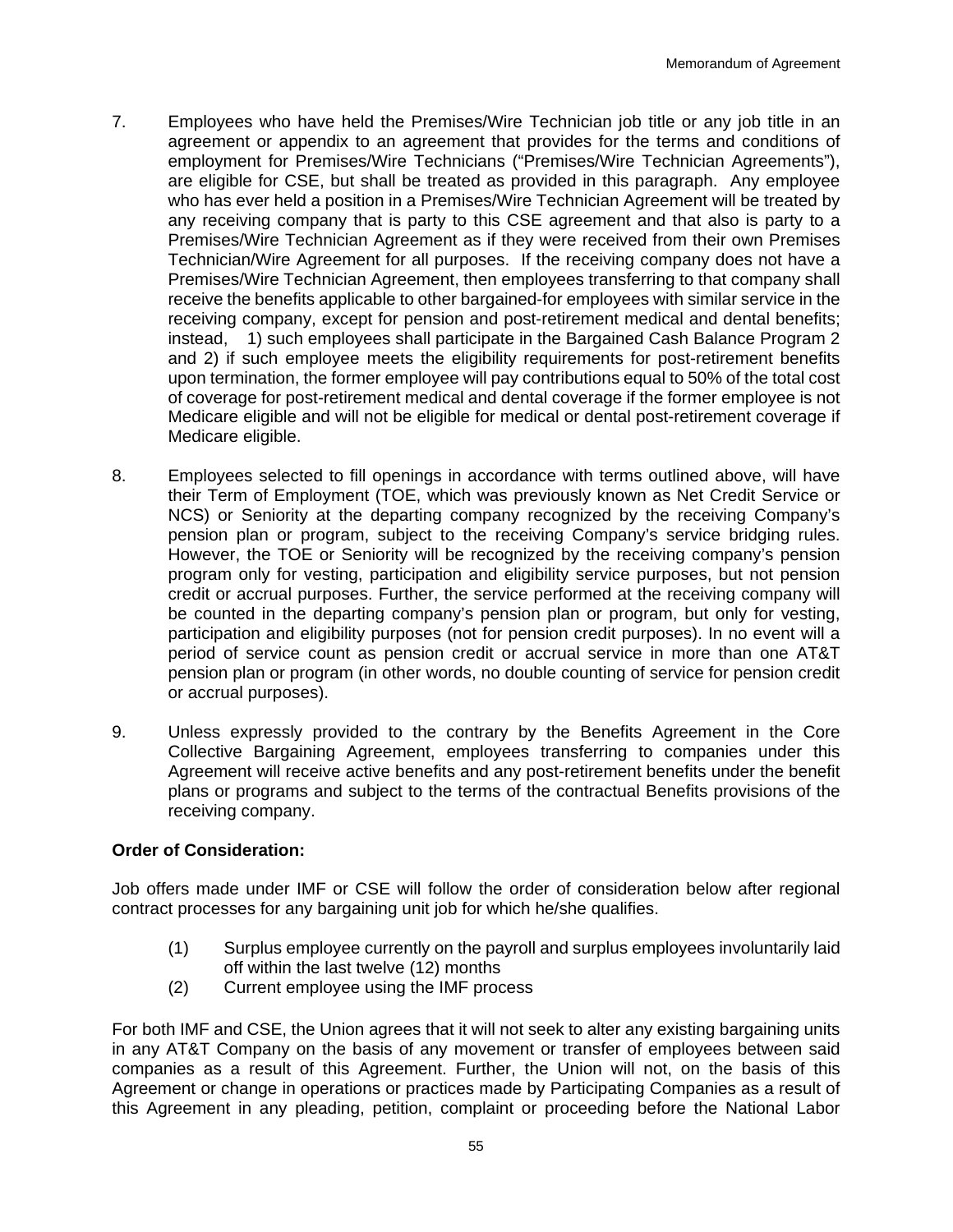- 7. Employees who have held the Premises/Wire Technician job title or any job title in an agreement or appendix to an agreement that provides for the terms and conditions of employment for Premises/Wire Technicians ("Premises/Wire Technician Agreements"), are eligible for CSE, but shall be treated as provided in this paragraph. Any employee who has ever held a position in a Premises/Wire Technician Agreement will be treated by any receiving company that is party to this CSE agreement and that also is party to a Premises/Wire Technician Agreement as if they were received from their own Premises Technician/Wire Agreement for all purposes. If the receiving company does not have a Premises/Wire Technician Agreement, then employees transferring to that company shall receive the benefits applicable to other bargained-for employees with similar service in the receiving company, except for pension and post-retirement medical and dental benefits; instead, 1) such employees shall participate in the Bargained Cash Balance Program 2 and 2) if such employee meets the eligibility requirements for post-retirement benefits upon termination, the former employee will pay contributions equal to 50% of the total cost of coverage for post-retirement medical and dental coverage if the former employee is not Medicare eligible and will not be eligible for medical or dental post-retirement coverage if Medicare eligible.
- 8. Employees selected to fill openings in accordance with terms outlined above, will have their Term of Employment (TOE, which was previously known as Net Credit Service or NCS) or Seniority at the departing company recognized by the receiving Company's pension plan or program, subject to the receiving Company's service bridging rules. However, the TOE or Seniority will be recognized by the receiving company's pension program only for vesting, participation and eligibility service purposes, but not pension credit or accrual purposes. Further, the service performed at the receiving company will be counted in the departing company's pension plan or program, but only for vesting, participation and eligibility purposes (not for pension credit purposes). In no event will a period of service count as pension credit or accrual service in more than one AT&T pension plan or program (in other words, no double counting of service for pension credit or accrual purposes).
- 9. Unless expressly provided to the contrary by the Benefits Agreement in the Core Collective Bargaining Agreement, employees transferring to companies under this Agreement will receive active benefits and any post-retirement benefits under the benefit plans or programs and subject to the terms of the contractual Benefits provisions of the receiving company.

## **Order of Consideration:**

Job offers made under IMF or CSE will follow the order of consideration below after regional contract processes for any bargaining unit job for which he/she qualifies.

- (1) Surplus employee currently on the payroll and surplus employees involuntarily laid off within the last twelve (12) months
- (2) Current employee using the IMF process

For both IMF and CSE, the Union agrees that it will not seek to alter any existing bargaining units in any AT&T Company on the basis of any movement or transfer of employees between said companies as a result of this Agreement. Further, the Union will not, on the basis of this Agreement or change in operations or practices made by Participating Companies as a result of this Agreement in any pleading, petition, complaint or proceeding before the National Labor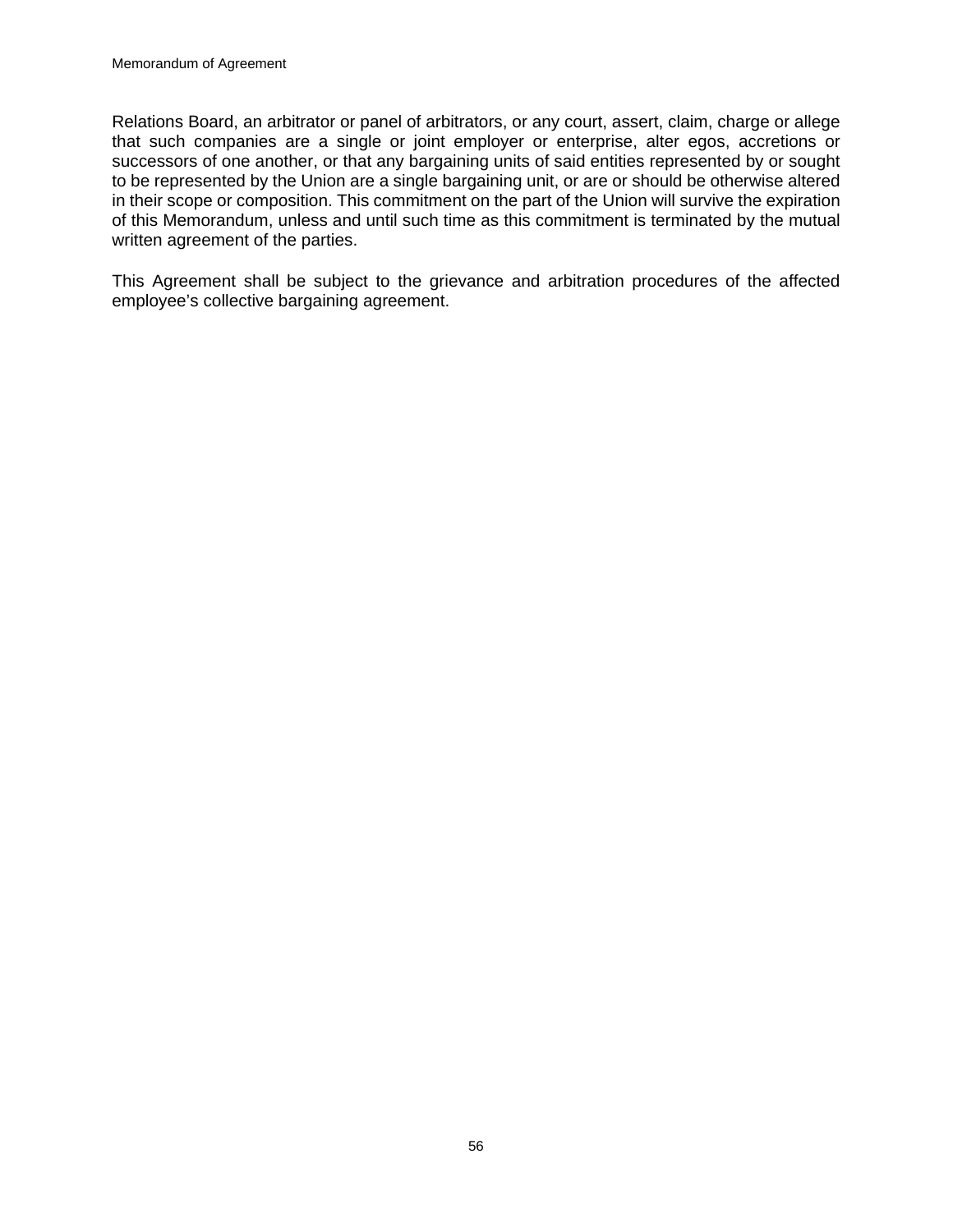Relations Board, an arbitrator or panel of arbitrators, or any court, assert, claim, charge or allege that such companies are a single or joint employer or enterprise, alter egos, accretions or successors of one another, or that any bargaining units of said entities represented by or sought to be represented by the Union are a single bargaining unit, or are or should be otherwise altered in their scope or composition. This commitment on the part of the Union will survive the expiration of this Memorandum, unless and until such time as this commitment is terminated by the mutual written agreement of the parties.

This Agreement shall be subject to the grievance and arbitration procedures of the affected employee's collective bargaining agreement.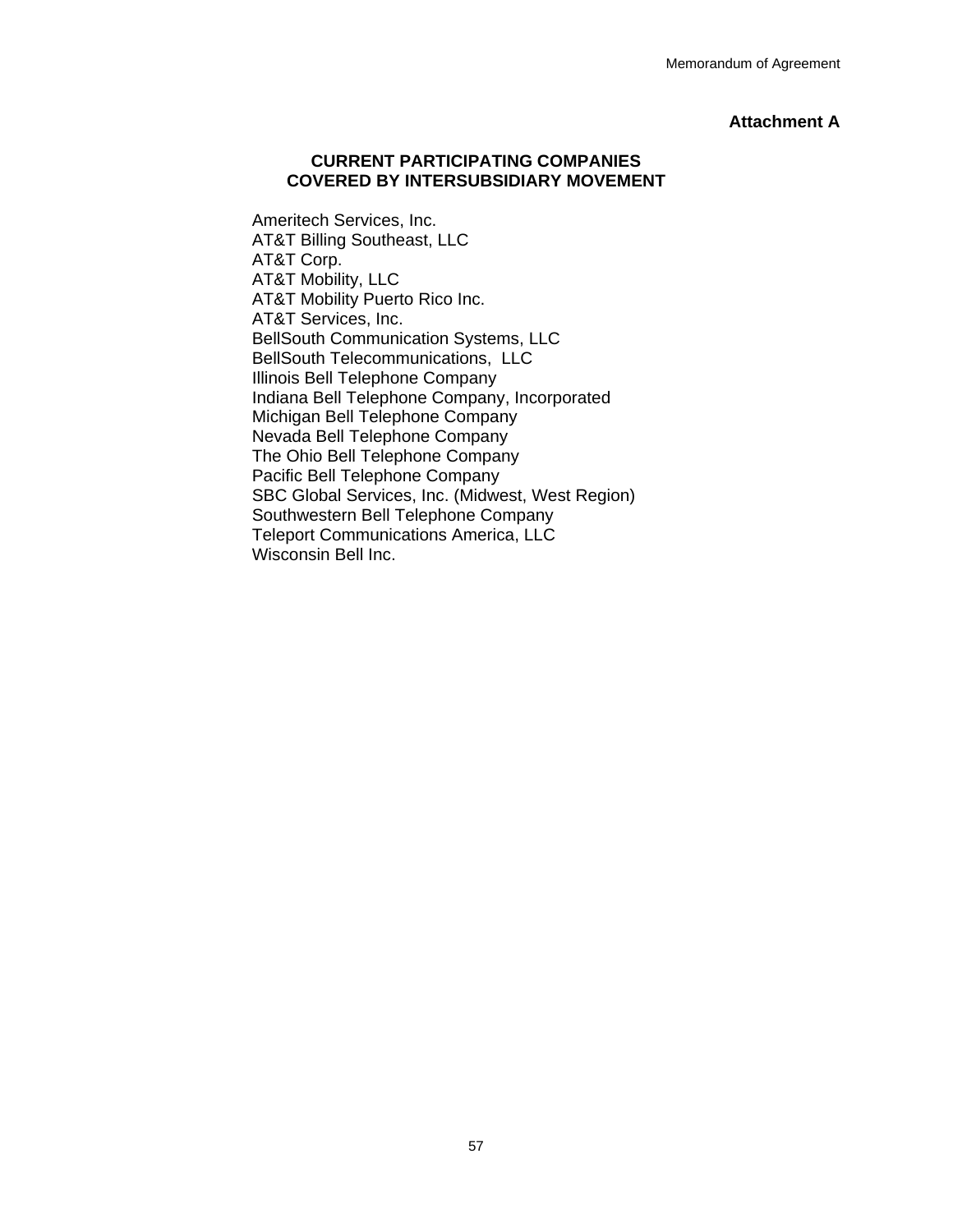#### **Attachment A**

#### **CURRENT PARTICIPATING COMPANIES COVERED BY INTERSUBSIDIARY MOVEMENT**

 Ameritech Services, Inc. AT&T Billing Southeast, LLC AT&T Corp. AT&T Mobility, LLC AT&T Mobility Puerto Rico Inc. AT&T Services, Inc. BellSouth Communication Systems, LLC BellSouth Telecommunications, LLC Illinois Bell Telephone Company Indiana Bell Telephone Company, Incorporated Michigan Bell Telephone Company Nevada Bell Telephone Company The Ohio Bell Telephone Company Pacific Bell Telephone Company SBC Global Services, Inc. (Midwest, West Region) Southwestern Bell Telephone Company Teleport Communications America, LLC Wisconsin Bell Inc.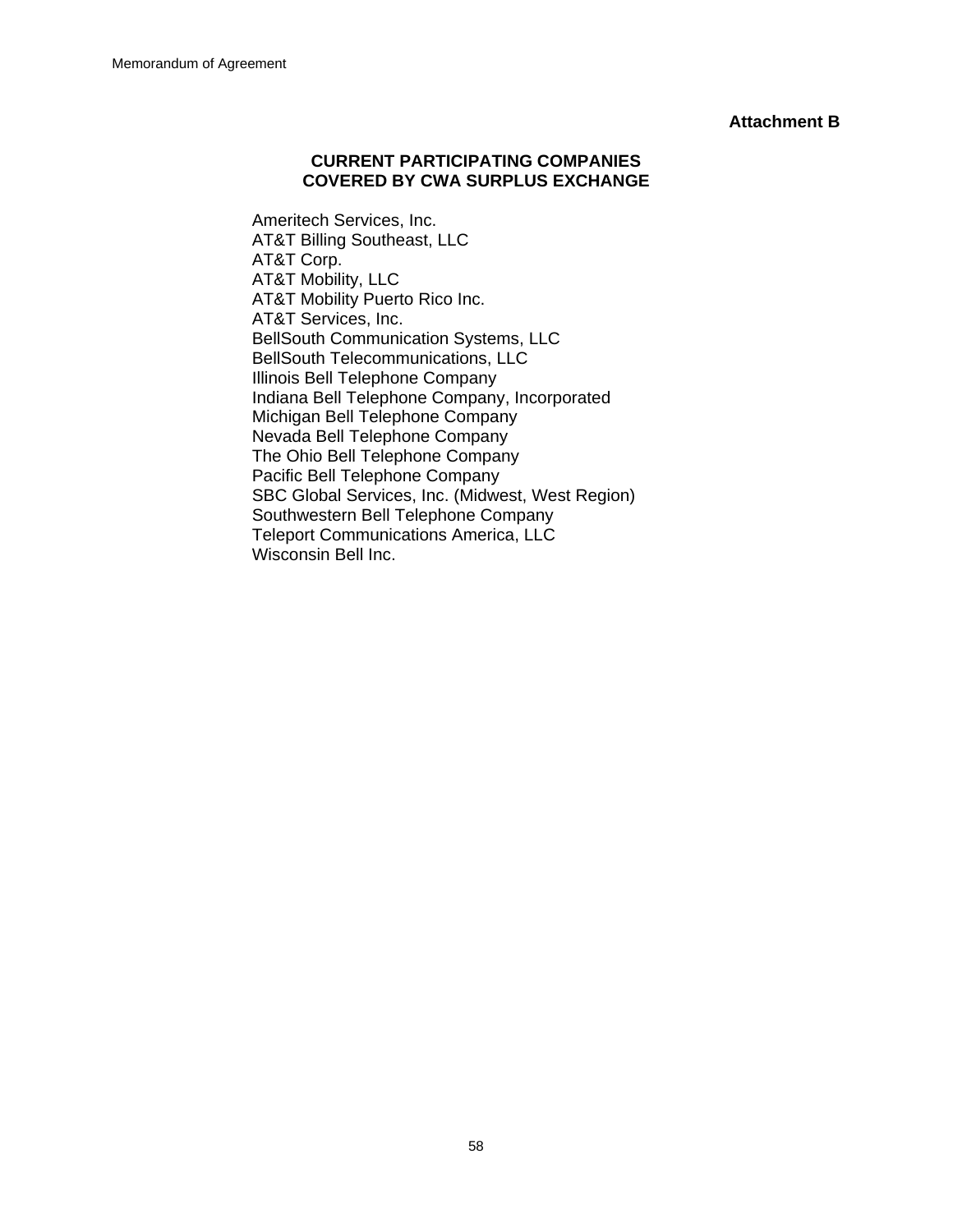#### **Attachment B**

#### **CURRENT PARTICIPATING COMPANIES COVERED BY CWA SURPLUS EXCHANGE**

 Ameritech Services, Inc. AT&T Billing Southeast, LLC AT&T Corp. AT&T Mobility, LLC AT&T Mobility Puerto Rico Inc. AT&T Services, Inc. BellSouth Communication Systems, LLC BellSouth Telecommunications, LLC Illinois Bell Telephone Company Indiana Bell Telephone Company, Incorporated Michigan Bell Telephone Company Nevada Bell Telephone Company The Ohio Bell Telephone Company Pacific Bell Telephone Company SBC Global Services, Inc. (Midwest, West Region) Southwestern Bell Telephone Company Teleport Communications America, LLC Wisconsin Bell Inc.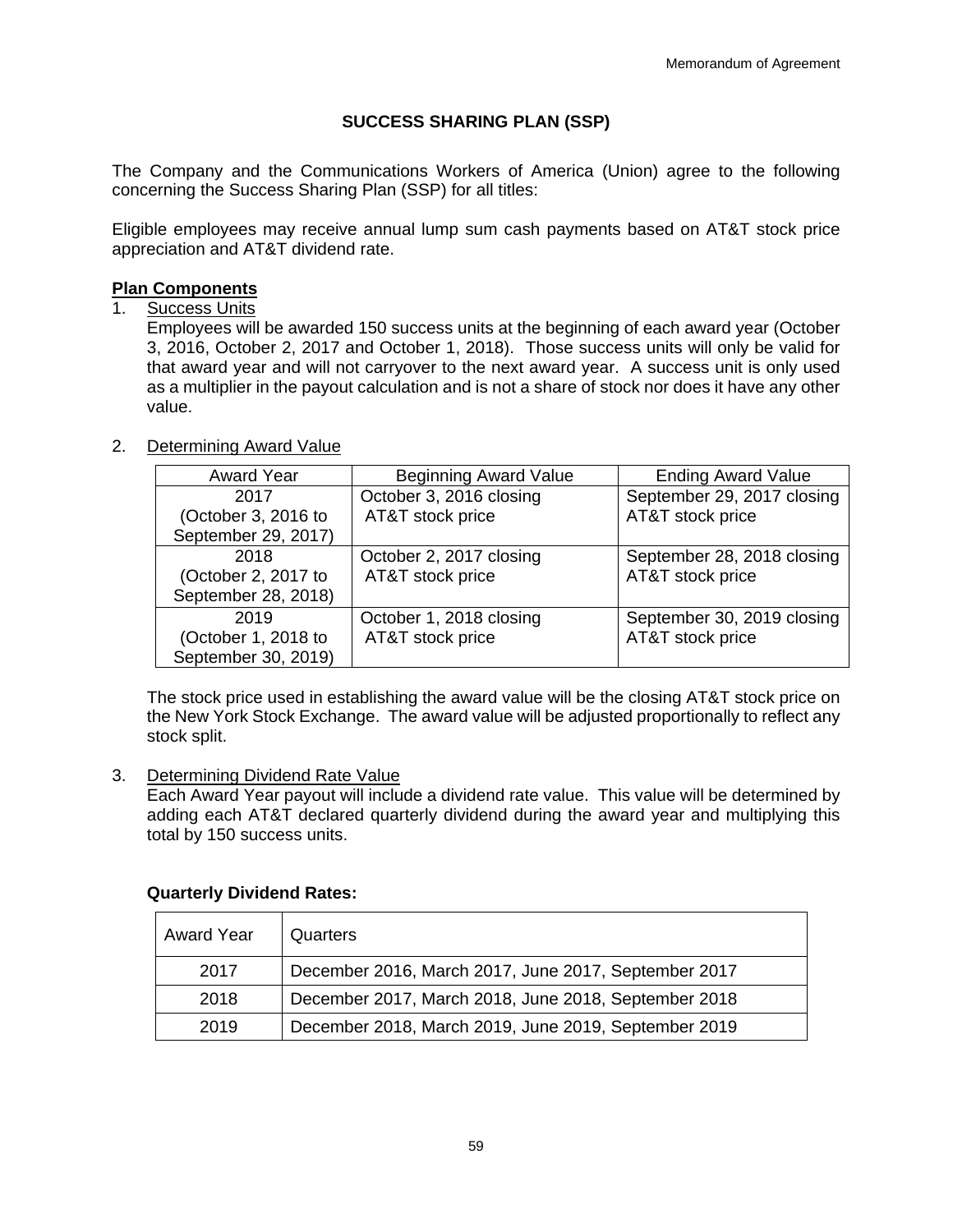# **SUCCESS SHARING PLAN (SSP)**

The Company and the Communications Workers of America (Union) agree to the following concerning the Success Sharing Plan (SSP) for all titles:

Eligible employees may receive annual lump sum cash payments based on AT&T stock price appreciation and AT&T dividend rate.

## **Plan Components**

1. Success Units

Employees will be awarded 150 success units at the beginning of each award year (October 3, 2016, October 2, 2017 and October 1, 2018). Those success units will only be valid for that award year and will not carryover to the next award year. A success unit is only used as a multiplier in the payout calculation and is not a share of stock nor does it have any other value.

# 2. Determining Award Value

| <b>Award Year</b>   | <b>Beginning Award Value</b> | <b>Ending Award Value</b>  |
|---------------------|------------------------------|----------------------------|
| 2017                | October 3, 2016 closing      | September 29, 2017 closing |
| (October 3, 2016 to | AT&T stock price             | AT&T stock price           |
| September 29, 2017) |                              |                            |
| 2018                | October 2, 2017 closing      | September 28, 2018 closing |
| (October 2, 2017 to | AT&T stock price             | AT&T stock price           |
| September 28, 2018) |                              |                            |
| 2019                | October 1, 2018 closing      | September 30, 2019 closing |
| (October 1, 2018 to | AT&T stock price             | AT&T stock price           |
| September 30, 2019) |                              |                            |

The stock price used in establishing the award value will be the closing AT&T stock price on the New York Stock Exchange. The award value will be adjusted proportionally to reflect any stock split.

## 3. Determining Dividend Rate Value

Each Award Year payout will include a dividend rate value. This value will be determined by adding each AT&T declared quarterly dividend during the award year and multiplying this total by 150 success units.

## **Quarterly Dividend Rates:**

| <b>Award Year</b> | Quarters                                             |
|-------------------|------------------------------------------------------|
| 2017              | December 2016, March 2017, June 2017, September 2017 |
| 2018              | December 2017, March 2018, June 2018, September 2018 |
| 2019              | December 2018, March 2019, June 2019, September 2019 |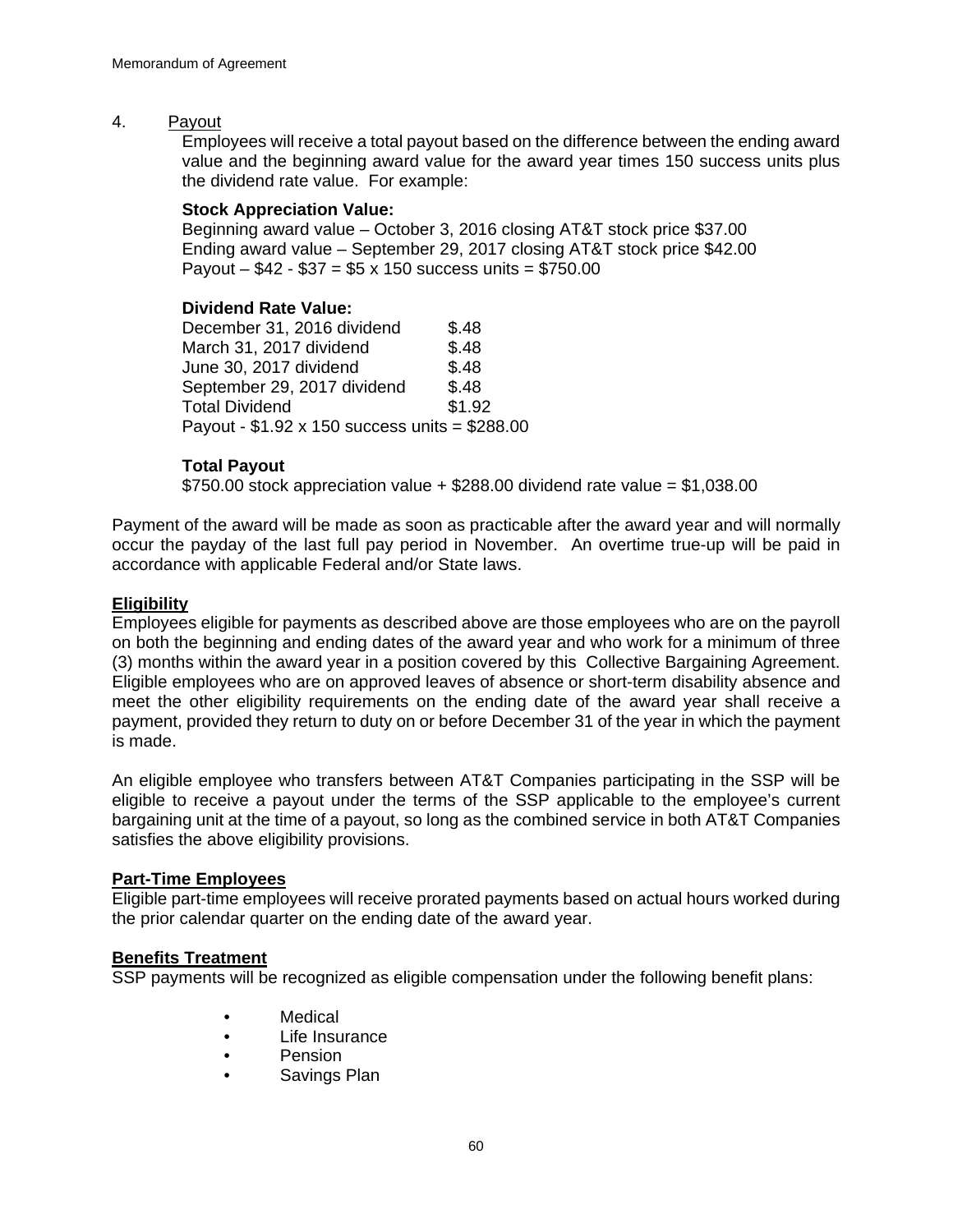## 4. Payout

Employees will receive a total payout based on the difference between the ending award value and the beginning award value for the award year times 150 success units plus the dividend rate value. For example:

## **Stock Appreciation Value:**

Beginning award value – October 3, 2016 closing AT&T stock price \$37.00 Ending award value – September 29, 2017 closing AT&T stock price \$42.00 Payout –  $$42 - $37 = $5 \times 150$  success units = \$750.00

#### **Dividend Rate Value:**

December 31, 2016 dividend \$.48 March 31, 2017 dividend \$.48 June 30, 2017 dividend \$.48 September 29, 2017 dividend \$.48 Total Dividend \$1.92 Payout - \$1.92 x 150 success units = \$288.00

## **Total Payout**

 $$750.00$  stock appreciation value  $+$  \$288.00 dividend rate value = \$1,038.00

Payment of the award will be made as soon as practicable after the award year and will normally occur the payday of the last full pay period in November. An overtime true-up will be paid in accordance with applicable Federal and/or State laws.

## **Eligibility**

Employees eligible for payments as described above are those employees who are on the payroll on both the beginning and ending dates of the award year and who work for a minimum of three (3) months within the award year in a position covered by this Collective Bargaining Agreement. Eligible employees who are on approved leaves of absence or short-term disability absence and meet the other eligibility requirements on the ending date of the award year shall receive a payment, provided they return to duty on or before December 31 of the year in which the payment is made.

An eligible employee who transfers between AT&T Companies participating in the SSP will be eligible to receive a payout under the terms of the SSP applicable to the employee's current bargaining unit at the time of a payout, so long as the combined service in both AT&T Companies satisfies the above eligibility provisions.

#### **Part-Time Employees**

Eligible part-time employees will receive prorated payments based on actual hours worked during the prior calendar quarter on the ending date of the award year.

## **Benefits Treatment**

SSP payments will be recognized as eligible compensation under the following benefit plans:

- Medical
- Life Insurance
- Pension
- Savings Plan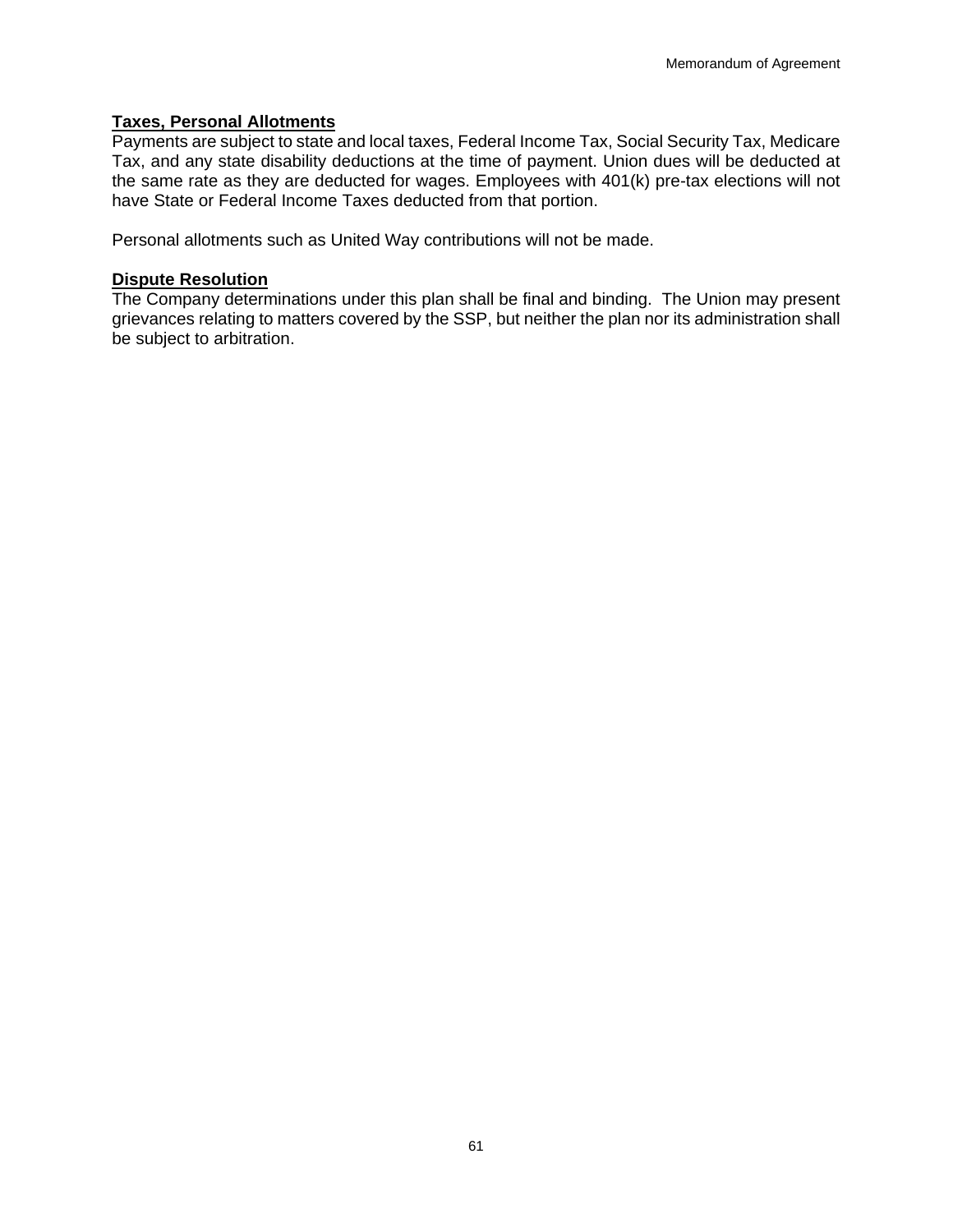## **Taxes, Personal Allotments**

Payments are subject to state and local taxes, Federal Income Tax, Social Security Tax, Medicare Tax, and any state disability deductions at the time of payment. Union dues will be deducted at the same rate as they are deducted for wages. Employees with 401(k) pre-tax elections will not have State or Federal Income Taxes deducted from that portion.

Personal allotments such as United Way contributions will not be made.

#### **Dispute Resolution**

The Company determinations under this plan shall be final and binding. The Union may present grievances relating to matters covered by the SSP, but neither the plan nor its administration shall be subject to arbitration.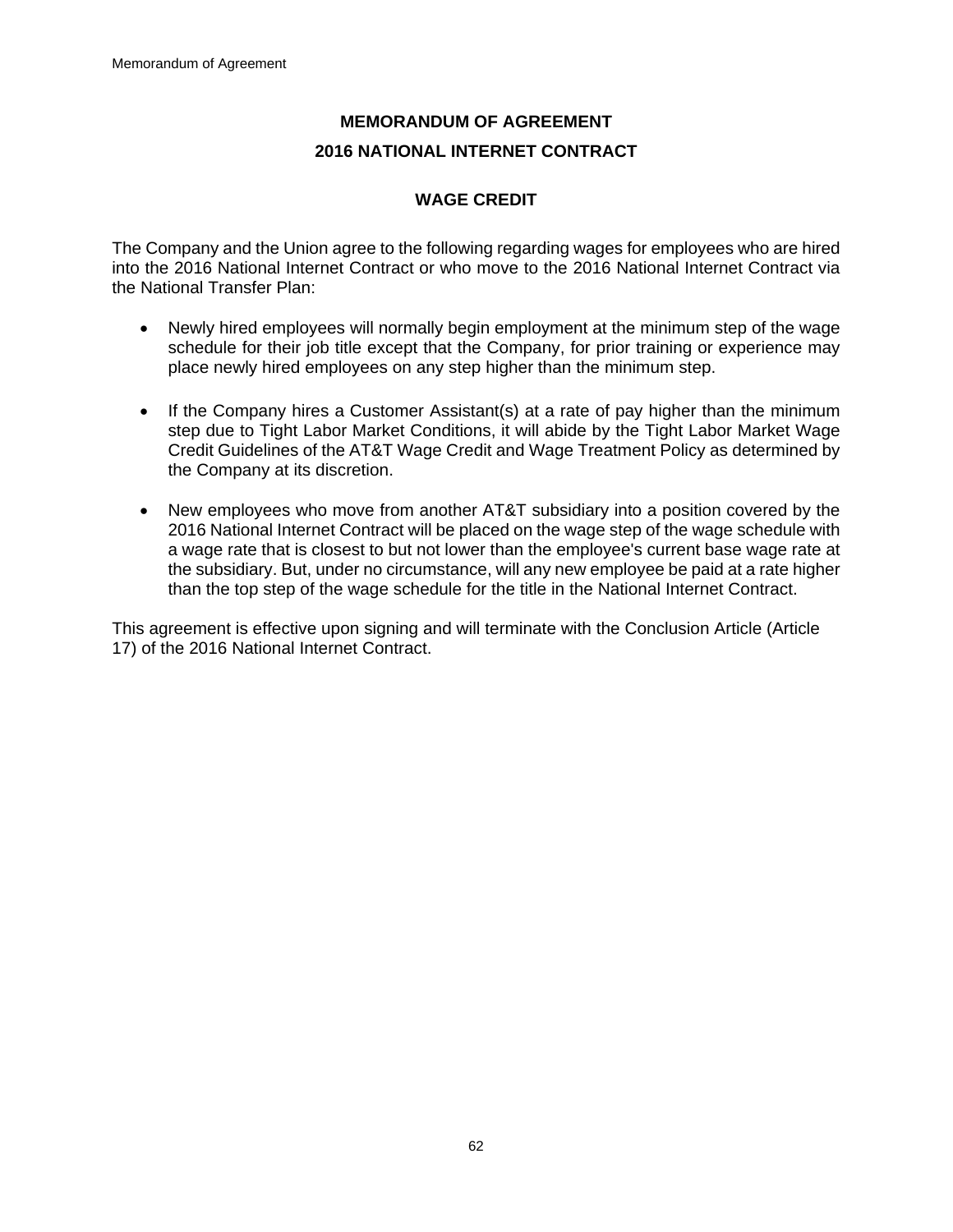# **MEMORANDUM OF AGREEMENT 2016 NATIONAL INTERNET CONTRACT**

# **WAGE CREDIT**

The Company and the Union agree to the following regarding wages for employees who are hired into the 2016 National Internet Contract or who move to the 2016 National Internet Contract via the National Transfer Plan:

- Newly hired employees will normally begin employment at the minimum step of the wage schedule for their job title except that the Company, for prior training or experience may place newly hired employees on any step higher than the minimum step.
- If the Company hires a Customer Assistant(s) at a rate of pay higher than the minimum step due to Tight Labor Market Conditions, it will abide by the Tight Labor Market Wage Credit Guidelines of the AT&T Wage Credit and Wage Treatment Policy as determined by the Company at its discretion.
- New employees who move from another AT&T subsidiary into a position covered by the 2016 National Internet Contract will be placed on the wage step of the wage schedule with a wage rate that is closest to but not lower than the employee's current base wage rate at the subsidiary. But, under no circumstance, will any new employee be paid at a rate higher than the top step of the wage schedule for the title in the National Internet Contract.

This agreement is effective upon signing and will terminate with the Conclusion Article (Article 17) of the 2016 National Internet Contract.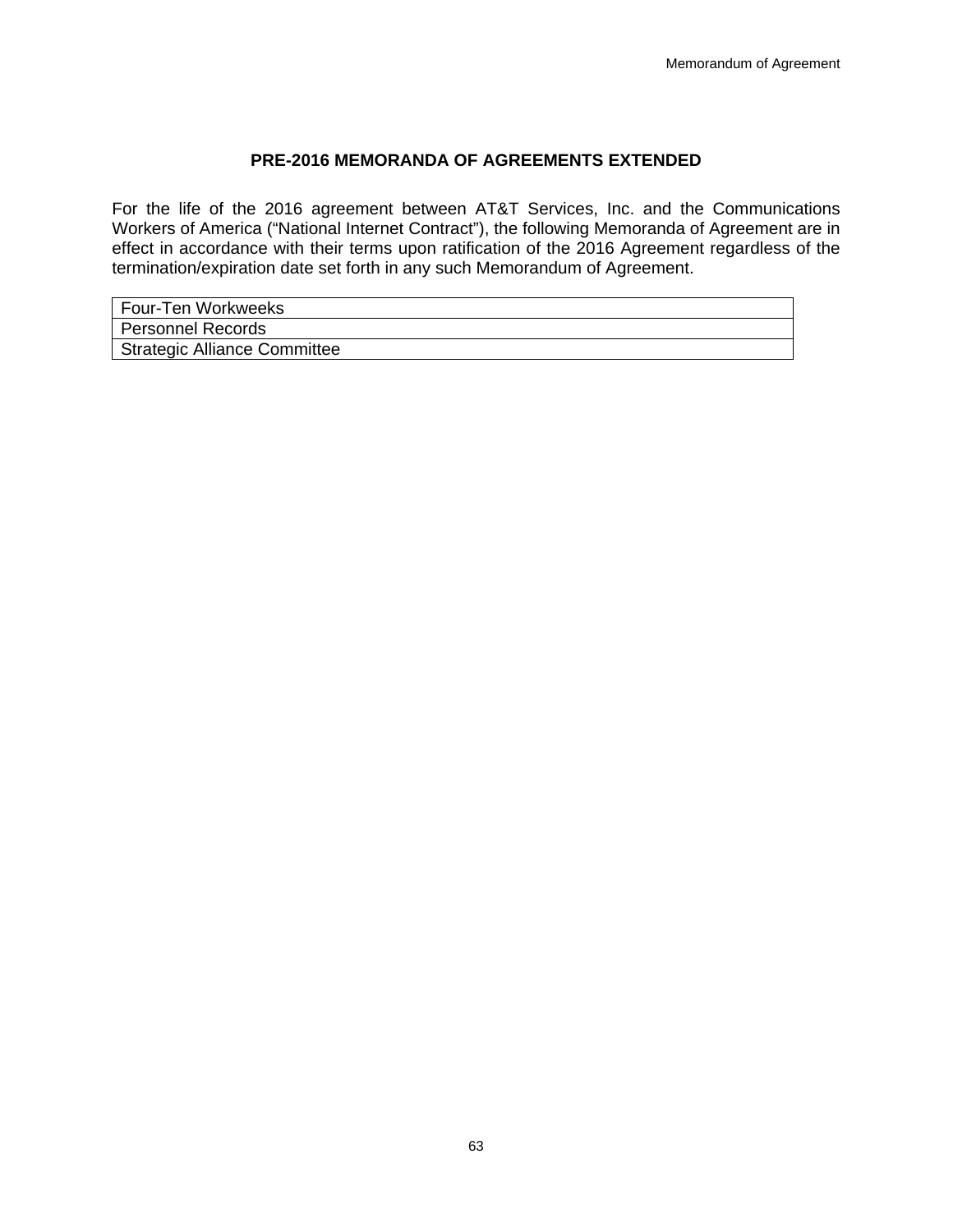## **PRE-2016 MEMORANDA OF AGREEMENTS EXTENDED**

For the life of the 2016 agreement between AT&T Services, Inc. and the Communications Workers of America ("National Internet Contract"), the following Memoranda of Agreement are in effect in accordance with their terms upon ratification of the 2016 Agreement regardless of the termination/expiration date set forth in any such Memorandum of Agreement.

| Four-Ten Workweeks           |
|------------------------------|
| Personnel Records            |
| Strategic Alliance Committee |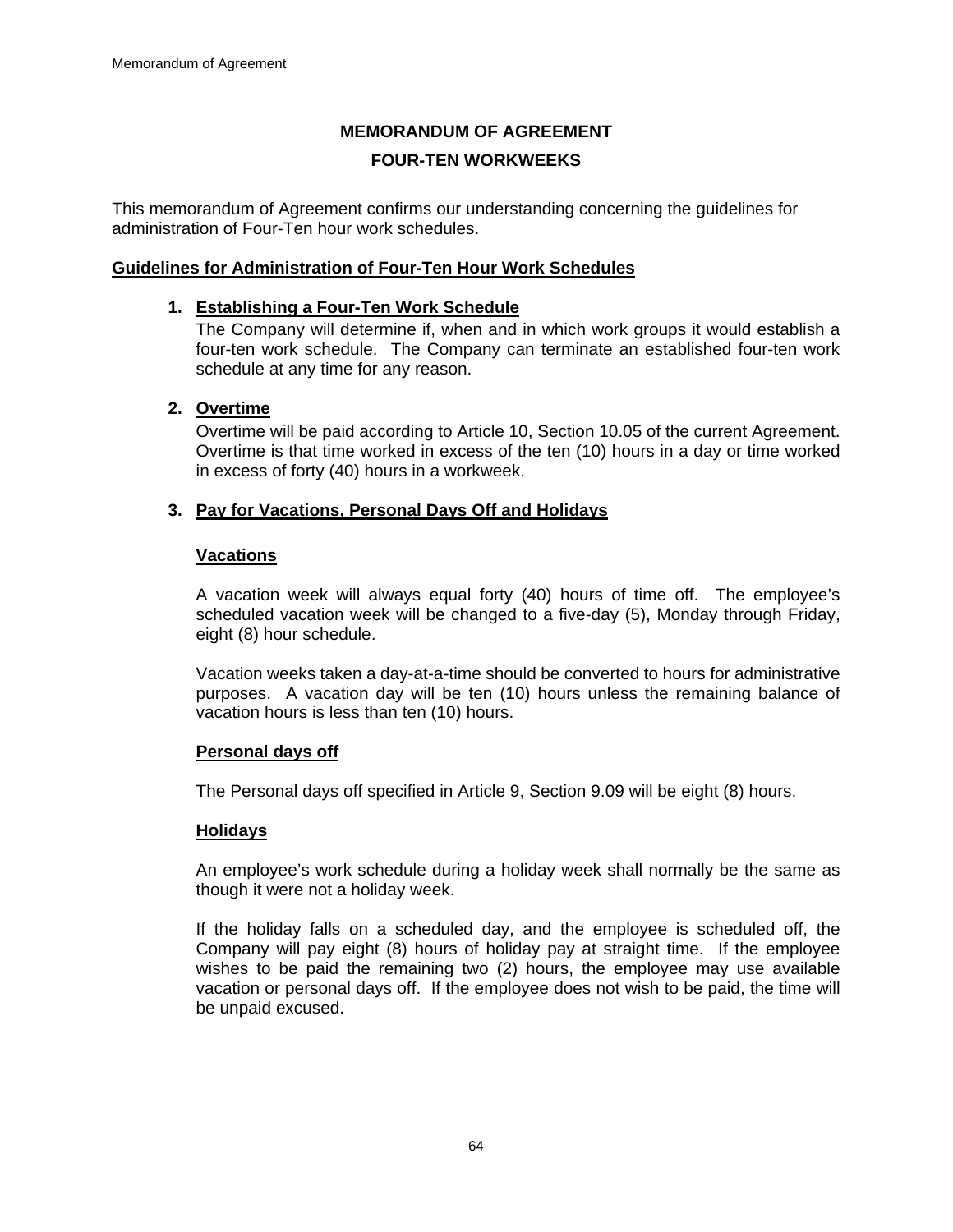# **MEMORANDUM OF AGREEMENT FOUR-TEN WORKWEEKS**

This memorandum of Agreement confirms our understanding concerning the guidelines for administration of Four-Ten hour work schedules.

### **Guidelines for Administration of Four-Ten Hour Work Schedules**

#### **1. Establishing a Four-Ten Work Schedule**

The Company will determine if, when and in which work groups it would establish a four-ten work schedule. The Company can terminate an established four-ten work schedule at any time for any reason.

#### **2. Overtime**

Overtime will be paid according to Article 10, Section 10.05 of the current Agreement. Overtime is that time worked in excess of the ten (10) hours in a day or time worked in excess of forty (40) hours in a workweek.

#### **3. Pay for Vacations, Personal Days Off and Holidays**

#### **Vacations**

A vacation week will always equal forty (40) hours of time off. The employee's scheduled vacation week will be changed to a five-day (5), Monday through Friday, eight (8) hour schedule.

Vacation weeks taken a day-at-a-time should be converted to hours for administrative purposes. A vacation day will be ten (10) hours unless the remaining balance of vacation hours is less than ten (10) hours.

#### **Personal days off**

The Personal days off specified in Article 9, Section 9.09 will be eight (8) hours.

#### **Holidays**

An employee's work schedule during a holiday week shall normally be the same as though it were not a holiday week.

If the holiday falls on a scheduled day, and the employee is scheduled off, the Company will pay eight (8) hours of holiday pay at straight time. If the employee wishes to be paid the remaining two (2) hours, the employee may use available vacation or personal days off. If the employee does not wish to be paid, the time will be unpaid excused.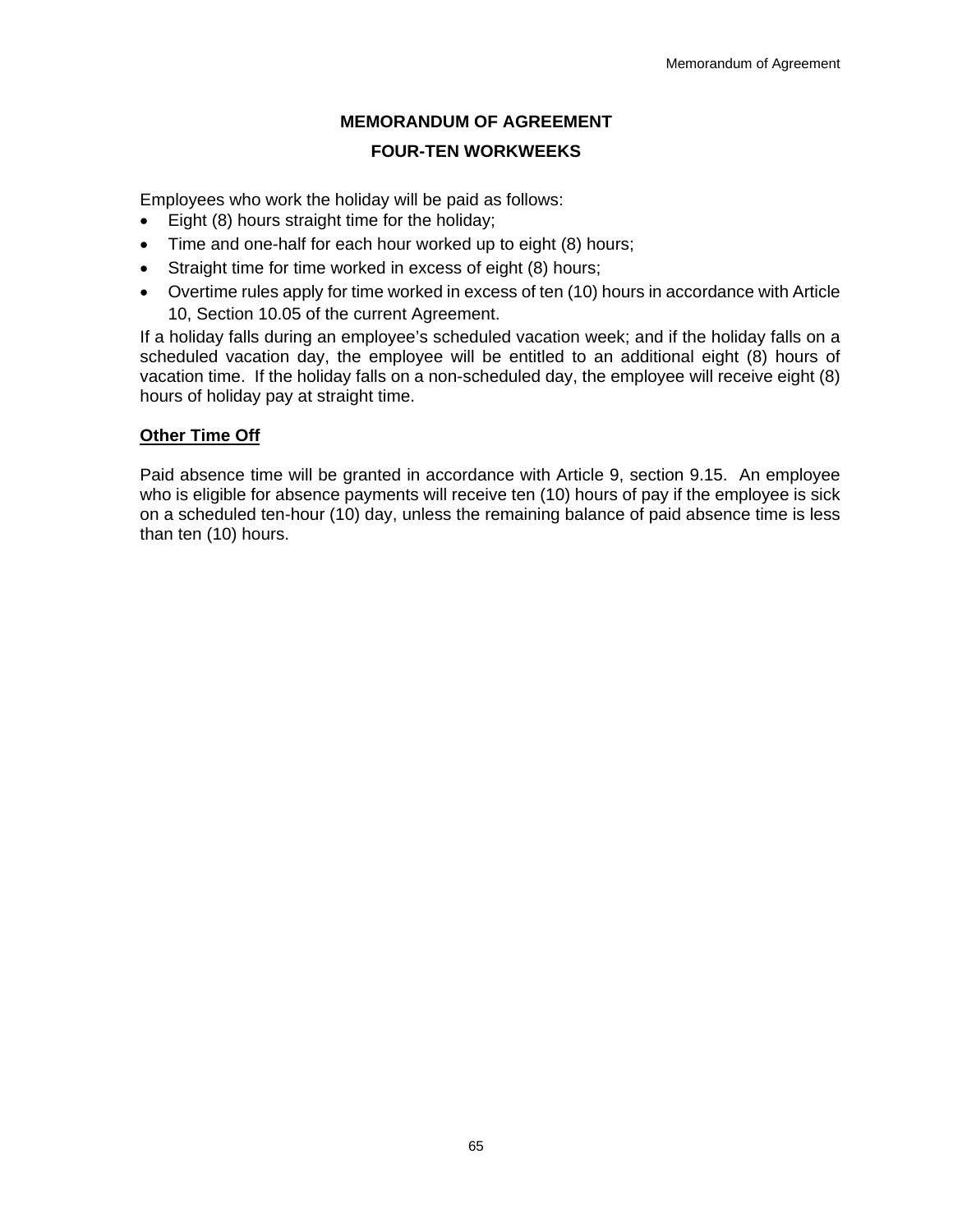# **MEMORANDUM OF AGREEMENT**

## **FOUR-TEN WORKWEEKS**

Employees who work the holiday will be paid as follows:

- Eight (8) hours straight time for the holiday;
- Time and one-half for each hour worked up to eight (8) hours;
- Straight time for time worked in excess of eight (8) hours;
- Overtime rules apply for time worked in excess of ten (10) hours in accordance with Article 10, Section 10.05 of the current Agreement.

If a holiday falls during an employee's scheduled vacation week; and if the holiday falls on a scheduled vacation day, the employee will be entitled to an additional eight (8) hours of vacation time. If the holiday falls on a non-scheduled day, the employee will receive eight (8) hours of holiday pay at straight time.

# **Other Time Off**

Paid absence time will be granted in accordance with Article 9, section 9.15. An employee who is eligible for absence payments will receive ten (10) hours of pay if the employee is sick on a scheduled ten-hour (10) day, unless the remaining balance of paid absence time is less than ten (10) hours.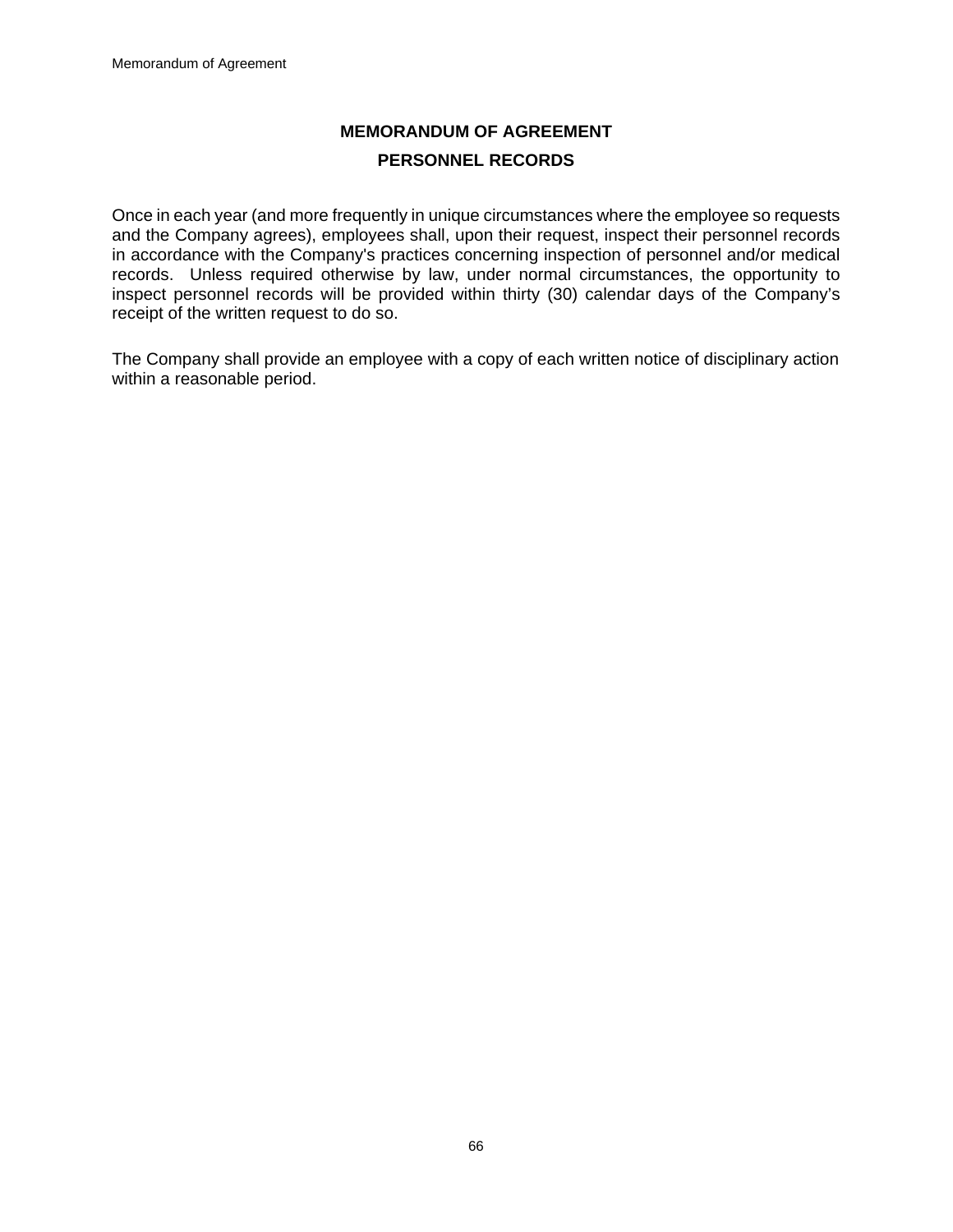# **MEMORANDUM OF AGREEMENT PERSONNEL RECORDS**

Once in each year (and more frequently in unique circumstances where the employee so requests and the Company agrees), employees shall, upon their request, inspect their personnel records in accordance with the Company's practices concerning inspection of personnel and/or medical records. Unless required otherwise by law, under normal circumstances, the opportunity to inspect personnel records will be provided within thirty (30) calendar days of the Company's receipt of the written request to do so.

The Company shall provide an employee with a copy of each written notice of disciplinary action within a reasonable period.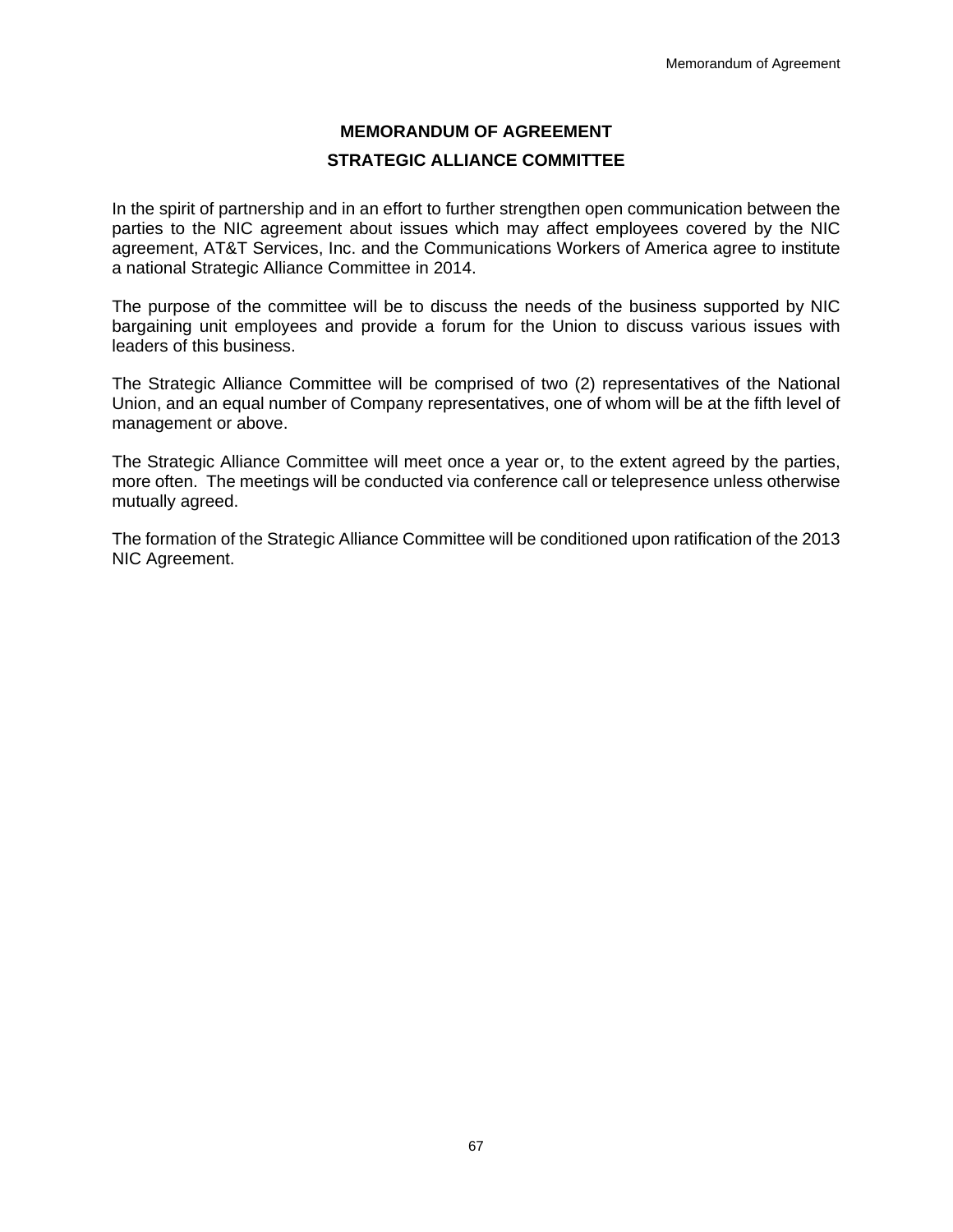# **MEMORANDUM OF AGREEMENT STRATEGIC ALLIANCE COMMITTEE**

In the spirit of partnership and in an effort to further strengthen open communication between the parties to the NIC agreement about issues which may affect employees covered by the NIC agreement, AT&T Services, Inc. and the Communications Workers of America agree to institute a national Strategic Alliance Committee in 2014.

The purpose of the committee will be to discuss the needs of the business supported by NIC bargaining unit employees and provide a forum for the Union to discuss various issues with leaders of this business.

The Strategic Alliance Committee will be comprised of two (2) representatives of the National Union, and an equal number of Company representatives, one of whom will be at the fifth level of management or above.

The Strategic Alliance Committee will meet once a year or, to the extent agreed by the parties, more often. The meetings will be conducted via conference call or telepresence unless otherwise mutually agreed.

The formation of the Strategic Alliance Committee will be conditioned upon ratification of the 2013 NIC Agreement.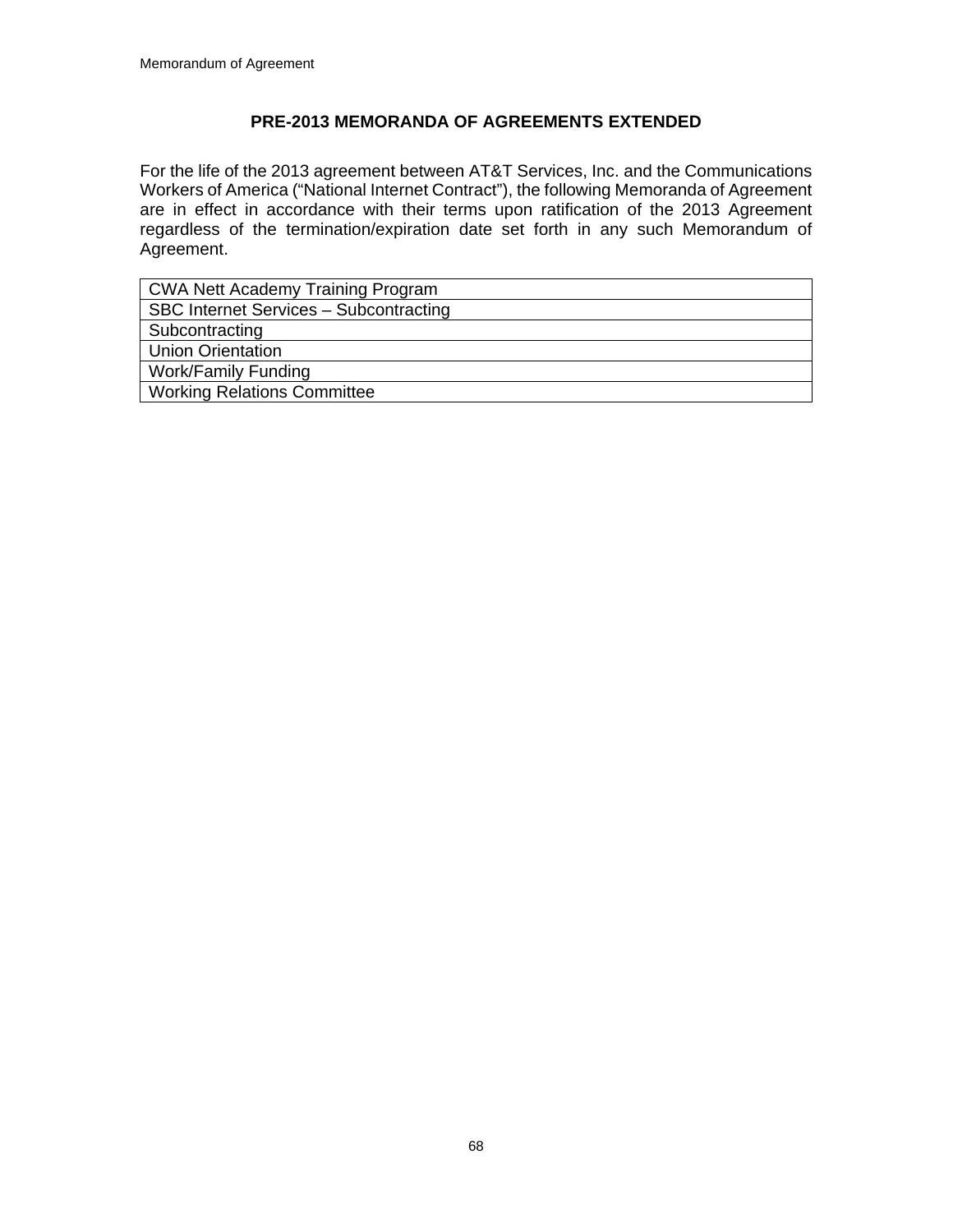# **PRE-2013 MEMORANDA OF AGREEMENTS EXTENDED**

For the life of the 2013 agreement between AT&T Services, Inc. and the Communications Workers of America ("National Internet Contract"), the following Memoranda of Agreement are in effect in accordance with their terms upon ratification of the 2013 Agreement regardless of the termination/expiration date set forth in any such Memorandum of Agreement.

| CWA Nett Academy Training Program      |
|----------------------------------------|
| SBC Internet Services - Subcontracting |
| Subcontracting                         |
| <b>Union Orientation</b>               |
| Work/Family Funding                    |
| <b>Working Relations Committee</b>     |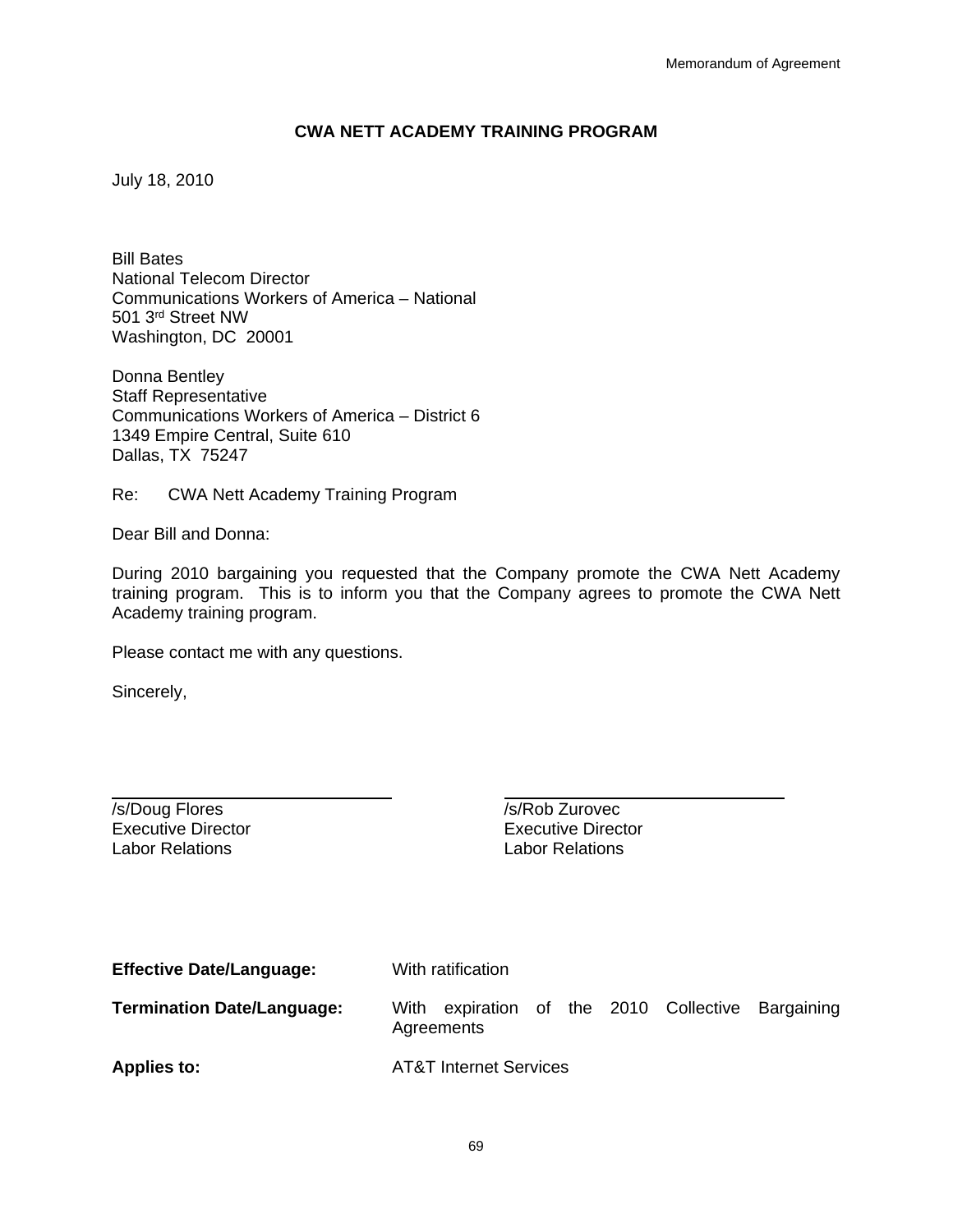### **CWA NETT ACADEMY TRAINING PROGRAM**

July 18, 2010

Bill Bates National Telecom Director Communications Workers of America – National 501 3rd Street NW Washington, DC 20001

Donna Bentley Staff Representative Communications Workers of America – District 6 1349 Empire Central, Suite 610 Dallas, TX 75247

Re: CWA Nett Academy Training Program

Dear Bill and Donna:

During 2010 bargaining you requested that the Company promote the CWA Nett Academy training program. This is to inform you that the Company agrees to promote the CWA Nett Academy training program.

Please contact me with any questions.

Sincerely,

 $\overline{a}$ 

/s/Doug Flores //s/Rob Zurovec Labor Relations Labor Relations

Executive Director Executive Director

| <b>Effective Date/Language:</b>   | With ratification                                                  |  |  |
|-----------------------------------|--------------------------------------------------------------------|--|--|
| <b>Termination Date/Language:</b> | expiration of the 2010 Collective Bargaining<br>With<br>Agreements |  |  |
| <b>Applies to:</b>                | <b>AT&amp;T Internet Services</b>                                  |  |  |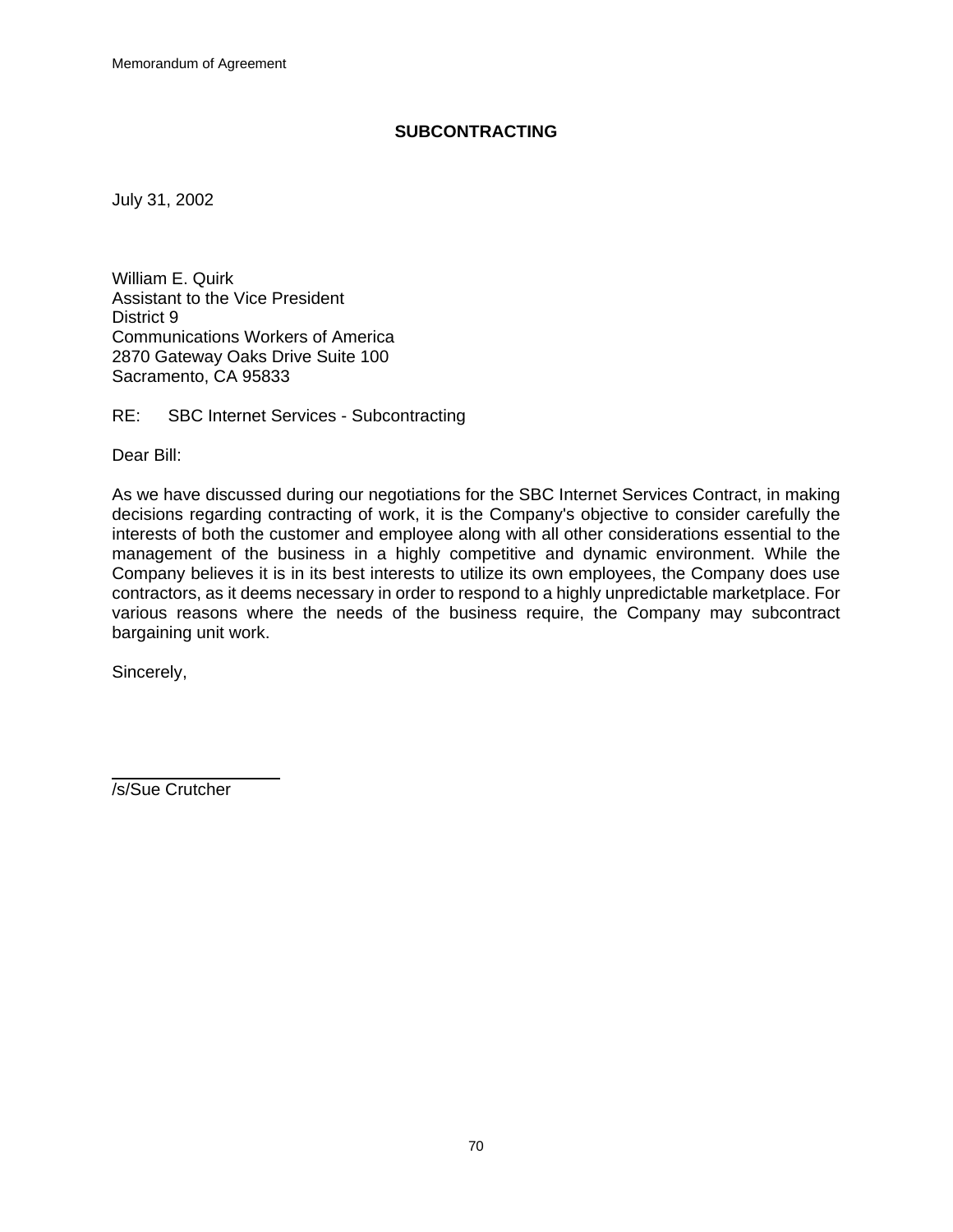### **SUBCONTRACTING**

July 31, 2002

William E. Quirk Assistant to the Vice President District 9 Communications Workers of America 2870 Gateway Oaks Drive Suite 100 Sacramento, CA 95833

RE: SBC Internet Services - Subcontracting

Dear Bill:

As we have discussed during our negotiations for the SBC Internet Services Contract, in making decisions regarding contracting of work, it is the Company's objective to consider carefully the interests of both the customer and employee along with all other considerations essential to the management of the business in a highly competitive and dynamic environment. While the Company believes it is in its best interests to utilize its own employees, the Company does use contractors, as it deems necessary in order to respond to a highly unpredictable marketplace. For various reasons where the needs of the business require, the Company may subcontract bargaining unit work.

Sincerely,

 $\overline{a}$ 

/s/Sue Crutcher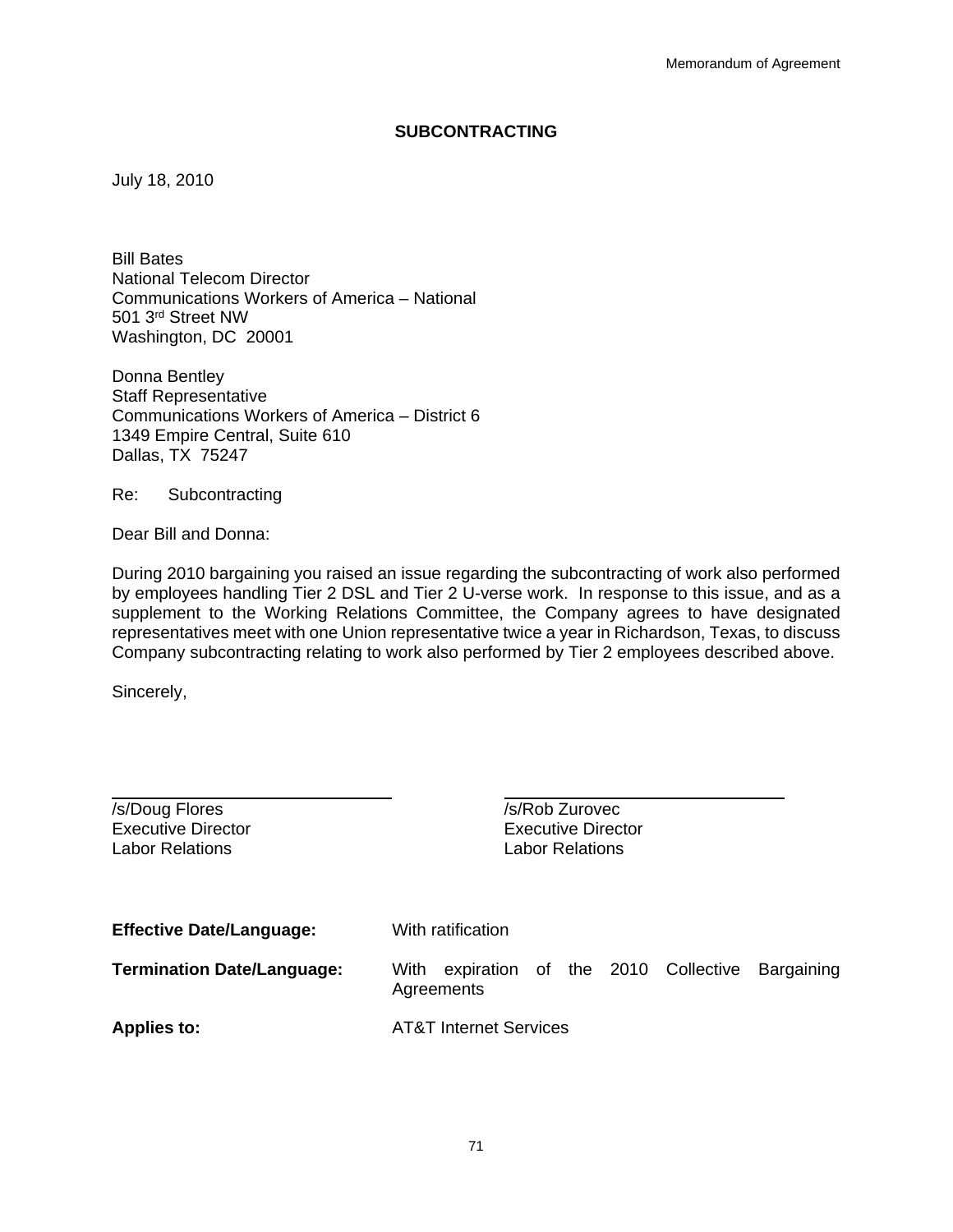#### **SUBCONTRACTING**

July 18, 2010

Bill Bates National Telecom Director Communications Workers of America – National 501 3rd Street NW Washington, DC 20001

Donna Bentley Staff Representative Communications Workers of America – District 6 1349 Empire Central, Suite 610 Dallas, TX 75247

Re: Subcontracting

Dear Bill and Donna:

During 2010 bargaining you raised an issue regarding the subcontracting of work also performed by employees handling Tier 2 DSL and Tier 2 U-verse work. In response to this issue, and as a supplement to the Working Relations Committee, the Company agrees to have designated representatives meet with one Union representative twice a year in Richardson, Texas, to discuss Company subcontracting relating to work also performed by Tier 2 employees described above.

Sincerely,

| /s/Doug Flores<br><b>Executive Director</b><br><b>Labor Relations</b> | /s/Rob Zurovec<br><b>Executive Director</b><br><b>Labor Relations</b> |  |
|-----------------------------------------------------------------------|-----------------------------------------------------------------------|--|
| <b>Effective Date/Language:</b>                                       | With ratification                                                     |  |
| <b>Termination Date/Language:</b>                                     | expiration of the 2010 Collective<br>Bargaining<br>With<br>Agreements |  |
| <b>Applies to:</b>                                                    | <b>AT&amp;T Internet Services</b>                                     |  |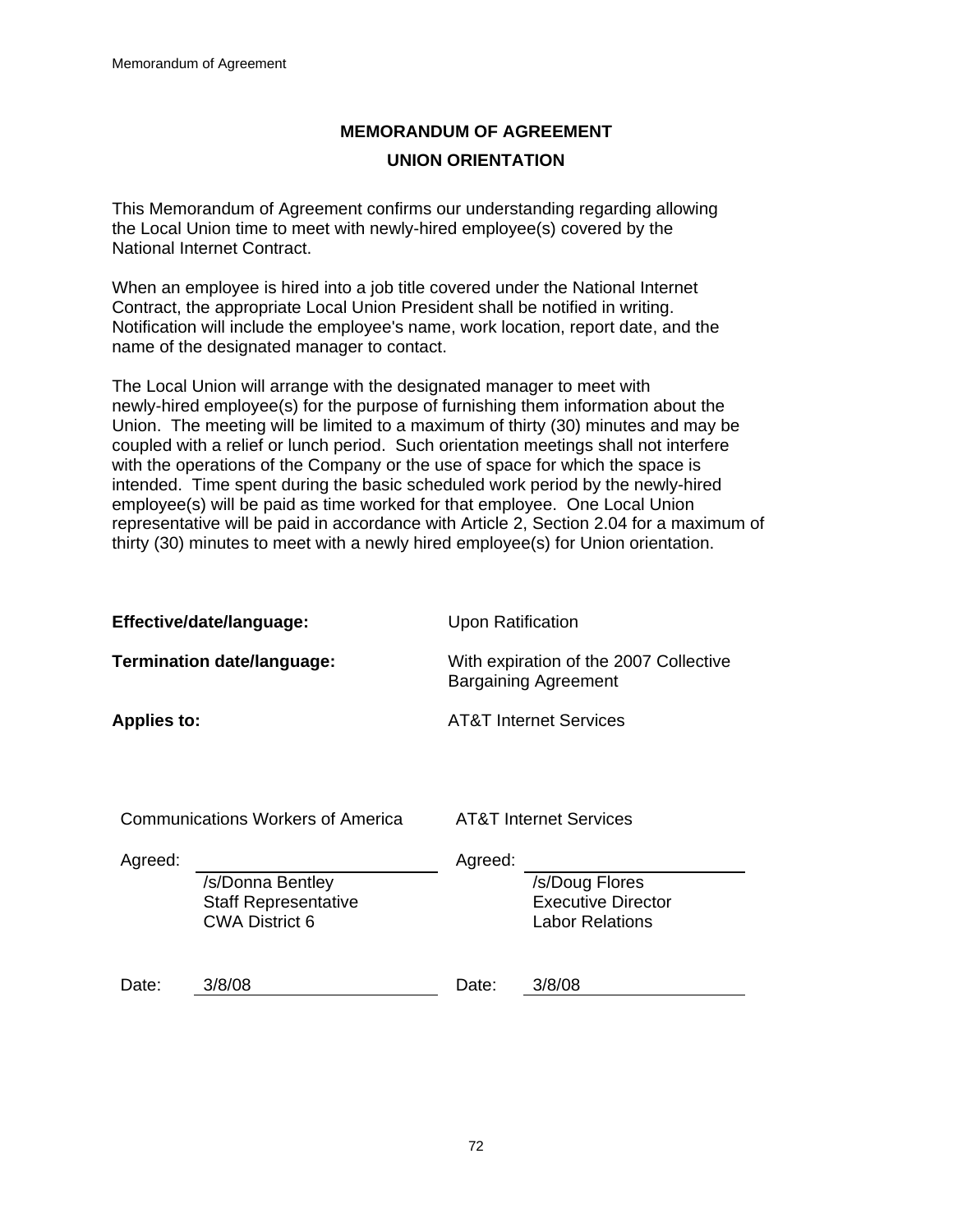## **MEMORANDUM OF AGREEMENT UNION ORIENTATION**

This Memorandum of Agreement confirms our understanding regarding allowing the Local Union time to meet with newly-hired employee(s) covered by the National Internet Contract.

When an employee is hired into a job title covered under the National Internet Contract, the appropriate Local Union President shall be notified in writing. Notification will include the employee's name, work location, report date, and the name of the designated manager to contact.

The Local Union will arrange with the designated manager to meet with newly-hired employee(s) for the purpose of furnishing them information about the Union. The meeting will be limited to a maximum of thirty (30) minutes and may be coupled with a relief or lunch period. Such orientation meetings shall not interfere with the operations of the Company or the use of space for which the space is intended. Time spent during the basic scheduled work period by the newly-hired employee(s) will be paid as time worked for that employee. One Local Union representative will be paid in accordance with Article 2, Section 2.04 for a maximum of thirty (30) minutes to meet with a newly hired employee(s) for Union orientation.

| Effective/date/language:          |                                                                          | <b>Upon Ratification</b>                                              |                                                                       |
|-----------------------------------|--------------------------------------------------------------------------|-----------------------------------------------------------------------|-----------------------------------------------------------------------|
| Termination date/language:        |                                                                          | With expiration of the 2007 Collective<br><b>Bargaining Agreement</b> |                                                                       |
| <b>Applies to:</b>                |                                                                          |                                                                       | <b>AT&amp;T Internet Services</b>                                     |
| Communications Workers of America |                                                                          | <b>AT&amp;T Internet Services</b>                                     |                                                                       |
| Agreed:                           | /s/Donna Bentley<br><b>Staff Representative</b><br><b>CWA District 6</b> | Agreed:                                                               | /s/Doug Flores<br><b>Executive Director</b><br><b>Labor Relations</b> |
| Date:                             | 3/8/08                                                                   | Date:                                                                 | 3/8/08                                                                |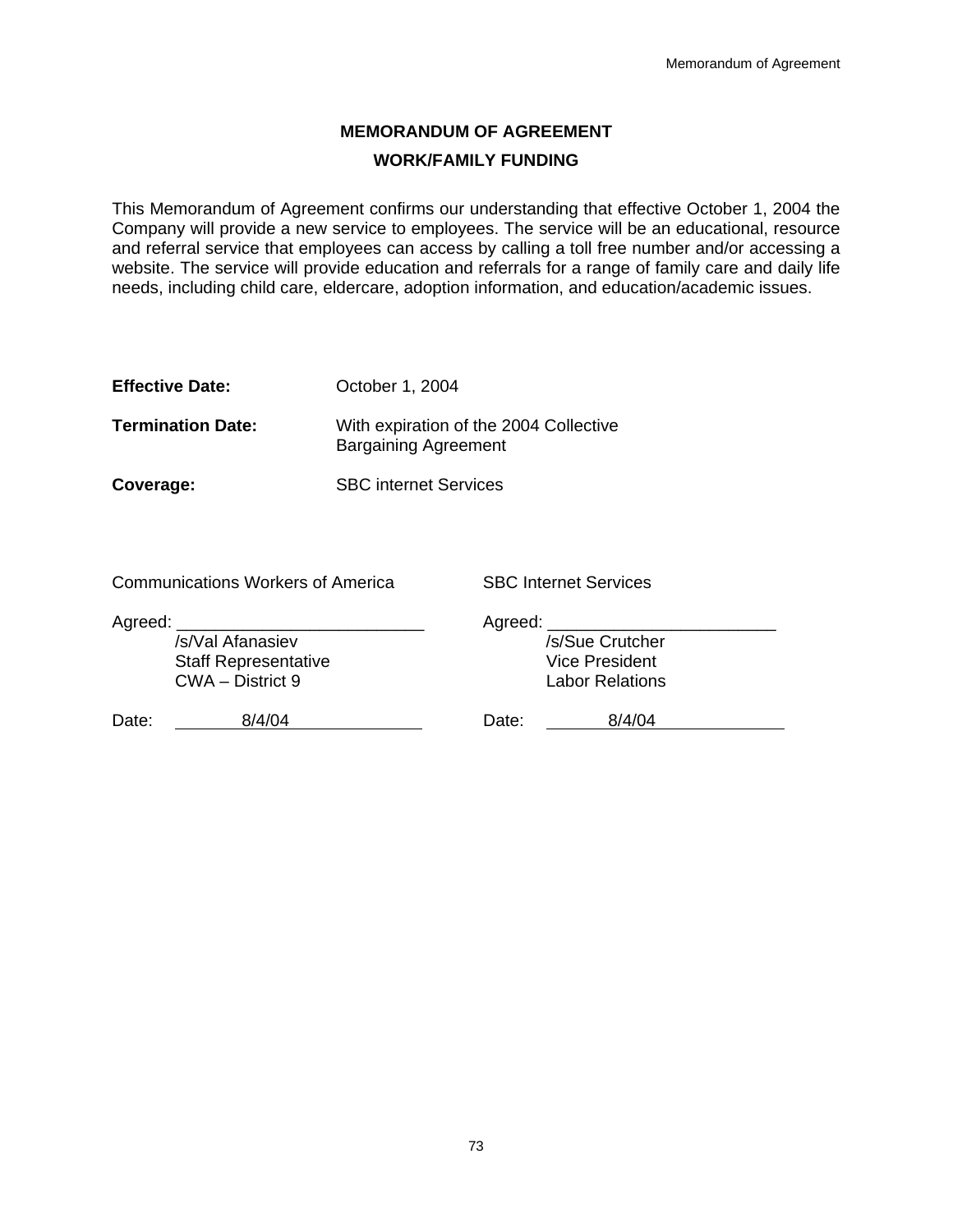### **MEMORANDUM OF AGREEMENT WORK/FAMILY FUNDING**

This Memorandum of Agreement confirms our understanding that effective October 1, 2004 the Company will provide a new service to employees. The service will be an educational, resource and referral service that employees can access by calling a toll free number and/or accessing a website. The service will provide education and referrals for a range of family care and daily life needs, including child care, eldercare, adoption information, and education/academic issues.

| October 1, 2004 |
|-----------------|
|                 |

**Termination Date:** With expiration of the 2004 Collective Bargaining Agreement

**Coverage:** SBC internet Services

Communications Workers of America SBC Internet Services

| Agreed:                                         |        | Agreed: |                                                 |  |
|-------------------------------------------------|--------|---------|-------------------------------------------------|--|
| /s/Val Afanasiev                                |        |         | /s/Sue Crutcher                                 |  |
| <b>Staff Representative</b><br>CWA - District 9 |        |         | <b>Vice President</b><br><b>Labor Relations</b> |  |
| Date:                                           | 8/4/04 | Date:   | 8/4/04                                          |  |